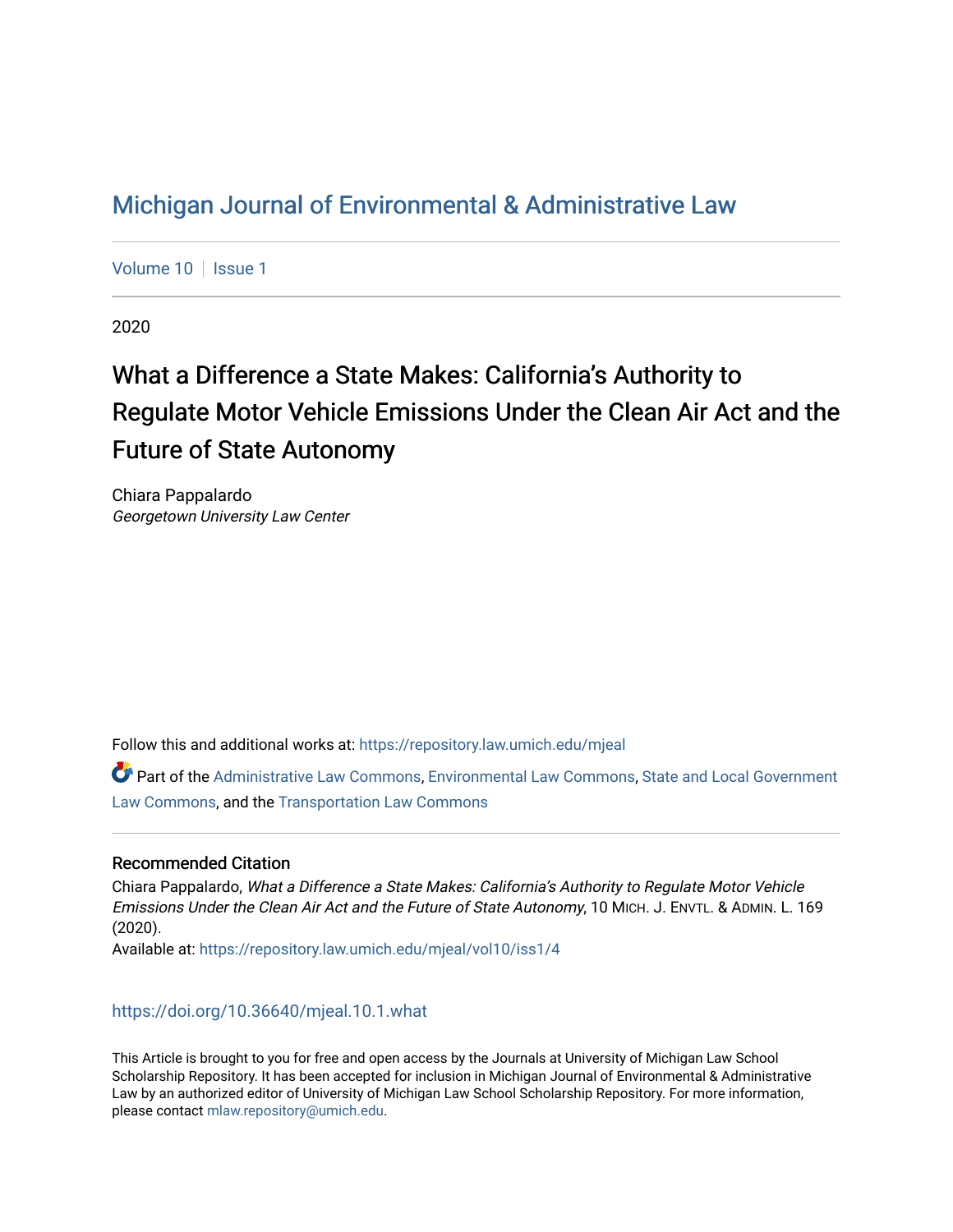## [Michigan Journal of Environmental & Administrative Law](https://repository.law.umich.edu/mjeal)

[Volume 10](https://repository.law.umich.edu/mjeal/vol10) | [Issue 1](https://repository.law.umich.edu/mjeal/vol10/iss1)

2020

# What a Difference a State Makes: California's Authority to Regulate Motor Vehicle Emissions Under the Clean Air Act and the Future of State Autonomy

Chiara Pappalardo Georgetown University Law Center

Follow this and additional works at: [https://repository.law.umich.edu/mjeal](https://repository.law.umich.edu/mjeal?utm_source=repository.law.umich.edu%2Fmjeal%2Fvol10%2Fiss1%2F4&utm_medium=PDF&utm_campaign=PDFCoverPages)

Part of the [Administrative Law Commons,](http://network.bepress.com/hgg/discipline/579?utm_source=repository.law.umich.edu%2Fmjeal%2Fvol10%2Fiss1%2F4&utm_medium=PDF&utm_campaign=PDFCoverPages) [Environmental Law Commons](http://network.bepress.com/hgg/discipline/599?utm_source=repository.law.umich.edu%2Fmjeal%2Fvol10%2Fiss1%2F4&utm_medium=PDF&utm_campaign=PDFCoverPages), [State and Local Government](http://network.bepress.com/hgg/discipline/879?utm_source=repository.law.umich.edu%2Fmjeal%2Fvol10%2Fiss1%2F4&utm_medium=PDF&utm_campaign=PDFCoverPages) [Law Commons,](http://network.bepress.com/hgg/discipline/879?utm_source=repository.law.umich.edu%2Fmjeal%2Fvol10%2Fiss1%2F4&utm_medium=PDF&utm_campaign=PDFCoverPages) and the [Transportation Law Commons](http://network.bepress.com/hgg/discipline/885?utm_source=repository.law.umich.edu%2Fmjeal%2Fvol10%2Fiss1%2F4&utm_medium=PDF&utm_campaign=PDFCoverPages) 

### Recommended Citation

Chiara Pappalardo, What a Difference a State Makes: California's Authority to Regulate Motor Vehicle Emissions Under the Clean Air Act and the Future of State Autonomy, 10 MICH. J. ENVTL. & ADMIN. L. 169 (2020).

Available at: [https://repository.law.umich.edu/mjeal/vol10/iss1/4](https://repository.law.umich.edu/mjeal/vol10/iss1/4?utm_source=repository.law.umich.edu%2Fmjeal%2Fvol10%2Fiss1%2F4&utm_medium=PDF&utm_campaign=PDFCoverPages)

<https://doi.org/10.36640/mjeal.10.1.what>

This Article is brought to you for free and open access by the Journals at University of Michigan Law School Scholarship Repository. It has been accepted for inclusion in Michigan Journal of Environmental & Administrative Law by an authorized editor of University of Michigan Law School Scholarship Repository. For more information, please contact [mlaw.repository@umich.edu.](mailto:mlaw.repository@umich.edu)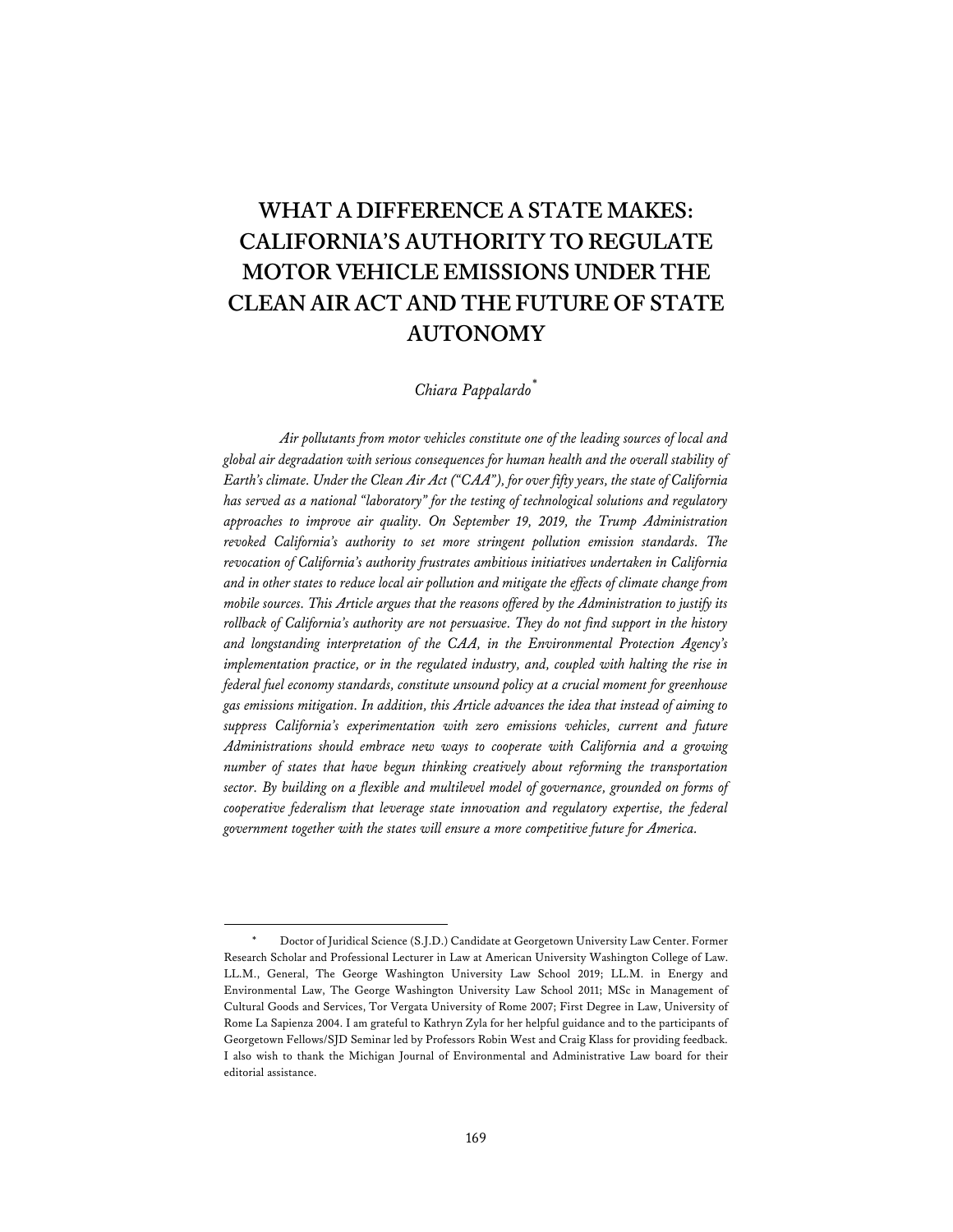## **WHAT A DIFFERENCE A STATE MAKES: CALIFORNIA'S AUTHORITY TO REGULATE MOTOR VEHICLE EMISSIONS UNDER THE CLEAN AIR ACT AND THE FUTURE OF STATE AUTONOMY**

#### *Chiara Pappalardo\**

*Air pollutants from motor vehicles constitute one of the leading sources of local and global air degradation with serious consequences for human health and the overall stability of Earth's climate. Under the Clean Air Act ("CAA"), for over fifty years, the state of California has served as a national "laboratory" for the testing of technological solutions and regulatory approaches to improve air quality. On September 19, 2019, the Trump Administration revoked California's authority to set more stringent pollution emission standards. The revocation of California's authority frustrates ambitious initiatives undertaken in California and in other states to reduce local air pollution and mitigate the effects of climate change from mobile sources. This Article argues that the reasons offered by the Administration to justify its rollback of California's authority are not persuasive. They do not find support in the history and longstanding interpretation of the CAA, in the Environmental Protection Agency's implementation practice, or in the regulated industry, and, coupled with halting the rise in federal fuel economy standards, constitute unsound policy at a crucial moment for greenhouse gas emissions mitigation. In addition, this Article advances the idea that instead of aiming to suppress California's experimentation with zero emissions vehicles, current and future Administrations should embrace new ways to cooperate with California and a growing number of states that have begun thinking creatively about reforming the transportation sector. By building on a flexible and multilevel model of governance, grounded on forms of cooperative federalism that leverage state innovation and regulatory expertise, the federal government together with the states will ensure a more competitive future for America.* 

Doctor of Juridical Science (S.J.D.) Candidate at Georgetown University Law Center. Former Research Scholar and Professional Lecturer in Law at American University Washington College of Law. LL.M., General, The George Washington University Law School 2019; LL.M. in Energy and Environmental Law, The George Washington University Law School 2011; MSc in Management of Cultural Goods and Services, Tor Vergata University of Rome 2007; First Degree in Law, University of Rome La Sapienza 2004. I am grateful to Kathryn Zyla for her helpful guidance and to the participants of Georgetown Fellows/SJD Seminar led by Professors Robin West and Craig Klass for providing feedback. I also wish to thank the Michigan Journal of Environmental and Administrative Law board for their editorial assistance.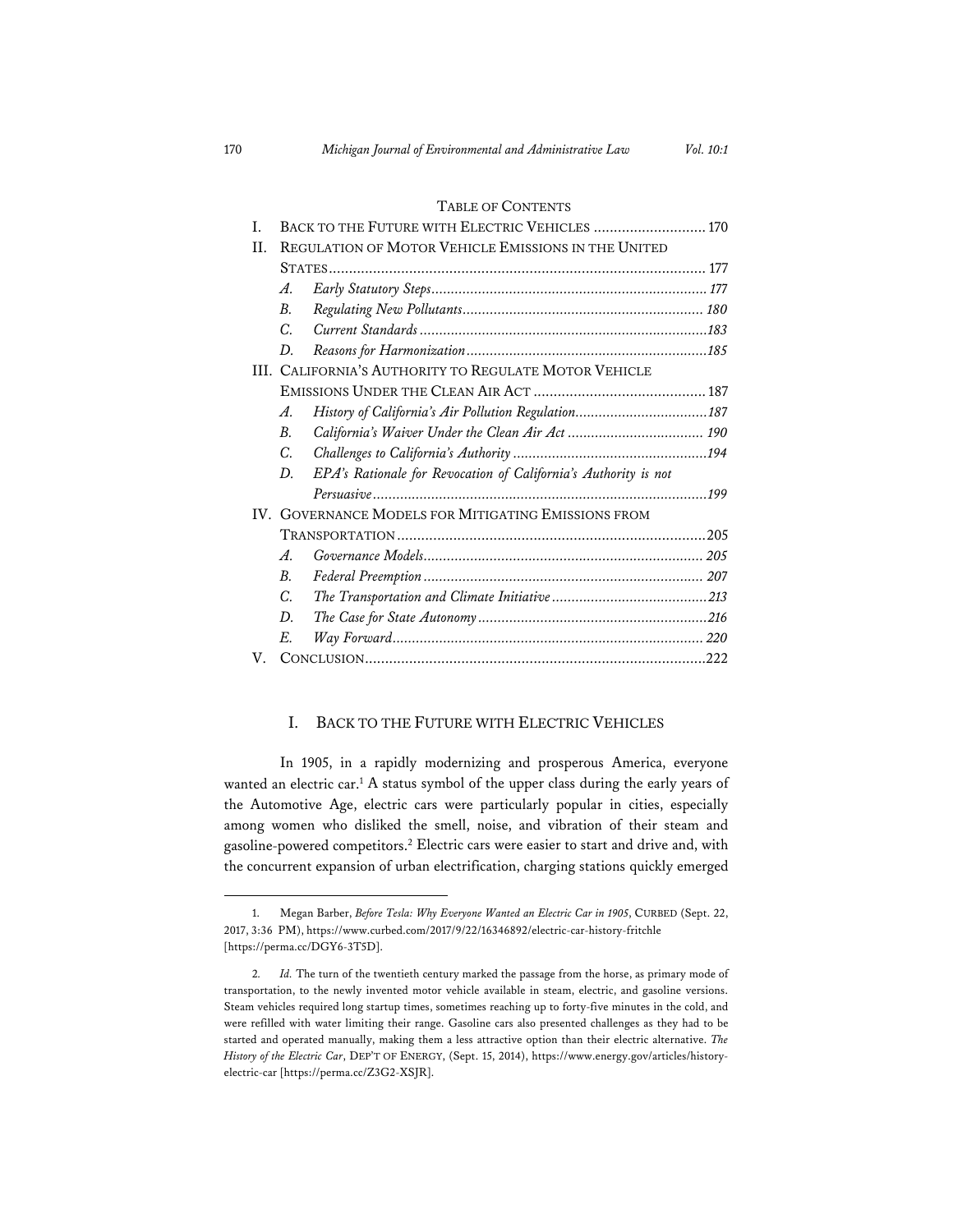#### TABLE OF CONTENTS

| T.                                                         | BACK TO THE FUTURE WITH ELECTRIC VEHICLES  170                  |
|------------------------------------------------------------|-----------------------------------------------------------------|
| II.<br>REGULATION OF MOTOR VEHICLE EMISSIONS IN THE UNITED |                                                                 |
|                                                            |                                                                 |
| $\mathcal{A}.$                                             |                                                                 |
| $B_{\cdot}$                                                |                                                                 |
| $\overline{C}$                                             |                                                                 |
| D.                                                         |                                                                 |
| III. CALIFORNIA'S AUTHORITY TO REGULATE MOTOR VEHICLE      |                                                                 |
|                                                            |                                                                 |
| A.                                                         |                                                                 |
| $B_{\cdot}$                                                |                                                                 |
| C.                                                         |                                                                 |
| D.                                                         | EPA's Rationale for Revocation of California's Authority is not |
|                                                            |                                                                 |
| IV. GOVERNANCE MODELS FOR MITIGATING EMISSIONS FROM        |                                                                 |
|                                                            |                                                                 |
| $\mathcal{A}$ .                                            |                                                                 |
| $B_{\cdot}$                                                |                                                                 |
| C.                                                         |                                                                 |
| D.                                                         |                                                                 |
| E.                                                         |                                                                 |
| V.                                                         |                                                                 |

#### I. BACK TO THE FUTURE WITH ELECTRIC VEHICLES

In 1905, in a rapidly modernizing and prosperous America, everyone wanted an electric car.1 A status symbol of the upper class during the early years of the Automotive Age, electric cars were particularly popular in cities, especially among women who disliked the smell, noise, and vibration of their steam and gasoline-powered competitors.2 Electric cars were easier to start and drive and, with the concurrent expansion of urban electrification, charging stations quickly emerged

<sup>1.</sup> Megan Barber, *Before Tesla: Why Everyone Wanted an Electric Car in 1905*, CURBED (Sept. 22, 2017, 3:36PM), https://www.curbed.com/2017/9/22/16346892/electric-car-history-fritchle [https://perma.cc/DGY6-3T5D].

<sup>2</sup>*. Id.* The turn of the twentieth century marked the passage from the horse, as primary mode of transportation, to the newly invented motor vehicle available in steam, electric, and gasoline versions. Steam vehicles required long startup times, sometimes reaching up to forty-five minutes in the cold, and were refilled with water limiting their range. Gasoline cars also presented challenges as they had to be started and operated manually, making them a less attractive option than their electric alternative. *The History of the Electric Car*, DEP'T OF ENERGY, (Sept. 15, 2014), https://www.energy.gov/articles/historyelectric-car [https://perma.cc/Z3G2-XSJR].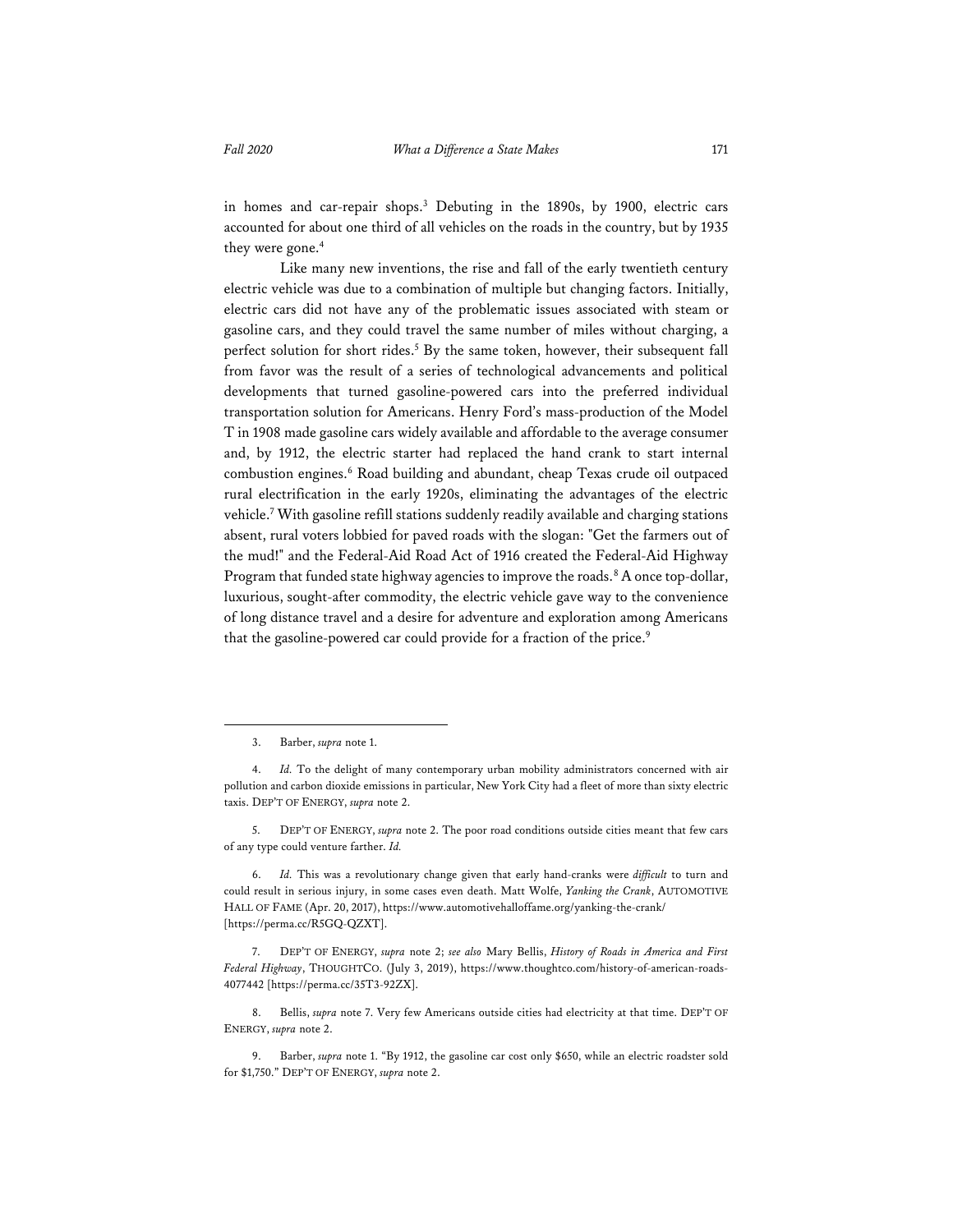in homes and car-repair shops.3 Debuting in the 1890s, by 1900, electric cars accounted for about one third of all vehicles on the roads in the country, but by 1935 they were gone.<sup>4</sup>

Like many new inventions, the rise and fall of the early twentieth century electric vehicle was due to a combination of multiple but changing factors. Initially, electric cars did not have any of the problematic issues associated with steam or gasoline cars, and they could travel the same number of miles without charging, a perfect solution for short rides.<sup>5</sup> By the same token, however, their subsequent fall from favor was the result of a series of technological advancements and political developments that turned gasoline-powered cars into the preferred individual transportation solution for Americans. Henry Ford's mass-production of the Model T in 1908 made gasoline cars widely available and affordable to the average consumer and, by 1912, the electric starter had replaced the hand crank to start internal combustion engines.<sup>6</sup> Road building and abundant, cheap Texas crude oil outpaced rural electrification in the early 1920s, eliminating the advantages of the electric vehicle.7 With gasoline refill stations suddenly readily available and charging stations absent, rural voters lobbied for paved roads with the slogan: "Get the farmers out of the mud!" and the Federal-Aid Road Act of 1916 created the Federal-Aid Highway Program that funded state highway agencies to improve the roads.<sup>8</sup> A once top-dollar, luxurious, sought-after commodity, the electric vehicle gave way to the convenience of long distance travel and a desire for adventure and exploration among Americans that the gasoline-powered car could provide for a fraction of the price.9

<sup>3.</sup> Barber, *supra* note 1.

<sup>4.</sup> *Id.* To the delight of many contemporary urban mobility administrators concerned with air pollution and carbon dioxide emissions in particular, New York City had a fleet of more than sixty electric taxis. DEP'T OF ENERGY, *supra* note 2.

<sup>5.</sup> DEP'T OF ENERGY, *supra* note 2. The poor road conditions outside cities meant that few cars of any type could venture farther. *Id.*

<sup>6.</sup> *Id.* This was a revolutionary change given that early hand-cranks were *difficult* to turn and could result in serious injury, in some cases even death. Matt Wolfe, *Yanking the Crank*, AUTOMOTIVE HALL OF FAME (Apr. 20, 2017), https://www.automotivehalloffame.org/yanking-the-crank/ [https://perma.cc/R5GQ-QZXT].

<sup>7.</sup> DEP'T OF ENERGY, *supra* note 2; *see also* Mary Bellis, *History of Roads in America and First Federal Highway*, THOUGHTCO. (July 3, 2019), https://www.thoughtco.com/history-of-american-roads-4077442 [https://perma.cc/35T3-92ZX].

<sup>8.</sup> Bellis, *supra* note 7. Very few Americans outside cities had electricity at that time. DEP'T OF ENERGY, *supra* note 2.

<sup>9.</sup> Barber, *supra* note 1. "By 1912, the gasoline car cost only \$650, while an electric roadster sold for \$1,750." DEP'T OF ENERGY, *supra* note 2.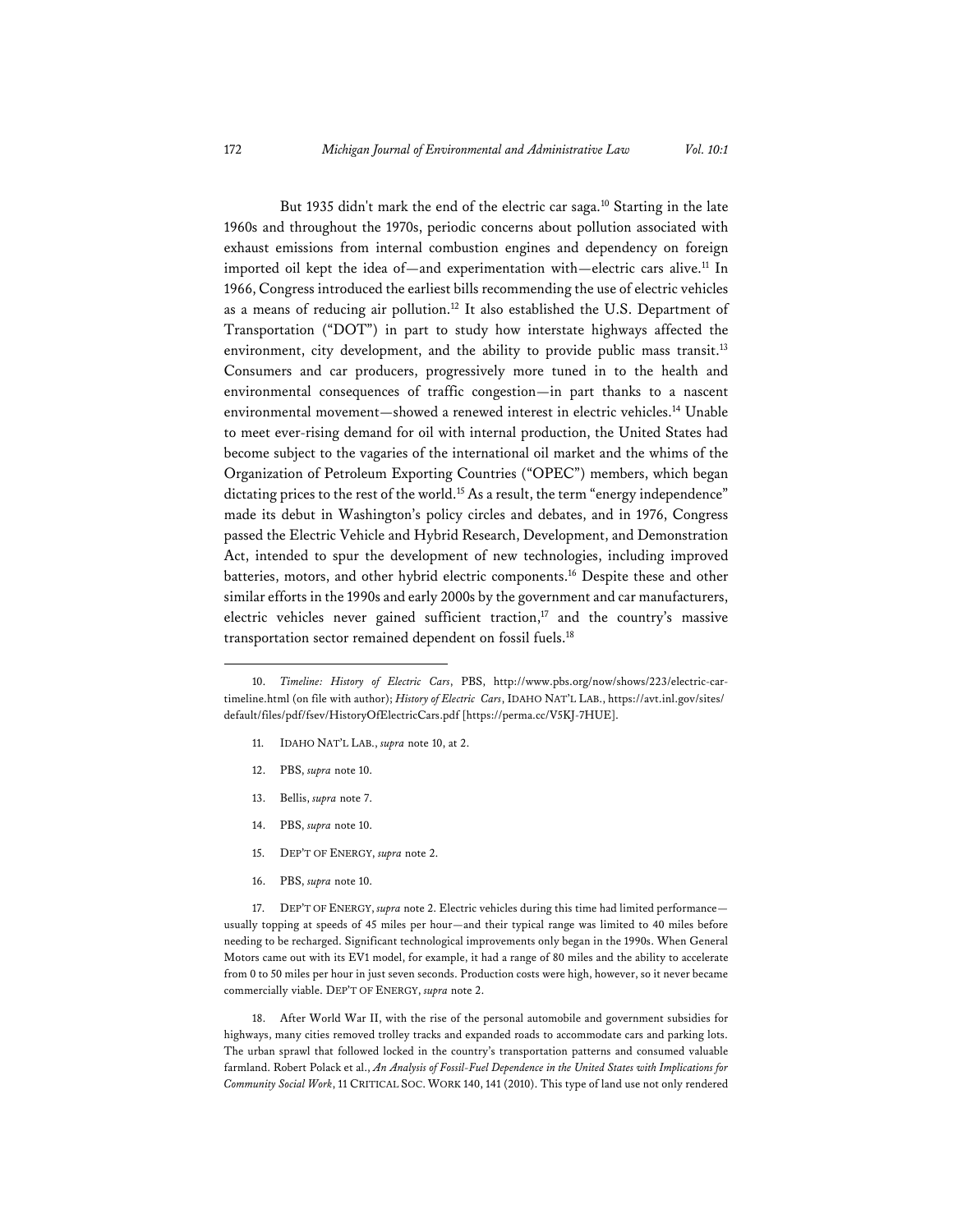But 1935 didn't mark the end of the electric car saga.<sup>10</sup> Starting in the late 1960s and throughout the 1970s, periodic concerns about pollution associated with exhaust emissions from internal combustion engines and dependency on foreign imported oil kept the idea of—and experimentation with—electric cars alive.<sup>11</sup> In 1966, Congress introduced the earliest bills recommending the use of electric vehicles as a means of reducing air pollution.12 It also established the U.S. Department of Transportation ("DOT") in part to study how interstate highways affected the environment, city development, and the ability to provide public mass transit.<sup>13</sup> Consumers and car producers, progressively more tuned in to the health and environmental consequences of traffic congestion—in part thanks to a nascent environmental movement—showed a renewed interest in electric vehicles.14 Unable to meet ever-rising demand for oil with internal production, the United States had become subject to the vagaries of the international oil market and the whims of the Organization of Petroleum Exporting Countries ("OPEC") members, which began dictating prices to the rest of the world.<sup>15</sup> As a result, the term "energy independence" made its debut in Washington's policy circles and debates, and in 1976, Congress passed the Electric Vehicle and Hybrid Research, Development, and Demonstration Act, intended to spur the development of new technologies, including improved batteries, motors, and other hybrid electric components.16 Despite these and other similar efforts in the 1990s and early 2000s by the government and car manufacturers, electric vehicles never gained sufficient traction,<sup>17</sup> and the country's massive transportation sector remained dependent on fossil fuels.18

- 11. IDAHO NAT'L LAB., *supra* note 10, at 2.
- 12. PBS, *supra* note 10.
- 13. Bellis, *supra* note 7.
- 14. PBS, *supra* note 10.
- 15. DEP'T OF ENERGY, *supra* note 2.
- 16. PBS, *supra* note 10.

17. DEP'T OF ENERGY, *supra* note 2. Electric vehicles during this time had limited performance usually topping at speeds of 45 miles per hour—and their typical range was limited to 40 miles before needing to be recharged. Significant technological improvements only began in the 1990s. When General Motors came out with its EV1 model, for example, it had a range of 80 miles and the ability to accelerate from 0 to 50 miles per hour in just seven seconds. Production costs were high, however, so it never became commercially viable. DEP'T OF ENERGY, *supra* note 2.

18. After World War II, with the rise of the personal automobile and government subsidies for highways, many cities removed trolley tracks and expanded roads to accommodate cars and parking lots. The urban sprawl that followed locked in the country's transportation patterns and consumed valuable farmland. Robert Polack et al., *An Analysis of Fossil-Fuel Dependence in the United States with Implications for Community Social Work*, 11 CRITICAL SOC. WORK 140, 141 (2010). This type of land use not only rendered

<sup>10.</sup> *Timeline: History of Electric Cars*, PBS, http://www.pbs.org/now/shows/223/electric-cartimeline.html (on file with author); *History of ElectricCars*, IDAHO NAT'L LAB., https://avt.inl.gov/sites/ default/files/pdf/fsev/HistoryOfElectricCars.pdf [https://perma.cc/V5KJ-7HUE].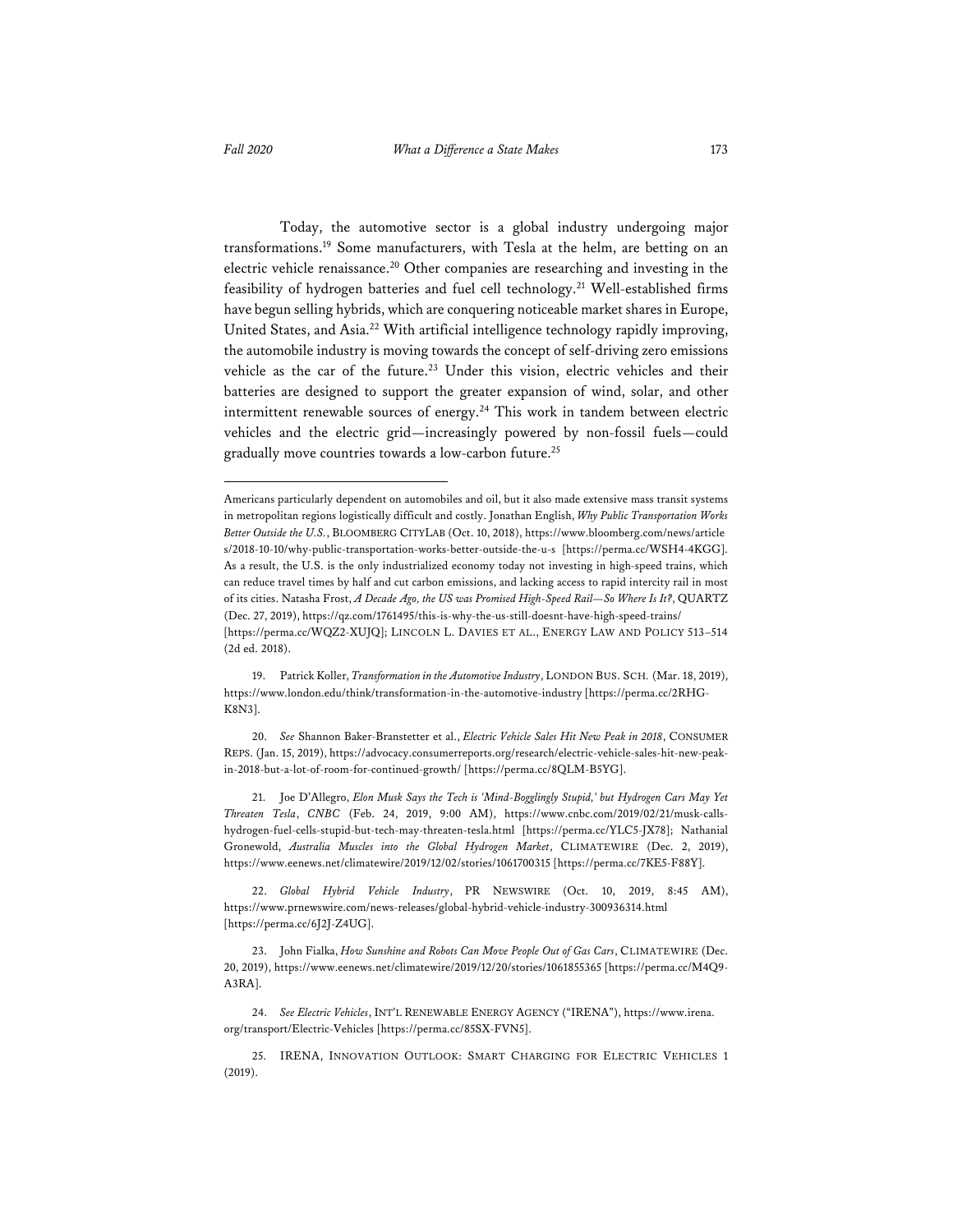Today, the automotive sector is a global industry undergoing major transformations.19 Some manufacturers, with Tesla at the helm, are betting on an electric vehicle renaissance.20 Other companies are researching and investing in the feasibility of hydrogen batteries and fuel cell technology.21 Well-established firms have begun selling hybrids, which are conquering noticeable market shares in Europe, United States, and Asia.22 With artificial intelligence technology rapidly improving, the automobile industry is moving towards the concept of self-driving zero emissions vehicle as the car of the future.<sup>23</sup> Under this vision, electric vehicles and their batteries are designed to support the greater expansion of wind, solar, and other intermittent renewable sources of energy.<sup>24</sup> This work in tandem between electric vehicles and the electric grid—increasingly powered by non-fossil fuels—could gradually move countries towards a low-carbon future.25

20. *See* Shannon Baker-Branstetter et al., *Electric Vehicle Sales Hit New Peak in 2018*, CONSUMER REPS. (Jan. 15, 2019), https://advocacy.consumerreports.org/research/electric-vehicle-sales-hit-new-peakin-2018-but-a-lot-of-room-for-continued-growth/ [https://perma.cc/8QLM-B5YG].

21. Joe D'Allegro, *Elon Musk Says the Tech is 'Mind-Bogglingly Stupid,' but Hydrogen Cars May Yet Threaten Tesla*, *CNBC* (Feb. 24, 2019, 9:00 AM), https://www.cnbc.com/2019/02/21/musk-callshydrogen-fuel-cells-stupid-but-tech-may-threaten-tesla.html [https://perma.cc/YLC5-JX78]; Nathanial Gronewold, *Australia Muscles into the Global Hydrogen Market*, CLIMATEWIRE (Dec. 2, 2019), https://www.eenews.net/climatewire/2019/12/02/stories/1061700315 [https://perma.cc/7KE5-F88Y].

22. *Global Hybrid Vehicle Industry*, PR NEWSWIRE (Oct. 10, 2019, 8:45 AM), https://www.prnewswire.com/news-releases/global-hybrid-vehicle-industry-300936314.html [https://perma.cc/6J2J-Z4UG].

23. John Fialka, *How Sunshine and Robots Can Move People Out of Gas Cars*, CLIMATEWIRE (Dec. 20, 2019), https://www.eenews.net/climatewire/2019/12/20/stories/1061855365 [https://perma.cc/M4Q9- A3RA].

24. *See Electric Vehicles*, INT'L RENEWABLE ENERGY AGENCY ("IRENA"), https://www.irena. org/transport/Electric-Vehicles [https://perma.cc/85SX-FVN5].

25. IRENA, INNOVATION OUTLOOK: SMART CHARGING FOR ELECTRIC VEHICLES 1 (2019).

Americans particularly dependent on automobiles and oil, but it also made extensive mass transit systems in metropolitan regions logistically difficult and costly. Jonathan English, *Why Public Transportation Works Better Outside the U.S.*, BLOOMBERG CITYLAB (Oct. 10, 2018), https://www.bloomberg.com/news/article s/2018-10-10/why-public-transportation-works-better-outside-the-u-s [https://perma.cc/WSH4-4KGG]. As a result, the U.S. is the only industrialized economy today not investing in high-speed trains, which can reduce travel times by half and cut carbon emissions, and lacking access to rapid intercity rail in most of its cities. Natasha Frost, *A Decade Ago, the US was Promised High-Speed Rail—So Where Is It?*, QUARTZ (Dec. 27, 2019), https://qz.com/1761495/this-is-why-the-us-still-doesnt-have-high-speed-trains/ [https://perma.cc/WQZ2-XUJQ]; LINCOLN L. DAVIES ET AL., ENERGY LAW AND POLICY 513–514 (2d ed. 2018).

<sup>19.</sup> Patrick Koller, *Transformation in the Automotive Industry*, LONDON BUS. SCH*.* (Mar. 18, 2019), https://www.london.edu/think/transformation-in-the-automotive-industry [https://perma.cc/2RHG-K8N3].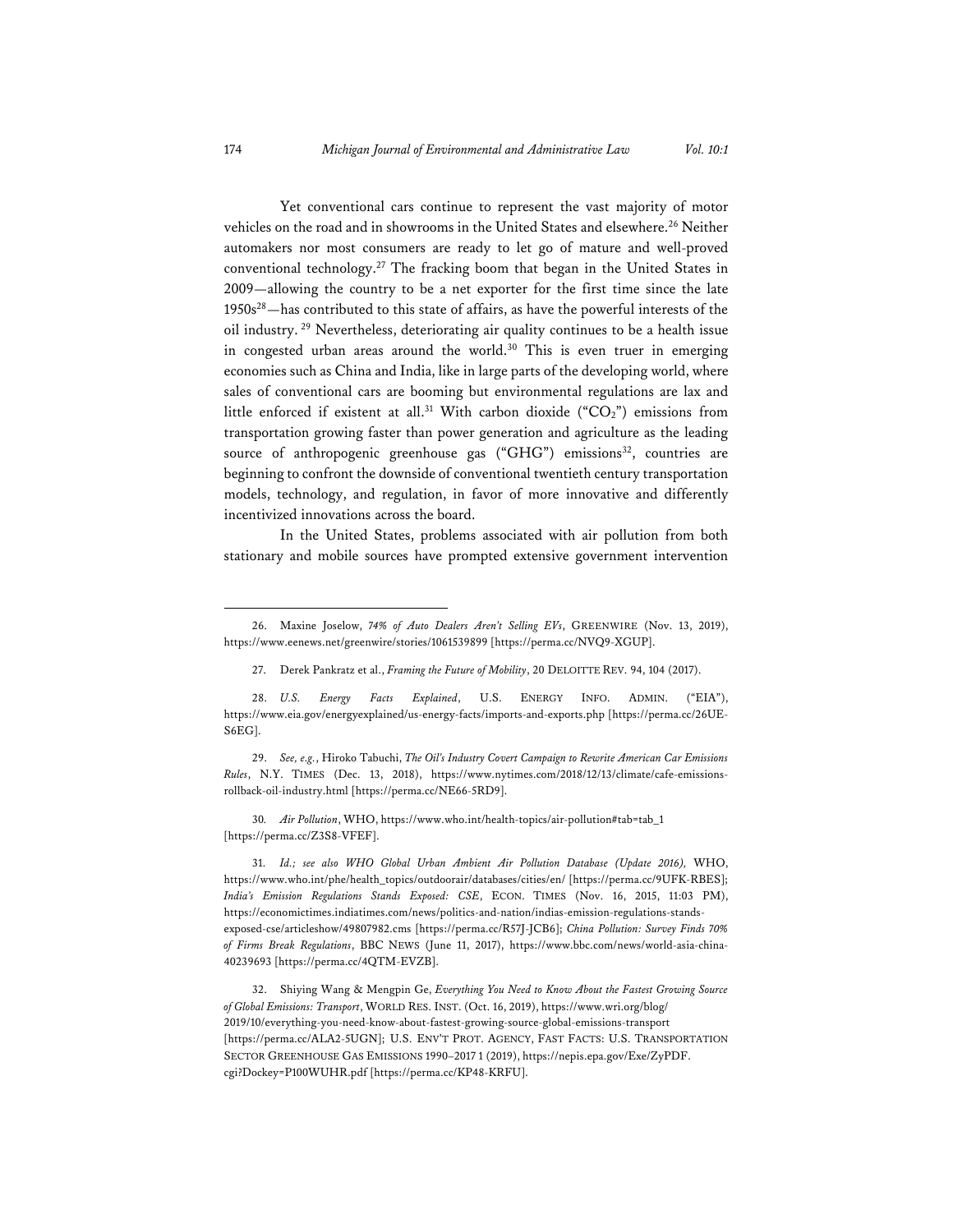Yet conventional cars continue to represent the vast majority of motor vehicles on the road and in showrooms in the United States and elsewhere.<sup>26</sup> Neither automakers nor most consumers are ready to let go of mature and well-proved conventional technology.27 The fracking boom that began in the United States in 2009—allowing the country to be a net exporter for the first time since the late  $1950s^{28}$  — has contributed to this state of affairs, as have the powerful interests of the oil industry. 29 Nevertheless, deteriorating air quality continues to be a health issue in congested urban areas around the world.<sup>30</sup> This is even truer in emerging economies such as China and India, like in large parts of the developing world, where sales of conventional cars are booming but environmental regulations are lax and little enforced if existent at all.<sup>31</sup> With carbon dioxide ("CO<sub>2</sub>") emissions from transportation growing faster than power generation and agriculture as the leading source of anthropogenic greenhouse gas ("GHG") emissions<sup>32</sup>, countries are beginning to confront the downside of conventional twentieth century transportation models, technology, and regulation, in favor of more innovative and differently incentivized innovations across the board.

In the United States, problems associated with air pollution from both stationary and mobile sources have prompted extensive government intervention

30*. Air Pollution*, WHO, https://www.who.int/health-topics/air-pollution#tab=tab\_1 [https://perma.cc/Z3S8-VFEF].

31. *Id.; see also WHO Global Urban Ambient Air Pollution Database (Update 2016),* WHO, https://www.who.int/phe/health\_topics/outdoorair/databases/cities/en/ [https://perma.cc/9UFK-RBES]; *India's Emission Regulations Stands Exposed: CSE*, ECON. TIMES (Nov. 16, 2015, 11:03 PM), https://economictimes.indiatimes.com/news/politics-and-nation/indias-emission-regulations-standsexposed-cse/articleshow/49807982.cms [https://perma.cc/R57J-JCB6]; *China Pollution: Survey Finds 70% of Firms Break Regulations*, BBC NEWS (June 11, 2017), https://www.bbc.com/news/world-asia-china-40239693 [https://perma.cc/4QTM-EVZB].

32. Shiying Wang & Mengpin Ge, *Everything You Need to Know About the Fastest Growing Source of Global Emissions: Transport*, WORLD RES. INST. (Oct. 16, 2019), https://www.wri.org/blog/ 2019/10/everything-you-need-know-about-fastest-growing-source-global-emissions-transport [https://perma.cc/ALA2-5UGN]; U.S. ENV'T PROT. AGENCY, FAST FACTS: U.S. TRANSPORTATION SECTOR GREENHOUSE GAS EMISSIONS 1990–2017 1 (2019), https://nepis.epa.gov/Exe/ZyPDF. cgi?Dockey=P100WUHR.pdf [https://perma.cc/KP48-KRFU].

<sup>26.</sup> Maxine Joselow, *74% of Auto Dealers Aren't Selling EVs*, GREENWIRE (Nov. 13, 2019), https://www.eenews.net/greenwire/stories/1061539899 [https://perma.cc/NVQ9-XGUP].

<sup>27.</sup> Derek Pankratz et al., *Framing the Future of Mobility*, 20 DELOITTE REV. 94, 104 (2017).

<sup>28.</sup> *U.S. Energy Facts Explained*, U.S. ENERGY INFO. ADMIN. ("EIA"), https://www.eia.gov/energyexplained/us-energy-facts/imports-and-exports.php [https://perma.cc/26UE-S6EG].

<sup>29.</sup> *See, e.g.*, Hiroko Tabuchi, *The Oil's Industry Covert Campaign to Rewrite American Car Emissions Rules*, N.Y. TIMES (Dec. 13, 2018), https://www.nytimes.com/2018/12/13/climate/cafe-emissionsrollback-oil-industry.html [https://perma.cc/NE66-5RD9].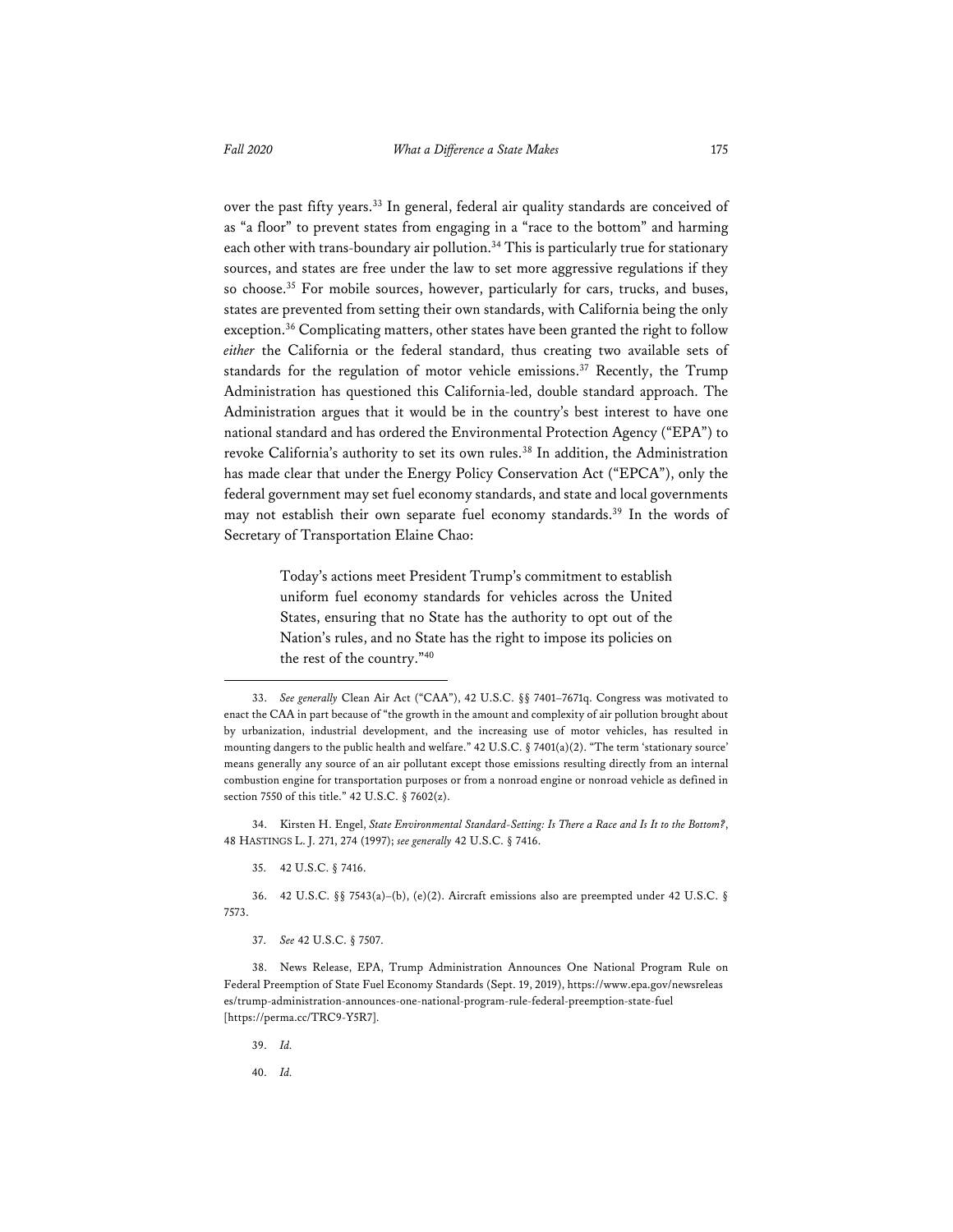over the past fifty years.<sup>33</sup> In general, federal air quality standards are conceived of as "a floor" to prevent states from engaging in a "race to the bottom" and harming each other with trans-boundary air pollution.<sup>34</sup> This is particularly true for stationary sources, and states are free under the law to set more aggressive regulations if they so choose.35 For mobile sources, however, particularly for cars, trucks, and buses, states are prevented from setting their own standards, with California being the only exception.<sup>36</sup> Complicating matters, other states have been granted the right to follow *either* the California or the federal standard, thus creating two available sets of standards for the regulation of motor vehicle emissions.<sup>37</sup> Recently, the Trump Administration has questioned this California-led, double standard approach. The Administration argues that it would be in the country's best interest to have one national standard and has ordered the Environmental Protection Agency ("EPA") to revoke California's authority to set its own rules.<sup>38</sup> In addition, the Administration has made clear that under the Energy Policy Conservation Act ("EPCA"), only the federal government may set fuel economy standards, and state and local governments may not establish their own separate fuel economy standards.<sup>39</sup> In the words of Secretary of Transportation Elaine Chao:

> Today's actions meet President Trump's commitment to establish uniform fuel economy standards for vehicles across the United States, ensuring that no State has the authority to opt out of the Nation's rules, and no State has the right to impose its policies on the rest of the country."40

34. Kirsten H. Engel, *State Environmental Standard-Setting: Is There a Race and Is It to the Bottom?*, 48 HASTINGS L. J. 271, 274 (1997); *see generally* 42 U.S.C. § 7416.

- 35. 42 U.S.C. § 7416.
- 36. 42 U.S.C. §§ 7543(a)–(b), (e)(2). Aircraft emissions also are preempted under 42 U.S.C. § 7573.
	- 37. *See* 42 U.S.C. § 7507.

- 39. *Id.*
- 40. *Id.*

<sup>33.</sup> *See generally* Clean Air Act ("CAA"), 42 U.S.C. §§ 7401–7671q. Congress was motivated to enact the CAA in part because of "the growth in the amount and complexity of air pollution brought about by urbanization, industrial development, and the increasing use of motor vehicles, has resulted in mounting dangers to the public health and welfare." 42 U.S.C. § 7401(a)(2). "The term 'stationary source' means generally any source of an air pollutant except those emissions resulting directly from an internal combustion engine for transportation purposes or from a nonroad engine or nonroad vehicle as defined in section 7550 of this title." 42 U.S.C. § 7602(z).

<sup>38.</sup> News Release, EPA, Trump Administration Announces One National Program Rule on Federal Preemption of State Fuel Economy Standards (Sept. 19, 2019), https://www.epa.gov/newsreleas es/trump-administration-announces-one-national-program-rule-federal-preemption-state-fuel [https://perma.cc/TRC9-Y5R7].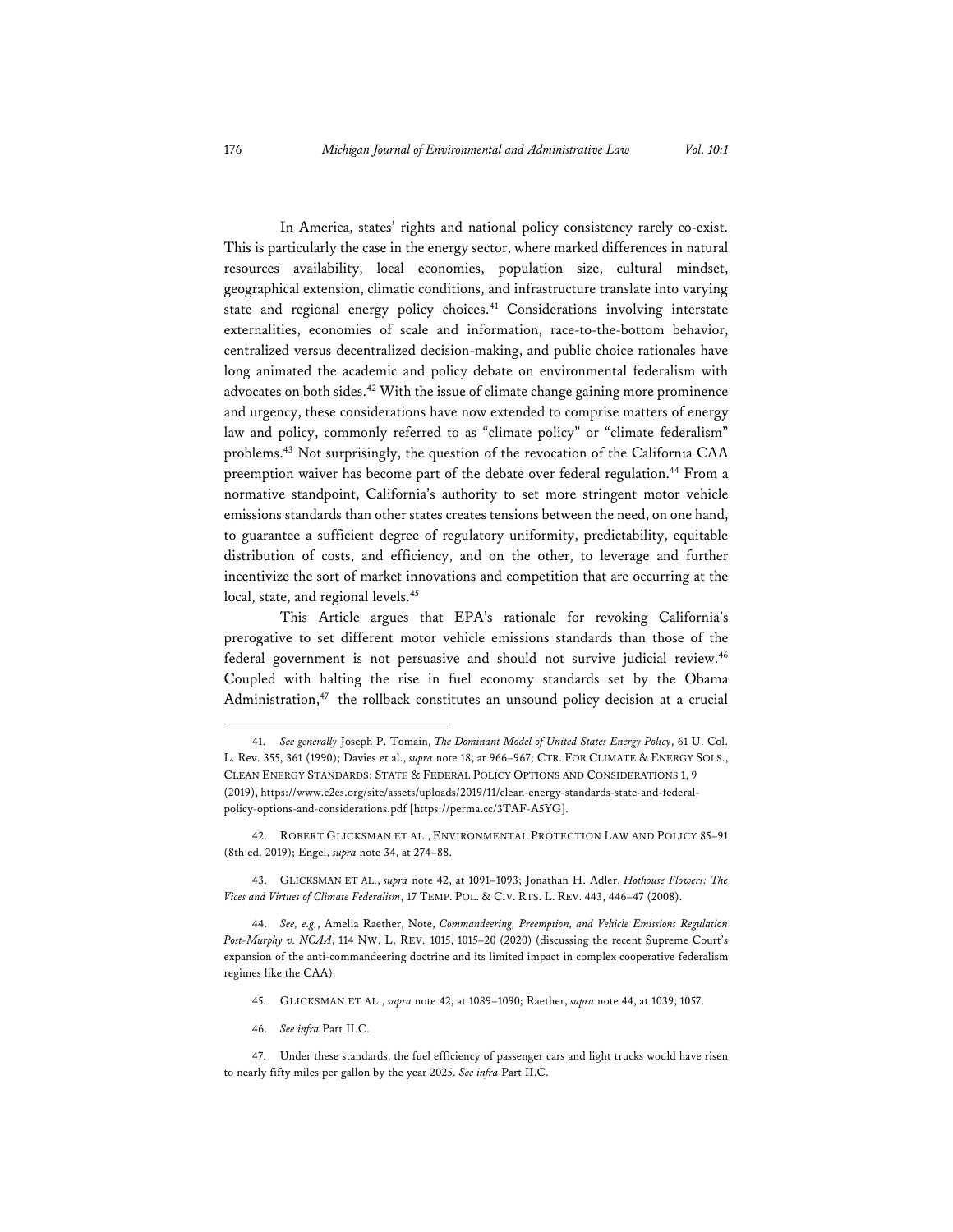In America, states' rights and national policy consistency rarely co-exist. This is particularly the case in the energy sector, where marked differences in natural resources availability, local economies, population size, cultural mindset, geographical extension, climatic conditions, and infrastructure translate into varying state and regional energy policy choices.<sup>41</sup> Considerations involving interstate externalities, economies of scale and information, race-to-the-bottom behavior, centralized versus decentralized decision-making, and public choice rationales have long animated the academic and policy debate on environmental federalism with advocates on both sides.42 With the issue of climate change gaining more prominence and urgency, these considerations have now extended to comprise matters of energy law and policy, commonly referred to as "climate policy" or "climate federalism" problems.<sup>43</sup> Not surprisingly, the question of the revocation of the California CAA preemption waiver has become part of the debate over federal regulation.<sup>44</sup> From a normative standpoint, California's authority to set more stringent motor vehicle emissions standards than other states creates tensions between the need, on one hand, to guarantee a sufficient degree of regulatory uniformity, predictability, equitable distribution of costs, and efficiency, and on the other, to leverage and further incentivize the sort of market innovations and competition that are occurring at the local, state, and regional levels.<sup>45</sup>

This Article argues that EPA's rationale for revoking California's prerogative to set different motor vehicle emissions standards than those of the federal government is not persuasive and should not survive judicial review.<sup>46</sup> Coupled with halting the rise in fuel economy standards set by the Obama Administration,<sup>47</sup> the rollback constitutes an unsound policy decision at a crucial

- 45. GLICKSMAN ET AL., *supra* note 42, at 1089–1090; Raether, *supra* note 44, at 1039, 1057.
- 46. *See infra* Part II.C.

<sup>41.</sup> *See generally* Joseph P. Tomain, *The Dominant Model of United States Energy Policy*, 61 U. Col. L. Rev. 355, 361 (1990); Davies et al., *supra* note 18, at 966–967; CTR. FOR CLIMATE & ENERGY SOLS., CLEAN ENERGY STANDARDS: STATE & FEDERAL POLICY OPTIONS AND CONSIDERATIONS 1, 9 (2019), https://www.c2es.org/site/assets/uploads/2019/11/clean-energy-standards-state-and-federalpolicy-options-and-considerations.pdf [https://perma.cc/3TAF-A5YG].

<sup>42.</sup> ROBERT GLICKSMAN ET AL., ENVIRONMENTAL PROTECTION LAW AND POLICY 85–91 (8th ed. 2019); Engel, *supra* note 34, at 274–88.

<sup>43.</sup> GLICKSMAN ET AL., *supra* note 42, at 1091–1093; Jonathan H. Adler, *Hothouse Flowers: The Vices and Virtues of Climate Federalism*, 17 TEMP. POL. & CIV. RTS. L. REV. 443, 446–47 (2008).

<sup>44.</sup> *See, e.g.*, Amelia Raether, Note, *Commandeering, Preemption, and Vehicle Emissions Regulation Post-Murphy v. NCAA*, 114 NW. L. REV*.* 1015, 1015–20 (2020) (discussing the recent Supreme Court's expansion of the anti-commandeering doctrine and its limited impact in complex cooperative federalism regimes like the CAA).

<sup>47.</sup> Under these standards, the fuel efficiency of passenger cars and light trucks would have risen to nearly fifty miles per gallon by the year 2025. *See infra* Part II.C.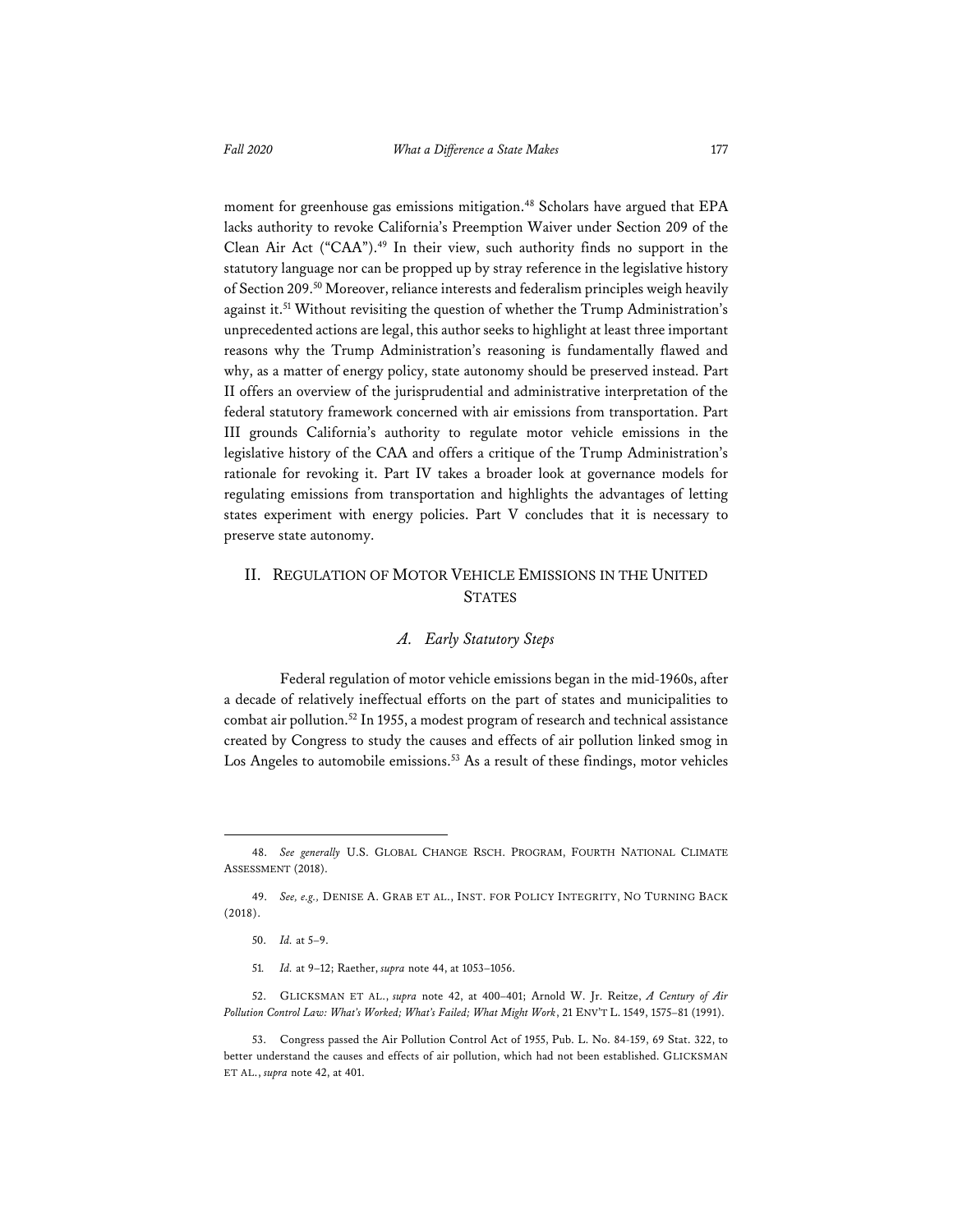moment for greenhouse gas emissions mitigation.<sup>48</sup> Scholars have argued that EPA lacks authority to revoke California's Preemption Waiver under Section 209 of the Clean Air Act ("CAA").<sup>49</sup> In their view, such authority finds no support in the statutory language nor can be propped up by stray reference in the legislative history of Section 209.50 Moreover, reliance interests and federalism principles weigh heavily against it.51 Without revisiting the question of whether the Trump Administration's unprecedented actions are legal, this author seeks to highlight at least three important reasons why the Trump Administration's reasoning is fundamentally flawed and why, as a matter of energy policy, state autonomy should be preserved instead. Part II offers an overview of the jurisprudential and administrative interpretation of the federal statutory framework concerned with air emissions from transportation. Part III grounds California's authority to regulate motor vehicle emissions in the legislative history of the CAA and offers a critique of the Trump Administration's rationale for revoking it. Part IV takes a broader look at governance models for regulating emissions from transportation and highlights the advantages of letting states experiment with energy policies. Part V concludes that it is necessary to preserve state autonomy.

## II. REGULATION OF MOTOR VEHICLE EMISSIONS IN THE UNITED **STATES**

#### *A. Early Statutory Steps*

Federal regulation of motor vehicle emissions began in the mid-1960s, after a decade of relatively ineffectual efforts on the part of states and municipalities to combat air pollution.52 In 1955, a modest program of research and technical assistance created by Congress to study the causes and effects of air pollution linked smog in Los Angeles to automobile emissions.<sup>53</sup> As a result of these findings, motor vehicles

<sup>48.</sup> *See generally* U.S. GLOBAL CHANGE RSCH. PROGRAM, FOURTH NATIONAL CLIMATE ASSESSMENT (2018).

<sup>49.</sup> *See, e.g.,* DENISE A. GRAB ET AL., INST. FOR POLICY INTEGRITY, NO TURNING BACK (2018).

<sup>50.</sup> *Id.* at 5–9.

<sup>51</sup>*. Id.* at 9–12; Raether, *supra* note 44, at 1053–1056.

<sup>52.</sup> GLICKSMAN ET AL., *supra* note 42, at 400–401; Arnold W. Jr. Reitze, *A Century of Air Pollution Control Law: What's Worked; What's Failed; What Might Work*, 21 ENV'T L. 1549, 1575–81 (1991).

<sup>53.</sup> Congress passed the Air Pollution Control Act of 1955, Pub. L. No. 84-159, 69 Stat. 322, to better understand the causes and effects of air pollution, which had not been established. GLICKSMAN ET AL., *supra* note 42, at 401.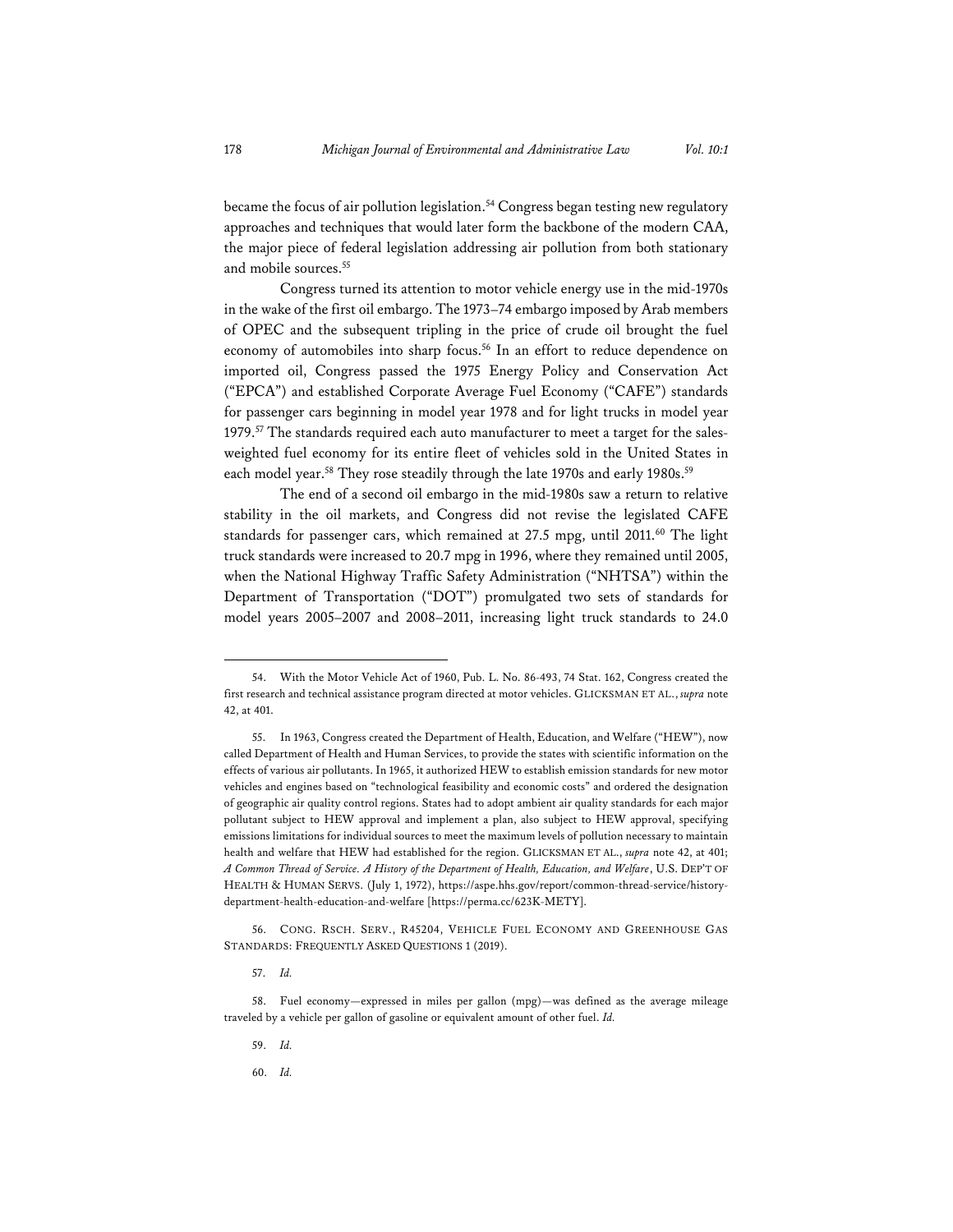became the focus of air pollution legislation.<sup>54</sup> Congress began testing new regulatory approaches and techniques that would later form the backbone of the modern CAA, the major piece of federal legislation addressing air pollution from both stationary and mobile sources.55

Congress turned its attention to motor vehicle energy use in the mid-1970s in the wake of the first oil embargo. The 1973–74 embargo imposed by Arab members of OPEC and the subsequent tripling in the price of crude oil brought the fuel economy of automobiles into sharp focus.<sup>56</sup> In an effort to reduce dependence on imported oil, Congress passed the 1975 Energy Policy and Conservation Act ("EPCA") and established Corporate Average Fuel Economy ("CAFE") standards for passenger cars beginning in model year 1978 and for light trucks in model year 1979.<sup>57</sup> The standards required each auto manufacturer to meet a target for the salesweighted fuel economy for its entire fleet of vehicles sold in the United States in each model year.<sup>58</sup> They rose steadily through the late 1970s and early 1980s.<sup>59</sup>

The end of a second oil embargo in the mid-1980s saw a return to relative stability in the oil markets, and Congress did not revise the legislated CAFE standards for passenger cars, which remained at 27.5 mpg, until 2011.<sup>60</sup> The light truck standards were increased to 20.7 mpg in 1996, where they remained until 2005, when the National Highway Traffic Safety Administration ("NHTSA") within the Department of Transportation ("DOT") promulgated two sets of standards for model years 2005–2007 and 2008–2011, increasing light truck standards to 24.0

56. CONG. RSCH. SERV., R45204, VEHICLE FUEL ECONOMY AND GREENHOUSE GAS STANDARDS: FREQUENTLY ASKED QUESTIONS 1 (2019).

57. *Id.* 

- 59. *Id.*
- 60. *Id.*

<sup>54.</sup> With the Motor Vehicle Act of 1960, Pub. L. No. 86-493, 74 Stat. 162, Congress created the first research and technical assistance program directed at motor vehicles. GLICKSMAN ET AL., *supra* note 42, at 401.

<sup>55.</sup> In 1963, Congress created the Department of Health, Education, and Welfare ("HEW"), now called Department of Health and Human Services, to provide the states with scientific information on the effects of various air pollutants. In 1965, it authorized HEW to establish emission standards for new motor vehicles and engines based on "technological feasibility and economic costs" and ordered the designation of geographic air quality control regions. States had to adopt ambient air quality standards for each major pollutant subject to HEW approval and implement a plan, also subject to HEW approval, specifying emissions limitations for individual sources to meet the maximum levels of pollution necessary to maintain health and welfare that HEW had established for the region. GLICKSMAN ET AL., *supra* note 42, at 401; *A Common Thread of Service. A History of the Department of Health, Education, and Welfare*, U.S. DEP'T OF HEALTH & HUMAN SERVS. (July 1, 1972), https://aspe.hhs.gov/report/common-thread-service/historydepartment-health-education-and-welfare [https://perma.cc/623K-METY].

<sup>58.</sup> Fuel economy—expressed in miles per gallon (mpg)—was defined as the average mileage traveled by a vehicle per gallon of gasoline or equivalent amount of other fuel. *Id.*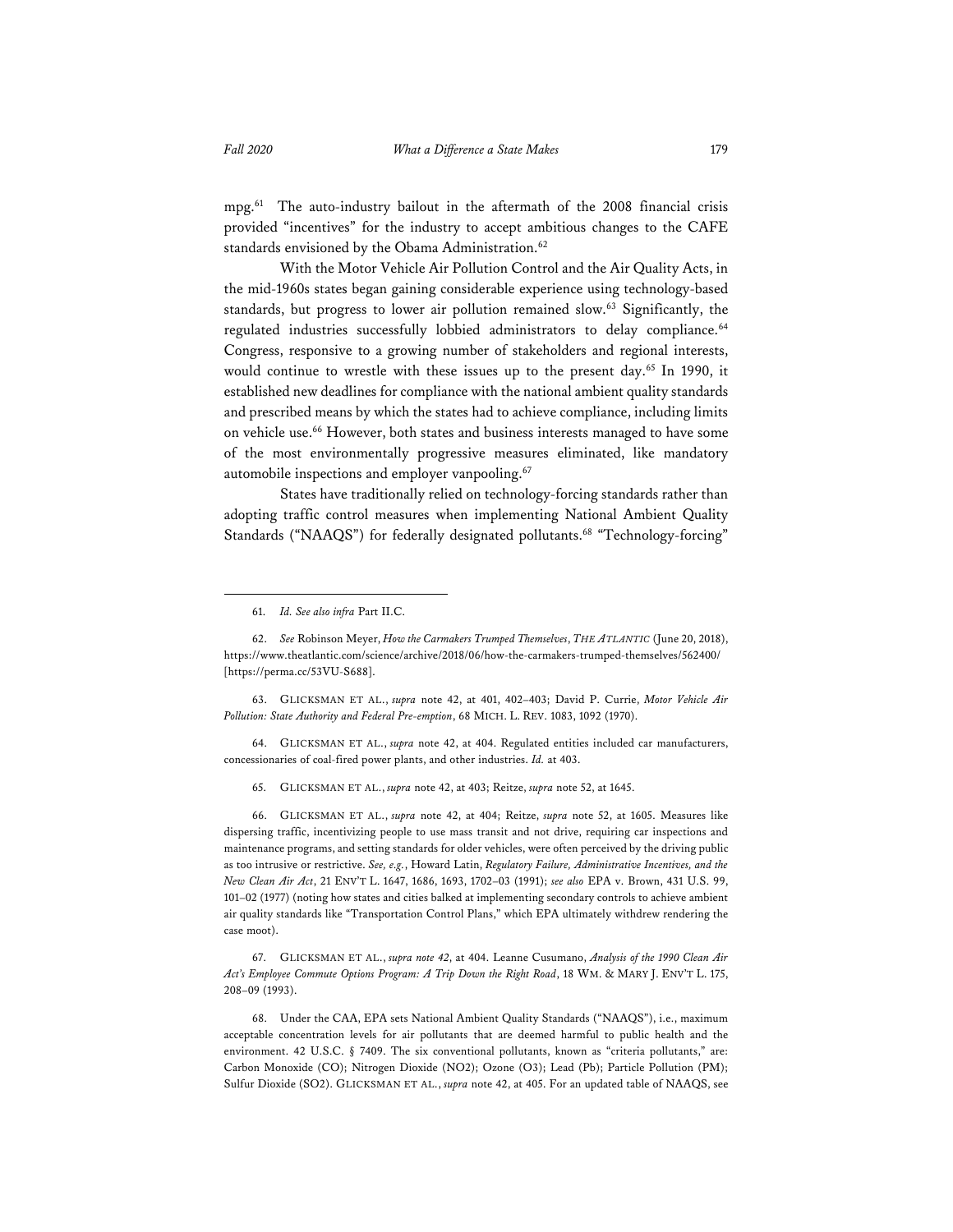mpg.61 The auto-industry bailout in the aftermath of the 2008 financial crisis provided "incentives" for the industry to accept ambitious changes to the CAFE standards envisioned by the Obama Administration.<sup>62</sup>

With the Motor Vehicle Air Pollution Control and the Air Quality Acts, in the mid-1960s states began gaining considerable experience using technology-based standards, but progress to lower air pollution remained slow.63 Significantly, the regulated industries successfully lobbied administrators to delay compliance.<sup>64</sup> Congress, responsive to a growing number of stakeholders and regional interests, would continue to wrestle with these issues up to the present day.<sup>65</sup> In 1990, it established new deadlines for compliance with the national ambient quality standards and prescribed means by which the states had to achieve compliance, including limits on vehicle use.<sup>66</sup> However, both states and business interests managed to have some of the most environmentally progressive measures eliminated, like mandatory automobile inspections and employer vanpooling.<sup>67</sup>

States have traditionally relied on technology-forcing standards rather than adopting traffic control measures when implementing National Ambient Quality Standards ("NAAQS") for federally designated pollutants.<sup>68</sup> "Technology-forcing"

63. GLICKSMAN ET AL., *supra* note 42, at 401, 402–403; David P. Currie, *Motor Vehicle Air Pollution: State Authority and Federal Pre-emption*, 68 MICH. L. REV. 1083, 1092 (1970).

64. GLICKSMAN ET AL., *supra* note 42, at 404. Regulated entities included car manufacturers, concessionaries of coal-fired power plants, and other industries. *Id.* at 403.

65. GLICKSMAN ET AL., *supra* note 42, at 403; Reitze, *supra* note 52, at 1645.

66. GLICKSMAN ET AL., *supra* note 42, at 404; Reitze, *supra* note 52, at 1605. Measures like dispersing traffic, incentivizing people to use mass transit and not drive, requiring car inspections and maintenance programs, and setting standards for older vehicles, were often perceived by the driving public as too intrusive or restrictive. *See, e.g.*, Howard Latin, *Regulatory Failure, Administrative Incentives, and the New Clean Air Act*, 21 ENV'T L. 1647, 1686, 1693, 1702–03 (1991); *see also* EPA v. Brown, 431 U.S. 99, 101–02 (1977) (noting how states and cities balked at implementing secondary controls to achieve ambient air quality standards like "Transportation Control Plans," which EPA ultimately withdrew rendering the case moot).

67. GLICKSMAN ET AL., *supra note 42*, at 404. Leanne Cusumano, *Analysis of the 1990 Clean Air Act's Employee Commute Options Program: A Trip Down the Right Road*, 18 WM. & MARY J. ENV'T L. 175, 208–09 (1993).

68. Under the CAA, EPA sets National Ambient Quality Standards ("NAAQS"), i.e., maximum acceptable concentration levels for air pollutants that are deemed harmful to public health and the environment. 42 U.S.C. § 7409. The six conventional pollutants, known as "criteria pollutants," are: Carbon Monoxide (CO); Nitrogen Dioxide (NO2); Ozone (O3); Lead (Pb); Particle Pollution (PM); Sulfur Dioxide (SO2). GLICKSMAN ET AL., *supra* note 42, at 405. For an updated table of NAAQS, see

<sup>61.</sup> *Id. See also infra* Part II.C.

<sup>62.</sup> *See* Robinson Meyer, *How the Carmakers Trumped Themselves*, *THE ATLANTIC* (June 20, 2018), https://www.theatlantic.com/science/archive/2018/06/how-the-carmakers-trumped-themselves/562400/ [https://perma.cc/53VU-S688].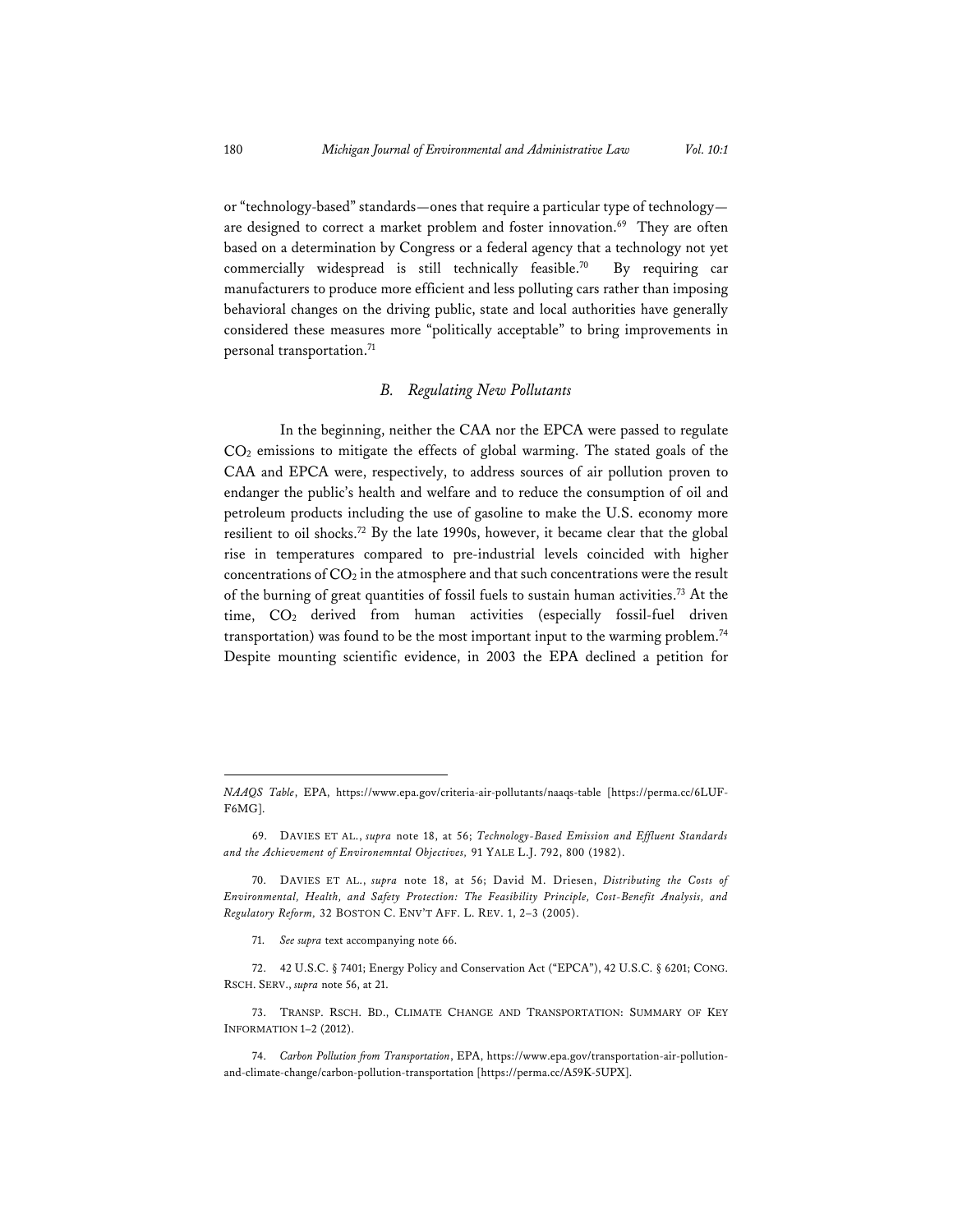or "technology-based" standards—ones that require a particular type of technology are designed to correct a market problem and foster innovation.<sup>69</sup> They are often based on a determination by Congress or a federal agency that a technology not yet commercially widespread is still technically feasible.70 By requiring car manufacturers to produce more efficient and less polluting cars rather than imposing behavioral changes on the driving public, state and local authorities have generally considered these measures more "politically acceptable" to bring improvements in personal transportation.<sup>71</sup>

#### *B. Regulating New Pollutants*

In the beginning, neither the CAA nor the EPCA were passed to regulate  $CO<sub>2</sub>$  emissions to mitigate the effects of global warming. The stated goals of the CAA and EPCA were, respectively, to address sources of air pollution proven to endanger the public's health and welfare and to reduce the consumption of oil and petroleum products including the use of gasoline to make the U.S. economy more resilient to oil shocks.72 By the late 1990s, however, it became clear that the global rise in temperatures compared to pre-industrial levels coincided with higher concentrations of  $CO<sub>2</sub>$  in the atmosphere and that such concentrations were the result of the burning of great quantities of fossil fuels to sustain human activities.73 At the time, CO<sub>2</sub> derived from human activities (especially fossil-fuel driven transportation) was found to be the most important input to the warming problem.<sup>74</sup> Despite mounting scientific evidence, in 2003 the EPA declined a petition for

*NAAQS Table*, EPA, https://www.epa.gov/criteria-air-pollutants/naaqs-table [https://perma.cc/6LUF-F6MG].

<sup>69.</sup> DAVIES ET AL., *supra* note 18, at 56; *Technology-Based Emission and Effluent Standards and the Achievement of Environemntal Objectives,* 91 YALE L.J. 792, 800 (1982).

<sup>70.</sup> DAVIES ET AL., *supra* note 18, at 56; David M. Driesen, *Distributing the Costs of Environmental, Health, and Safety Protection: The Feasibility Principle, Cost-Benefit Analysis, and Regulatory Reform,* 32 BOSTON C. ENV'T AFF. L. REV. 1, 2–3 (2005).

<sup>71.</sup> *See supra* text accompanying note 66.

<sup>72. 42</sup> U.S.C. § 7401; Energy Policy and Conservation Act ("EPCA"), 42 U.S.C. § 6201; CONG. RSCH. SERV., *supra* note 56, at 21.

<sup>73.</sup> TRANSP. RSCH. BD., CLIMATE CHANGE AND TRANSPORTATION: SUMMARY OF KEY INFORMATION 1–2 (2012).

<sup>74.</sup> *Carbon Pollution from Transportation*, EPA, https://www.epa.gov/transportation-air-pollutionand-climate-change/carbon-pollution-transportation [https://perma.cc/A59K-5UPX].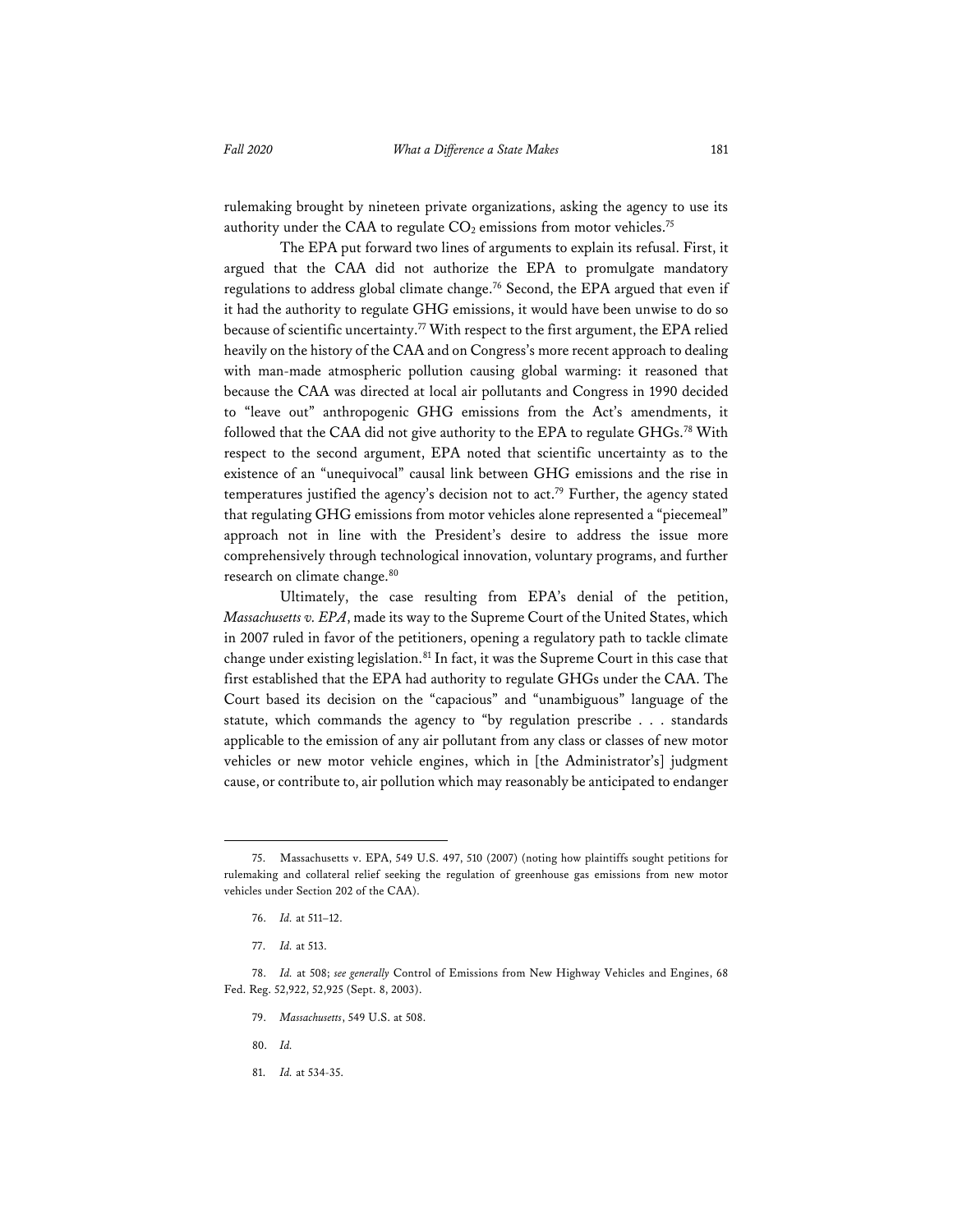rulemaking brought by nineteen private organizations, asking the agency to use its authority under the CAA to regulate  $CO<sub>2</sub>$  emissions from motor vehicles.<sup>75</sup>

The EPA put forward two lines of arguments to explain its refusal. First, it argued that the CAA did not authorize the EPA to promulgate mandatory regulations to address global climate change.<sup>76</sup> Second, the EPA argued that even if it had the authority to regulate GHG emissions, it would have been unwise to do so because of scientific uncertainty.<sup>77</sup> With respect to the first argument, the EPA relied heavily on the history of the CAA and on Congress's more recent approach to dealing with man-made atmospheric pollution causing global warming: it reasoned that because the CAA was directed at local air pollutants and Congress in 1990 decided to "leave out" anthropogenic GHG emissions from the Act's amendments, it followed that the CAA did not give authority to the EPA to regulate GHGs.78 With respect to the second argument, EPA noted that scientific uncertainty as to the existence of an "unequivocal" causal link between GHG emissions and the rise in temperatures justified the agency's decision not to act.<sup>79</sup> Further, the agency stated that regulating GHG emissions from motor vehicles alone represented a "piecemeal" approach not in line with the President's desire to address the issue more comprehensively through technological innovation, voluntary programs, and further research on climate change.<sup>80</sup>

Ultimately, the case resulting from EPA's denial of the petition, *Massachusetts v. EPA*, made its way to the Supreme Court of the United States, which in 2007 ruled in favor of the petitioners, opening a regulatory path to tackle climate change under existing legislation.<sup>81</sup> In fact, it was the Supreme Court in this case that first established that the EPA had authority to regulate GHGs under the CAA. The Court based its decision on the "capacious" and "unambiguous" language of the statute, which commands the agency to "by regulation prescribe . . . standards applicable to the emission of any air pollutant from any class or classes of new motor vehicles or new motor vehicle engines, which in [the Administrator's] judgment cause, or contribute to, air pollution which may reasonably be anticipated to endanger

- 79. *Massachusetts*, 549 U.S. at 508.
- 80. *Id.*
- 81. *Id.* at 534-35.

<sup>75.</sup> Massachusetts v. EPA, 549 U.S. 497, 510 (2007) (noting how plaintiffs sought petitions for rulemaking and collateral relief seeking the regulation of greenhouse gas emissions from new motor vehicles under Section 202 of the CAA).

<sup>76.</sup> *Id.* at 511–12.

<sup>77.</sup> *Id.* at 513.

<sup>78.</sup> *Id.* at 508; *see generally* Control of Emissions from New Highway Vehicles and Engines, 68 Fed. Reg. 52,922, 52,925 (Sept. 8, 2003).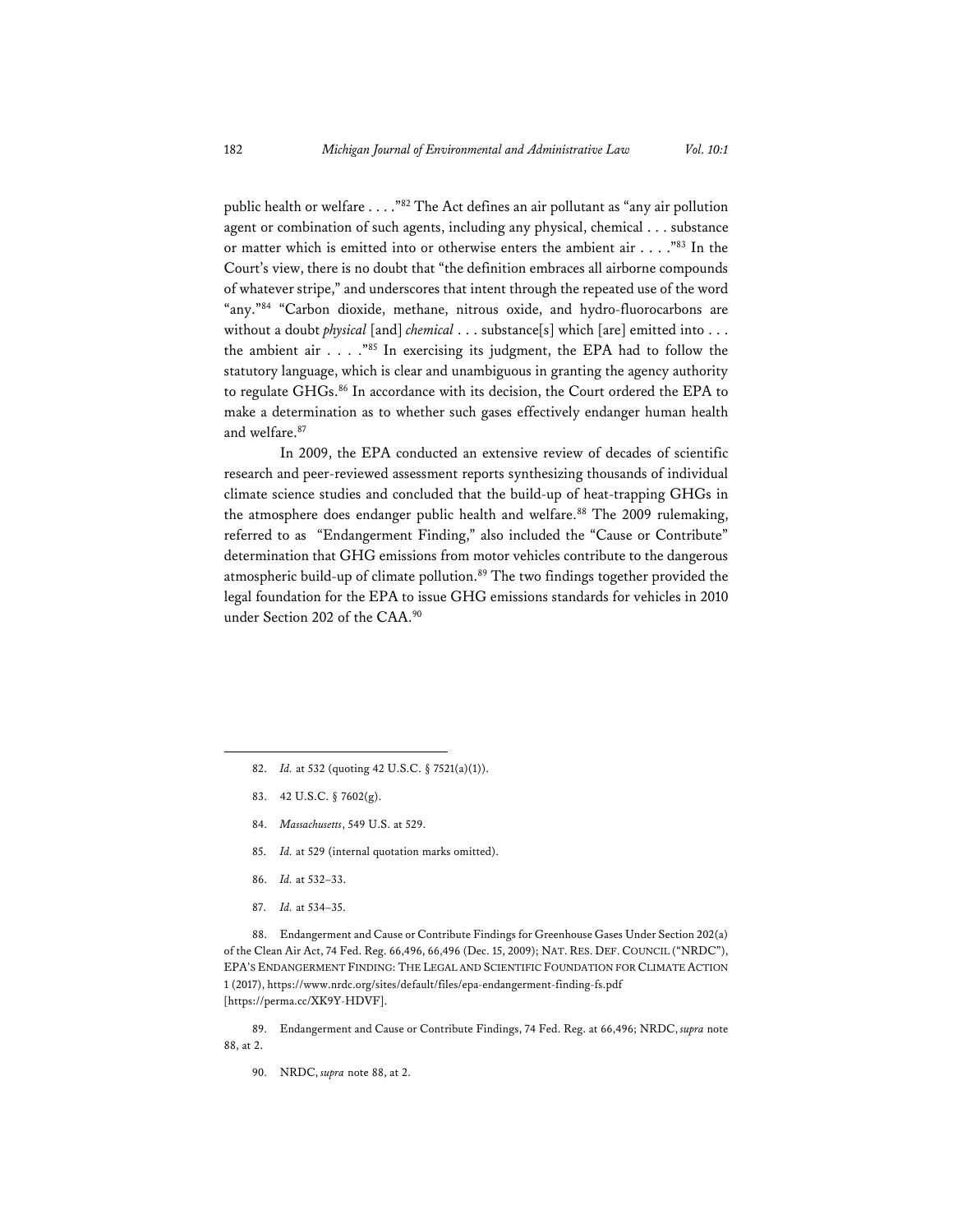public health or welfare . . . ."82 The Act defines an air pollutant as "any air pollution agent or combination of such agents, including any physical, chemical . . . substance or matter which is emitted into or otherwise enters the ambient air . . . ."83 In the Court's view, there is no doubt that "the definition embraces all airborne compounds of whatever stripe," and underscores that intent through the repeated use of the word "any."84 "Carbon dioxide, methane, nitrous oxide, and hydro-fluorocarbons are without a doubt *physical* [and] *chemical* . . . substance[s] which [are] emitted into . . . the ambient air . . . ."85 In exercising its judgment, the EPA had to follow the statutory language, which is clear and unambiguous in granting the agency authority to regulate GHGs.86 In accordance with its decision, the Court ordered the EPA to make a determination as to whether such gases effectively endanger human health and welfare.87

In 2009, the EPA conducted an extensive review of decades of scientific research and peer-reviewed assessment reports synthesizing thousands of individual climate science studies and concluded that the build-up of heat-trapping GHGs in the atmosphere does endanger public health and welfare.<sup>88</sup> The 2009 rulemaking, referred to as "Endangerment Finding," also included the "Cause or Contribute" determination that GHG emissions from motor vehicles contribute to the dangerous atmospheric build-up of climate pollution.<sup>89</sup> The two findings together provided the legal foundation for the EPA to issue GHG emissions standards for vehicles in 2010 under Section 202 of the CAA.<sup>90</sup>

- 83. 42 U.S.C. § 7602(g).
- 84. *Massachusetts*, 549 U.S. at 529.
- 85. *Id.* at 529 (internal quotation marks omitted).
- 86. *Id.* at 532–33.
- 87. *Id.* at 534–35.

88. Endangerment and Cause or Contribute Findings for Greenhouse Gases Under Section 202(a) of the Clean Air Act, 74 Fed. Reg. 66,496, 66,496 (Dec. 15, 2009); NAT. RES. DEF. COUNCIL ("NRDC"), EPA'S ENDANGERMENT FINDING: THE LEGAL AND SCIENTIFIC FOUNDATION FOR CLIMATE ACTION 1 (2017), https://www.nrdc.org/sites/default/files/epa-endangerment-finding-fs.pdf [https://perma.cc/XK9Y-HDVF].

89. Endangerment and Cause or Contribute Findings, 74 Fed. Reg. at 66,496; NRDC, *supra* note 88, at 2.

90. NRDC, *supra* note 88, at 2.

<sup>82.</sup> *Id.* at 532 (quoting 42 U.S.C. § 7521(a)(1)).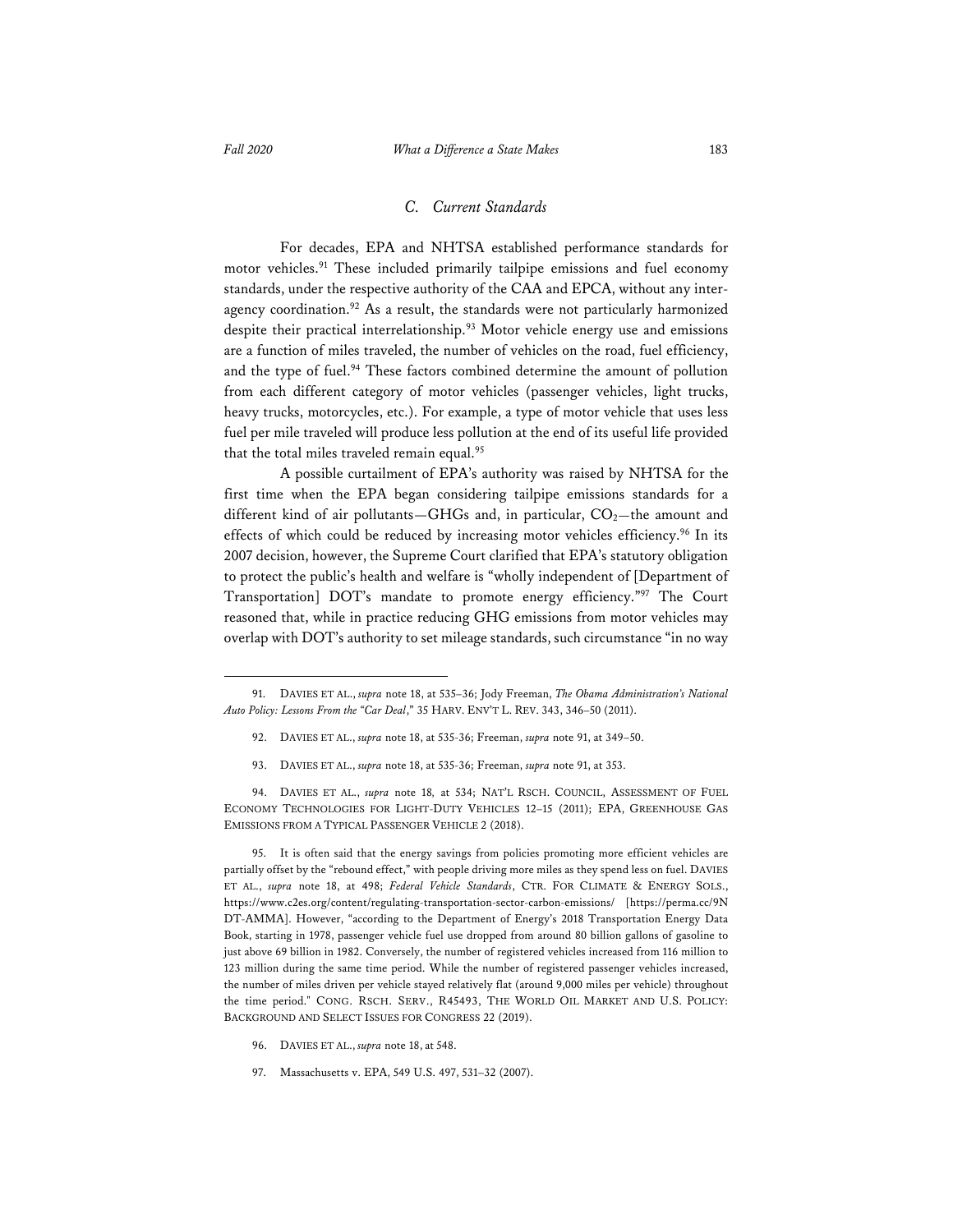#### *C. Current Standards*

For decades, EPA and NHTSA established performance standards for motor vehicles.<sup>91</sup> These included primarily tailpipe emissions and fuel economy standards, under the respective authority of the CAA and EPCA, without any interagency coordination.<sup>92</sup> As a result, the standards were not particularly harmonized despite their practical interrelationship.<sup>93</sup> Motor vehicle energy use and emissions are a function of miles traveled, the number of vehicles on the road, fuel efficiency, and the type of fuel.<sup>94</sup> These factors combined determine the amount of pollution from each different category of motor vehicles (passenger vehicles, light trucks, heavy trucks, motorcycles, etc.). For example, a type of motor vehicle that uses less fuel per mile traveled will produce less pollution at the end of its useful life provided that the total miles traveled remain equal.<sup>95</sup>

A possible curtailment of EPA's authority was raised by NHTSA for the first time when the EPA began considering tailpipe emissions standards for a different kind of air pollutants—GHGs and, in particular,  $CO<sub>2</sub>$ —the amount and effects of which could be reduced by increasing motor vehicles efficiency.<sup>96</sup> In its 2007 decision, however, the Supreme Court clarified that EPA's statutory obligation to protect the public's health and welfare is "wholly independent of [Department of Transportation] DOT's mandate to promote energy efficiency."97 The Court reasoned that, while in practice reducing GHG emissions from motor vehicles may overlap with DOT's authority to set mileage standards, such circumstance "in no way

- 92. DAVIES ET AL., *supra* note 18, at 535-36; Freeman, *supra* note 91, at 349–50.
- 93. DAVIES ET AL., *supra* note 18, at 535-36; Freeman, *supra* note 91, at 353.

94. DAVIES ET AL., *supra* note 18*,* at 534; NAT'L RSCH. COUNCIL, ASSESSMENT OF FUEL ECONOMY TECHNOLOGIES FOR LIGHT-DUTY VEHICLES 12–15 (2011); EPA, GREENHOUSE GAS EMISSIONS FROM A TYPICAL PASSENGER VEHICLE 2 (2018).

95. It is often said that the energy savings from policies promoting more efficient vehicles are partially offset by the "rebound effect," with people driving more miles as they spend less on fuel. DAVIES ET AL., *supra* note 18, at 498; *Federal Vehicle Standards*, CTR. FOR CLIMATE & ENERGY SOLS., https://www.c2es.org/content/regulating-transportation-sector-carbon-emissions/ [https://perma.cc/9N DT-AMMA]. However, "according to the Department of Energy's 2018 Transportation Energy Data Book, starting in 1978, passenger vehicle fuel use dropped from around 80 billion gallons of gasoline to just above 69 billion in 1982. Conversely, the number of registered vehicles increased from 116 million to 123 million during the same time period. While the number of registered passenger vehicles increased, the number of miles driven per vehicle stayed relatively flat (around 9,000 miles per vehicle) throughout the time period." CONG. RSCH. SERV., R45493, THE WORLD OIL MARKET AND U.S. POLICY: BACKGROUND AND SELECT ISSUES FOR CONGRESS 22 (2019).

- 96. DAVIES ET AL., *supra* note 18, at 548.
- 97. Massachusetts v. EPA, 549 U.S. 497, 531–32 (2007).

<sup>91.</sup> DAVIES ET AL., *supra* note 18, at 535–36; Jody Freeman, *The Obama Administration's National Auto Policy: Lessons From the "Car Deal*," 35 HARV. ENV'T L. REV. 343, 346–50 (2011).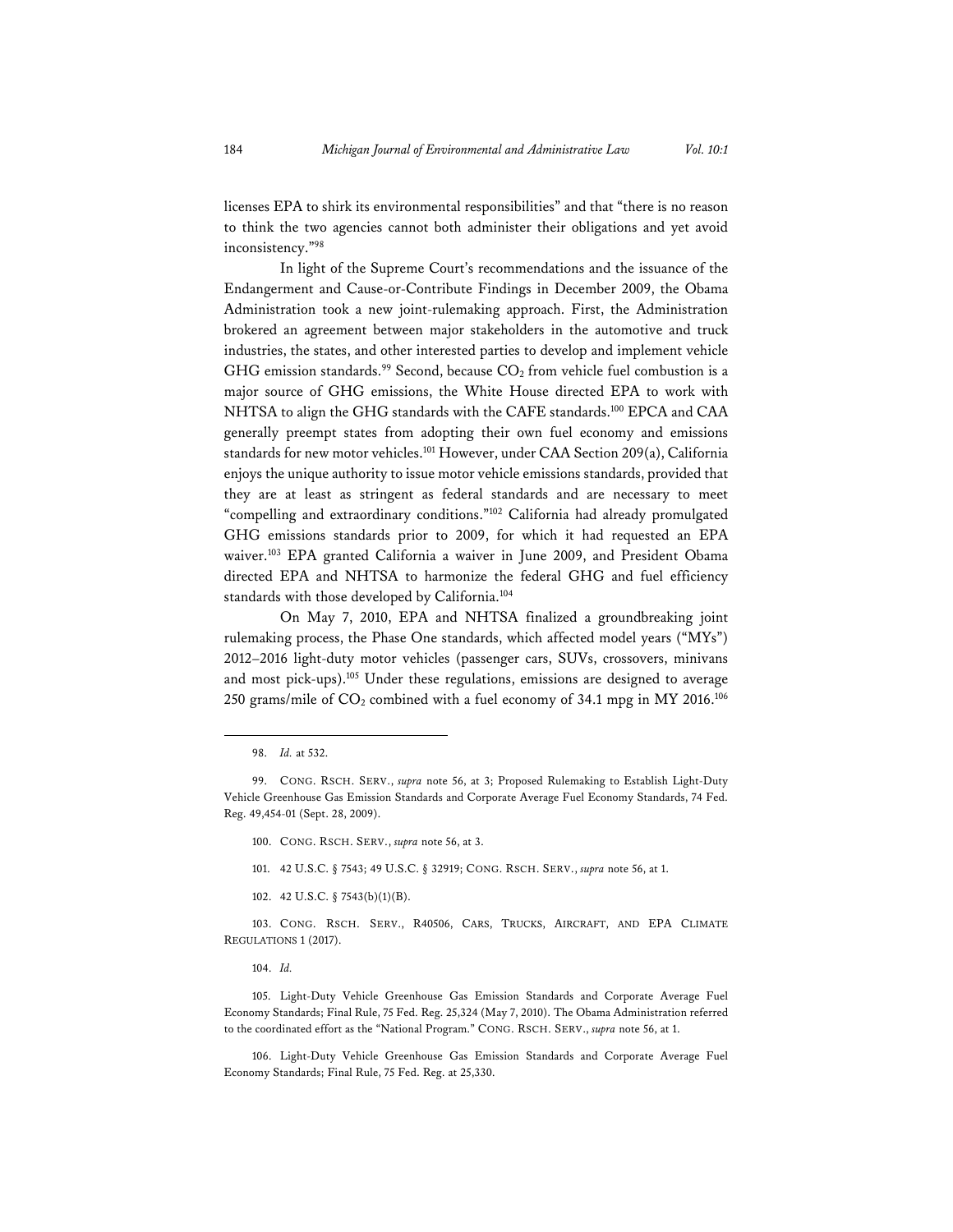licenses EPA to shirk its environmental responsibilities" and that "there is no reason to think the two agencies cannot both administer their obligations and yet avoid inconsistency."98

In light of the Supreme Court's recommendations and the issuance of the Endangerment and Cause-or-Contribute Findings in December 2009, the Obama Administration took a new joint-rulemaking approach. First, the Administration brokered an agreement between major stakeholders in the automotive and truck industries, the states, and other interested parties to develop and implement vehicle GHG emission standards.<sup>99</sup> Second, because  $CO<sub>2</sub>$  from vehicle fuel combustion is a major source of GHG emissions, the White House directed EPA to work with NHTSA to align the GHG standards with the CAFE standards.100 EPCA and CAA generally preempt states from adopting their own fuel economy and emissions standards for new motor vehicles.<sup>101</sup> However, under CAA Section 209(a), California enjoys the unique authority to issue motor vehicle emissions standards, provided that they are at least as stringent as federal standards and are necessary to meet "compelling and extraordinary conditions."102 California had already promulgated GHG emissions standards prior to 2009, for which it had requested an EPA waiver.<sup>103</sup> EPA granted California a waiver in June 2009, and President Obama directed EPA and NHTSA to harmonize the federal GHG and fuel efficiency standards with those developed by California.104

On May 7, 2010, EPA and NHTSA finalized a groundbreaking joint rulemaking process, the Phase One standards, which affected model years ("MYs") 2012–2016 light-duty motor vehicles (passenger cars, SUVs, crossovers, minivans and most pick-ups).105 Under these regulations, emissions are designed to average 250 grams/mile of  $CO_2$  combined with a fuel economy of 34.1 mpg in MY 2016.<sup>106</sup>

101. 42 U.S.C. § 7543; 49 U.S.C. § 32919; CONG. RSCH. SERV., *supra* note 56, at 1.

103. CONG. RSCH. SERV., R40506, CARS, TRUCKS, AIRCRAFT, AND EPA CLIMATE REGULATIONS 1 (2017).

104. *Id.* 

105. Light-Duty Vehicle Greenhouse Gas Emission Standards and Corporate Average Fuel Economy Standards; Final Rule, 75 Fed. Reg. 25,324 (May 7, 2010). The Obama Administration referred to the coordinated effort as the "National Program." CONG. RSCH. SERV., *supra* note 56, at 1.

106. Light-Duty Vehicle Greenhouse Gas Emission Standards and Corporate Average Fuel Economy Standards; Final Rule, 75 Fed. Reg. at 25,330.

<sup>98.</sup> *Id.* at 532.

<sup>99.</sup> CONG. RSCH. SERV., *supra* note 56, at 3; Proposed Rulemaking to Establish Light-Duty Vehicle Greenhouse Gas Emission Standards and Corporate Average Fuel Economy Standards, 74 Fed. Reg. 49,454-01 (Sept. 28, 2009).

<sup>100.</sup> CONG. RSCH. SERV., *supra* note 56, at 3.

<sup>102. 42</sup> U.S.C. § 7543(b)(1)(B).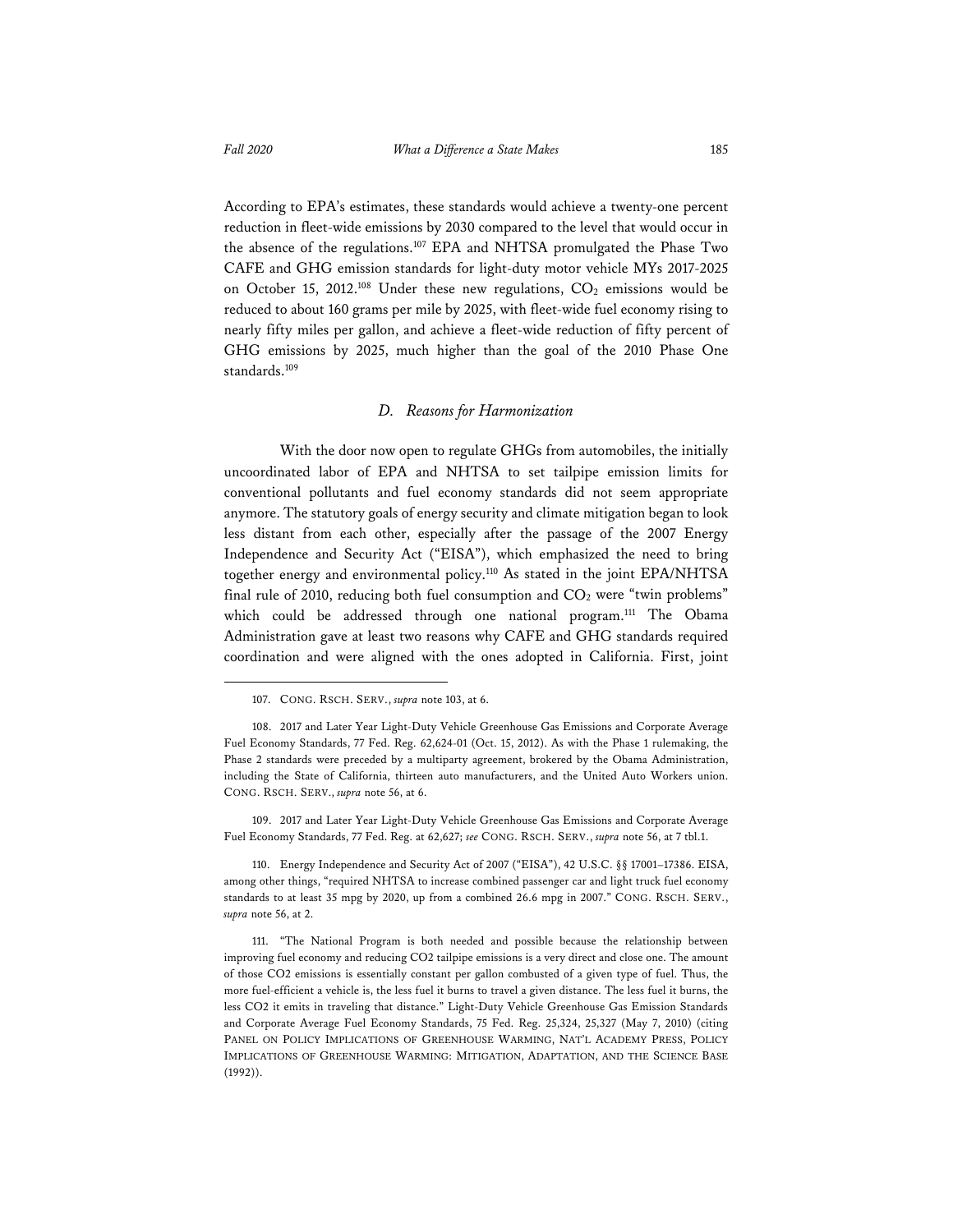According to EPA's estimates, these standards would achieve a twenty-one percent reduction in fleet-wide emissions by 2030 compared to the level that would occur in the absence of the regulations.107 EPA and NHTSA promulgated the Phase Two CAFE and GHG emission standards for light-duty motor vehicle MYs 2017-2025 on October 15, 2012.<sup>108</sup> Under these new regulations,  $CO<sub>2</sub>$  emissions would be reduced to about 160 grams per mile by 2025, with fleet-wide fuel economy rising to nearly fifty miles per gallon, and achieve a fleet-wide reduction of fifty percent of GHG emissions by 2025, much higher than the goal of the 2010 Phase One standards.<sup>109</sup>

#### *D. Reasons for Harmonization*

With the door now open to regulate GHGs from automobiles, the initially uncoordinated labor of EPA and NHTSA to set tailpipe emission limits for conventional pollutants and fuel economy standards did not seem appropriate anymore. The statutory goals of energy security and climate mitigation began to look less distant from each other, especially after the passage of the 2007 Energy Independence and Security Act ("EISA"), which emphasized the need to bring together energy and environmental policy.110 As stated in the joint EPA/NHTSA final rule of 2010, reducing both fuel consumption and  $CO<sub>2</sub>$  were "twin problems" which could be addressed through one national program.<sup>111</sup> The Obama Administration gave at least two reasons why CAFE and GHG standards required coordination and were aligned with the ones adopted in California. First, joint

109. 2017 and Later Year Light-Duty Vehicle Greenhouse Gas Emissions and Corporate Average Fuel Economy Standards, 77 Fed. Reg. at 62,627; *see* CONG. RSCH. SERV., *supra* note 56, at 7 tbl.1.

110. Energy Independence and Security Act of 2007 ("EISA"), 42 U.S.C. §§ 17001–17386. EISA, among other things, "required NHTSA to increase combined passenger car and light truck fuel economy standards to at least 35 mpg by 2020, up from a combined 26.6 mpg in 2007." CONG. RSCH. SERV., *supra* note 56, at 2.

<sup>107.</sup> CONG. RSCH. SERV., *supra* note 103, at 6.

<sup>108. 2017</sup> and Later Year Light-Duty Vehicle Greenhouse Gas Emissions and Corporate Average Fuel Economy Standards, 77 Fed. Reg. 62,624-01 (Oct. 15, 2012). As with the Phase 1 rulemaking, the Phase 2 standards were preceded by a multiparty agreement, brokered by the Obama Administration, including the State of California, thirteen auto manufacturers, and the United Auto Workers union. CONG. RSCH. SERV., *supra* note 56, at 6.

<sup>111. &</sup>quot;The National Program is both needed and possible because the relationship between improving fuel economy and reducing CO2 tailpipe emissions is a very direct and close one. The amount of those CO2 emissions is essentially constant per gallon combusted of a given type of fuel. Thus, the more fuel-efficient a vehicle is, the less fuel it burns to travel a given distance. The less fuel it burns, the less CO2 it emits in traveling that distance." Light-Duty Vehicle Greenhouse Gas Emission Standards and Corporate Average Fuel Economy Standards, 75 Fed. Reg. 25,324, 25,327 (May 7, 2010) (citing PANEL ON POLICY IMPLICATIONS OF GREENHOUSE WARMING, NAT'L ACADEMY PRESS, POLICY IMPLICATIONS OF GREENHOUSE WARMING: MITIGATION, ADAPTATION, AND THE SCIENCE BASE (1992)).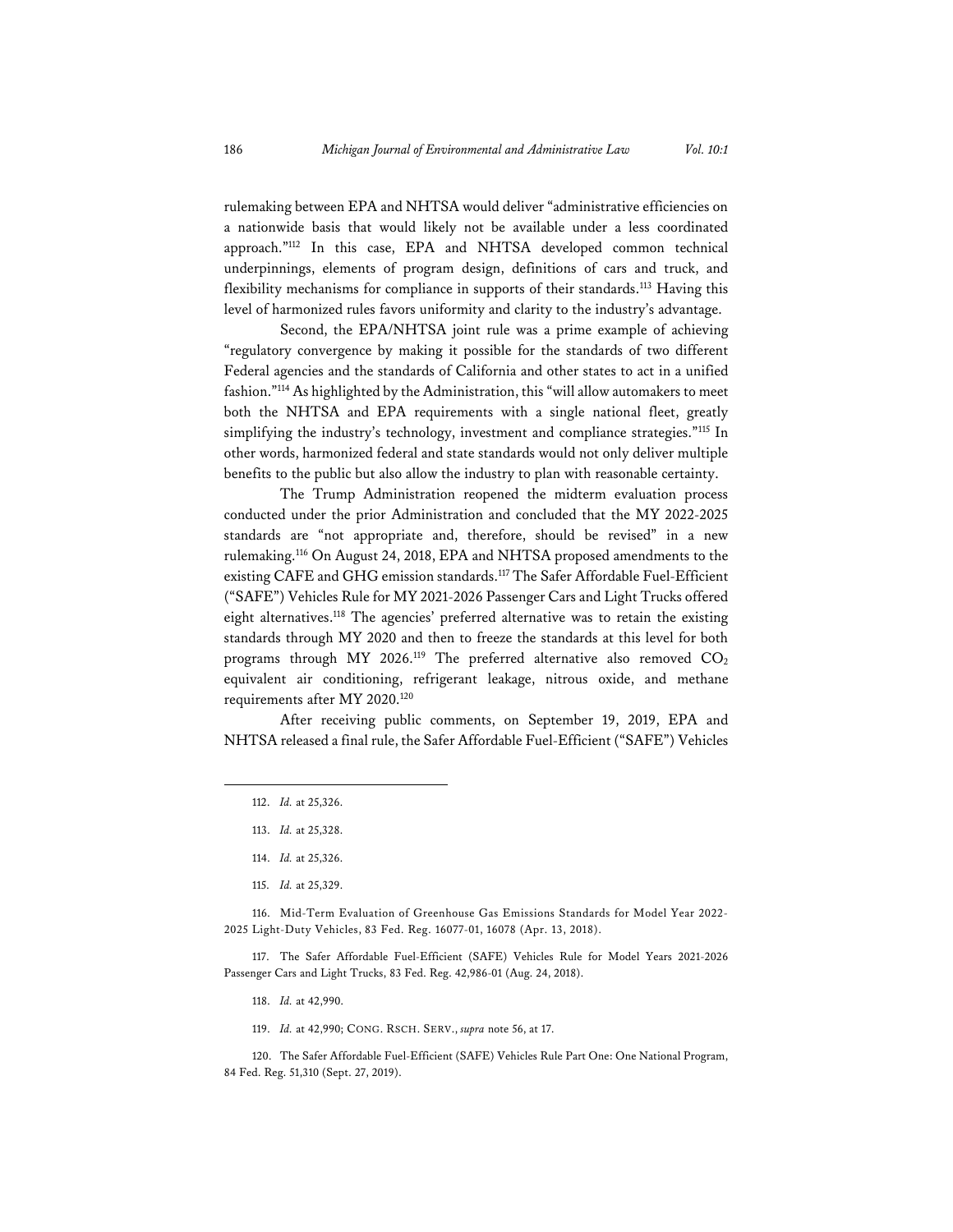rulemaking between EPA and NHTSA would deliver "administrative efficiencies on a nationwide basis that would likely not be available under a less coordinated approach."112 In this case, EPA and NHTSA developed common technical underpinnings, elements of program design, definitions of cars and truck, and flexibility mechanisms for compliance in supports of their standards.<sup>113</sup> Having this level of harmonized rules favors uniformity and clarity to the industry's advantage.

Second, the EPA/NHTSA joint rule was a prime example of achieving "regulatory convergence by making it possible for the standards of two different Federal agencies and the standards of California and other states to act in a unified fashion."114 As highlighted by the Administration, this "will allow automakers to meet both the NHTSA and EPA requirements with a single national fleet, greatly simplifying the industry's technology, investment and compliance strategies."115 In other words, harmonized federal and state standards would not only deliver multiple benefits to the public but also allow the industry to plan with reasonable certainty.

The Trump Administration reopened the midterm evaluation process conducted under the prior Administration and concluded that the MY 2022-2025 standards are "not appropriate and, therefore, should be revised" in a new rulemaking.116 On August 24, 2018, EPA and NHTSA proposed amendments to the existing CAFE and GHG emission standards.<sup>117</sup> The Safer Affordable Fuel-Efficient ("SAFE") Vehicles Rule for MY 2021-2026 Passenger Cars and Light Trucks offered eight alternatives.118 The agencies' preferred alternative was to retain the existing standards through MY 2020 and then to freeze the standards at this level for both programs through MY 2026.<sup>119</sup> The preferred alternative also removed CO<sub>2</sub> equivalent air conditioning, refrigerant leakage, nitrous oxide, and methane requirements after MY 2020.120

After receiving public comments, on September 19, 2019, EPA and NHTSA released a final rule, the Safer Affordable Fuel-Efficient ("SAFE") Vehicles

115. *Id.* at 25,329.

116. Mid-Term Evaluation of Greenhouse Gas Emissions Standards for Model Year 2022- 2025 Light-Duty Vehicles, 83 Fed. Reg. 16077-01, 16078 (Apr. 13, 2018).

117. The Safer Affordable Fuel-Efficient (SAFE) Vehicles Rule for Model Years 2021-2026 Passenger Cars and Light Trucks, 83 Fed. Reg. 42,986-01 (Aug. 24, 2018).

- 118. *Id.* at 42,990.
- 119. *Id.* at 42,990; CONG. RSCH. SERV., *supra* note 56, at 17.

120. The Safer Affordable Fuel-Efficient (SAFE) Vehicles Rule Part One: One National Program, 84 Fed. Reg. 51,310 (Sept. 27, 2019).

<sup>112.</sup> *Id.* at 25,326.

<sup>113.</sup> *Id.* at 25,328.

<sup>114.</sup> *Id.* at 25,326.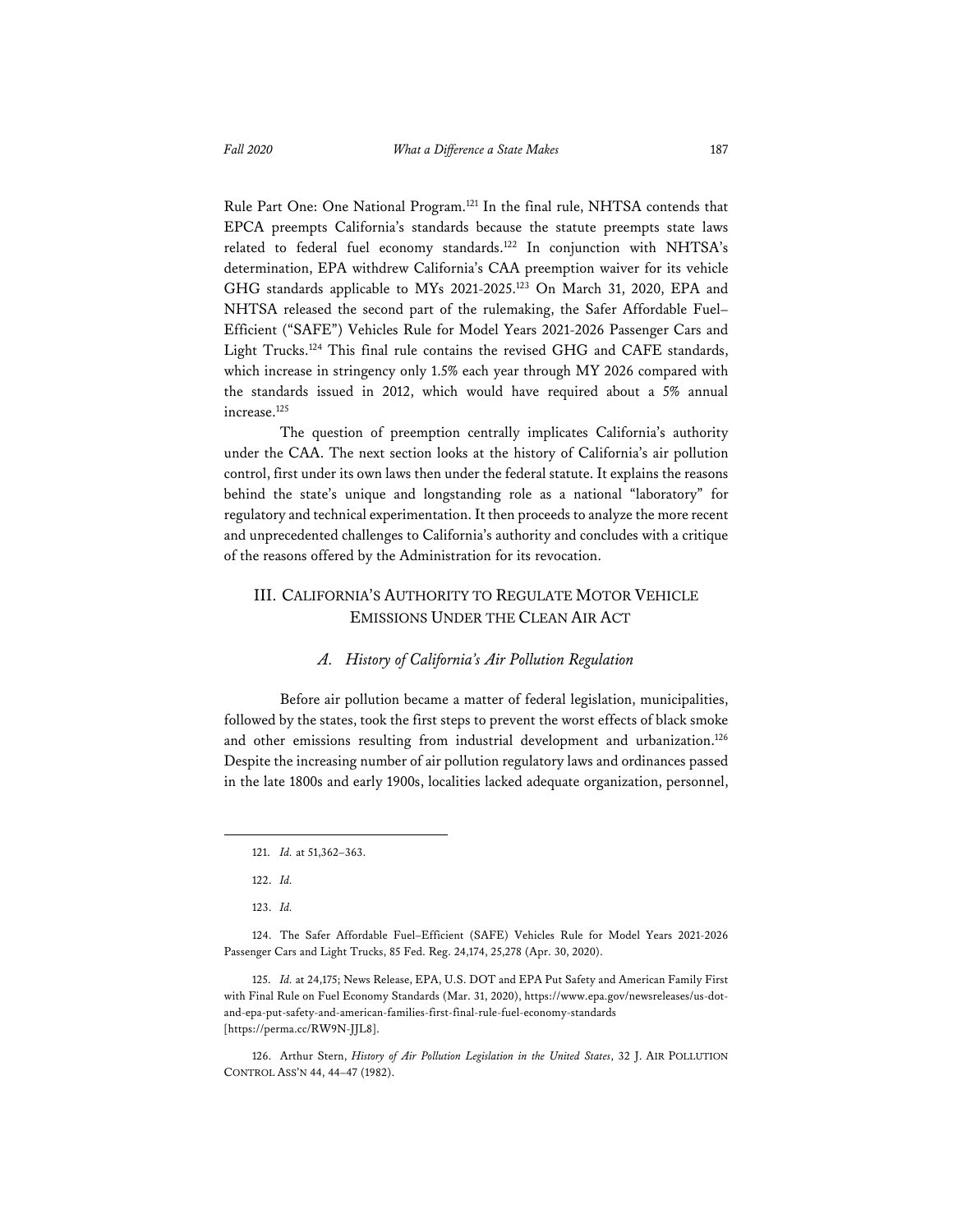Rule Part One: One National Program.121 In the final rule, NHTSA contends that EPCA preempts California's standards because the statute preempts state laws

related to federal fuel economy standards.<sup>122</sup> In conjunction with NHTSA's determination, EPA withdrew California's CAA preemption waiver for its vehicle GHG standards applicable to MYs 2021-2025.123 On March 31, 2020, EPA and NHTSA released the second part of the rulemaking, the Safer Affordable Fuel– Efficient ("SAFE") Vehicles Rule for Model Years 2021-2026 Passenger Cars and Light Trucks.124 This final rule contains the revised GHG and CAFE standards, which increase in stringency only 1.5% each year through MY 2026 compared with the standards issued in 2012, which would have required about a 5% annual increase.125

The question of preemption centrally implicates California's authority under the CAA. The next section looks at the history of California's air pollution control, first under its own laws then under the federal statute. It explains the reasons behind the state's unique and longstanding role as a national "laboratory" for regulatory and technical experimentation. It then proceeds to analyze the more recent and unprecedented challenges to California's authority and concludes with a critique of the reasons offered by the Administration for its revocation.

## III. CALIFORNIA'S AUTHORITY TO REGULATE MOTOR VEHICLE EMISSIONS UNDER THE CLEAN AIR ACT

#### *A. History of California's Air Pollution Regulation*

Before air pollution became a matter of federal legislation, municipalities, followed by the states, took the first steps to prevent the worst effects of black smoke and other emissions resulting from industrial development and urbanization.<sup>126</sup> Despite the increasing number of air pollution regulatory laws and ordinances passed in the late 1800s and early 1900s, localities lacked adequate organization, personnel,

<sup>121.</sup> *Id.* at 51,362–363.

<sup>122.</sup> *Id.* 

<sup>123.</sup> *Id.*

<sup>124.</sup> The Safer Affordable Fuel–Efficient (SAFE) Vehicles Rule for Model Years 2021-2026 Passenger Cars and Light Trucks, 85 Fed. Reg. 24,174, 25,278 (Apr. 30, 2020).

<sup>125.</sup> *Id.* at 24,175; News Release, EPA, U.S. DOT and EPA Put Safety and American Family First with Final Rule on Fuel Economy Standards (Mar. 31, 2020), https://www.epa.gov/newsreleases/us-dotand-epa-put-safety-and-american-families-first-final-rule-fuel-economy-standards [https://perma.cc/RW9N-JJL8].

<sup>126.</sup> Arthur Stern, *History of Air Pollution Legislation in the United States*, 32 J. AIR POLLUTION CONTROL ASS'N 44, 44–47 (1982).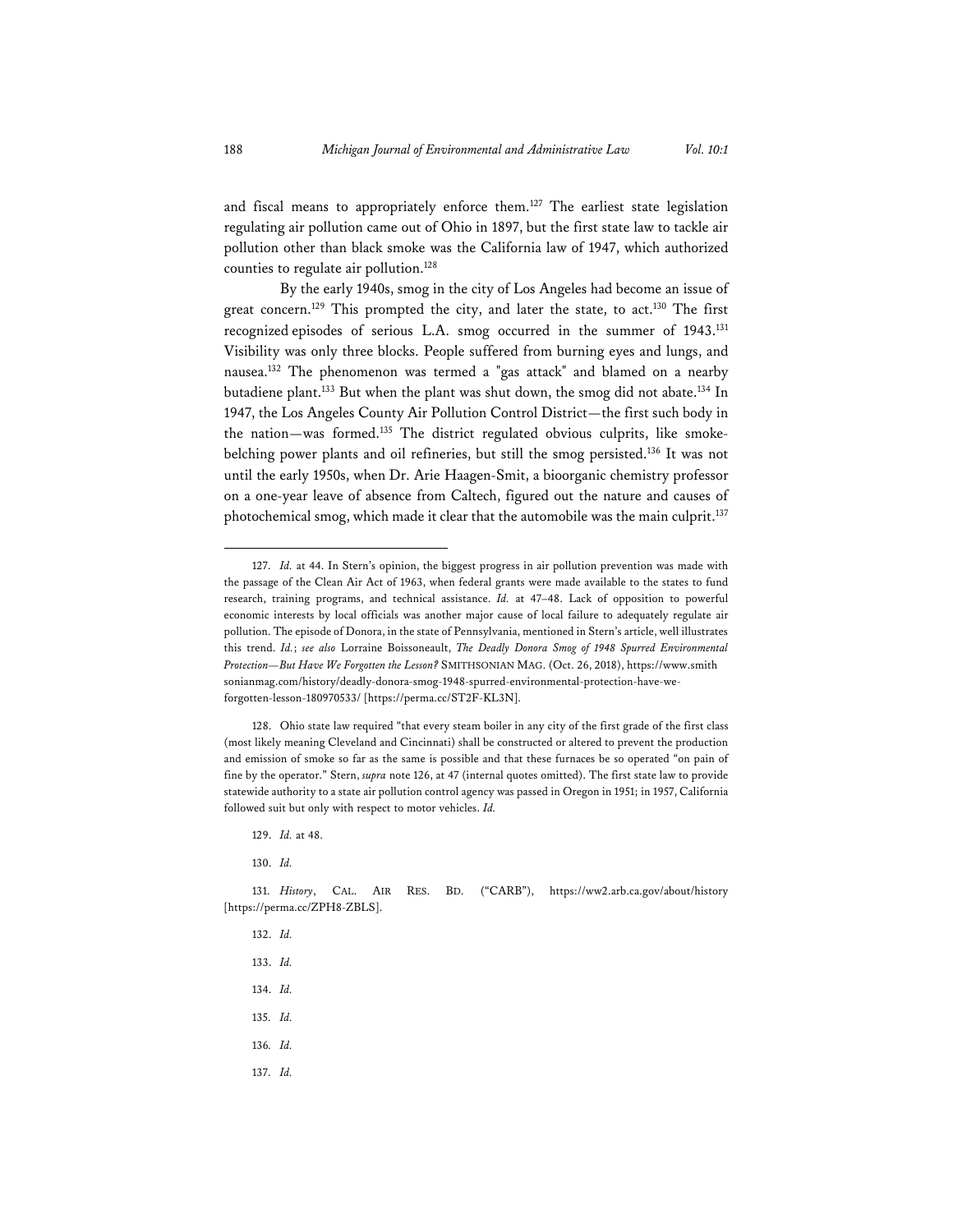and fiscal means to appropriately enforce them.127 The earliest state legislation regulating air pollution came out of Ohio in 1897, but the first state law to tackle air pollution other than black smoke was the California law of 1947, which authorized counties to regulate air pollution.128

By the early 1940s, smog in the city of Los Angeles had become an issue of great concern.<sup>129</sup> This prompted the city, and later the state, to act.<sup>130</sup> The first recognized episodes of serious L.A. smog occurred in the summer of 1943.131 Visibility was only three blocks. People suffered from burning eyes and lungs, and nausea.132 The phenomenon was termed a "gas attack" and blamed on a nearby butadiene plant.133 But when the plant was shut down, the smog did not abate.134 In 1947, the Los Angeles County Air Pollution Control District—the first such body in the nation—was formed.135 The district regulated obvious culprits, like smokebelching power plants and oil refineries, but still the smog persisted.136 It was not until the early 1950s, when Dr. Arie Haagen-Smit, a bioorganic chemistry professor on a one-year leave of absence from Caltech, figured out the nature and causes of photochemical smog, which made it clear that the automobile was the main culprit.137

132. *Id.* 133. *Id.* 134. *Id.* 135. *Id.*  136*. Id.* 137. *Id.*

<sup>127.</sup> *Id.* at 44. In Stern's opinion, the biggest progress in air pollution prevention was made with the passage of the Clean Air Act of 1963, when federal grants were made available to the states to fund research, training programs, and technical assistance. *Id.* at 47–48. Lack of opposition to powerful economic interests by local officials was another major cause of local failure to adequately regulate air pollution. The episode of Donora, in the state of Pennsylvania, mentioned in Stern's article, well illustrates this trend. *Id.*; *see also* Lorraine Boissoneault, *The Deadly Donora Smog of 1948 Spurred Environmental Protection—But Have We Forgotten the Lesson?* SMITHSONIAN MAG. (Oct. 26, 2018), https://www.smith sonianmag.com/history/deadly-donora-smog-1948-spurred-environmental-protection-have-weforgotten-lesson-180970533/ [https://perma.cc/ST2F-KL3N].

<sup>128.</sup> Ohio state law required "that every steam boiler in any city of the first grade of the first class (most likely meaning Cleveland and Cincinnati) shall be constructed or altered to prevent the production and emission of smoke so far as the same is possible and that these furnaces be so operated "on pain of fine by the operator." Stern, *supra* note 126, at 47 (internal quotes omitted). The first state law to provide statewide authority to a state air pollution control agency was passed in Oregon in 1951; in 1957, California followed suit but only with respect to motor vehicles. *Id.*

<sup>129.</sup> *Id.* at 48.

<sup>130.</sup> *Id.* 

<sup>131.</sup> *History*, CAL. AIR RES. BD. ("CARB"), https://ww2.arb.ca.gov/about/history [https://perma.cc/ZPH8-ZBLS].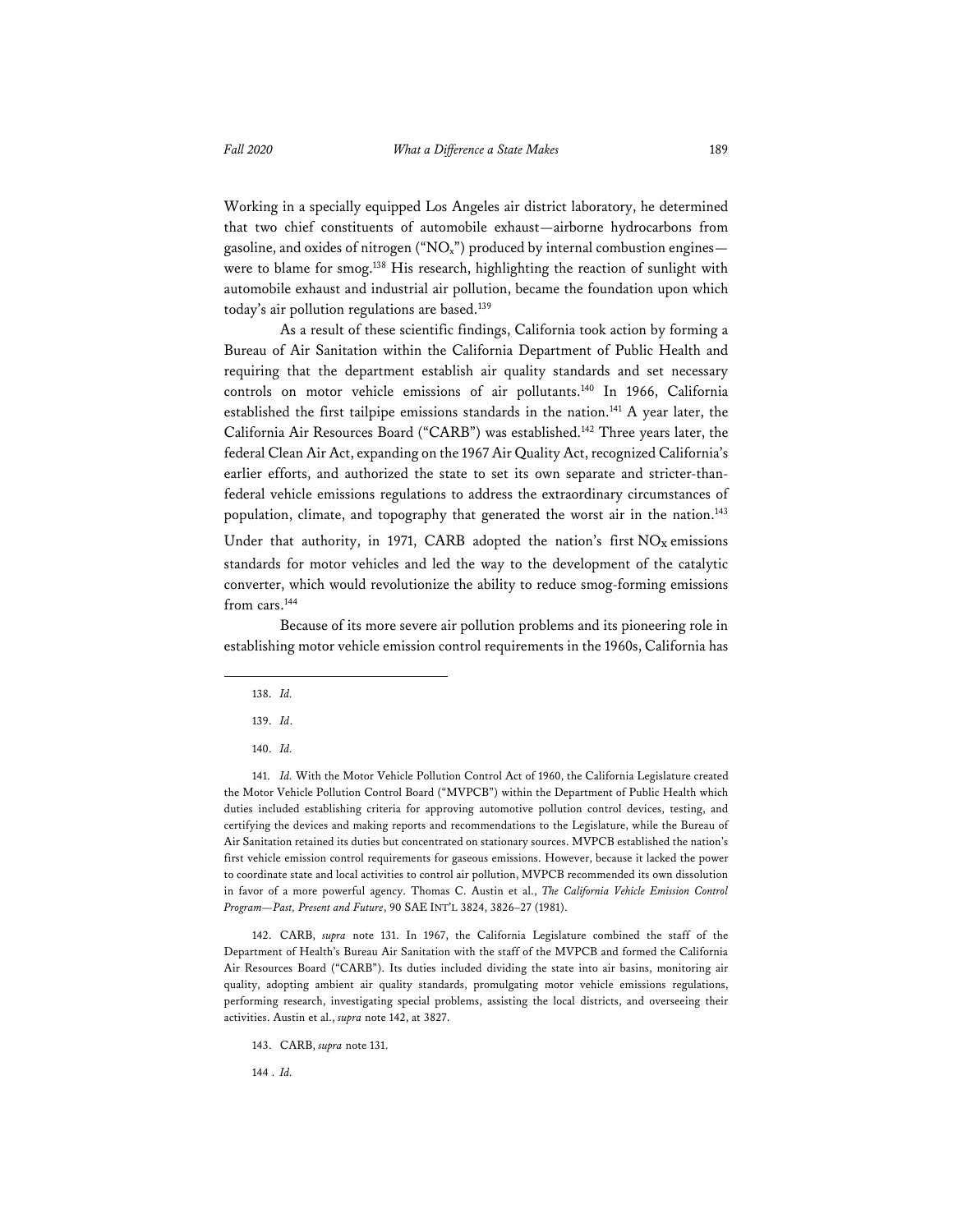Working in a specially equipped Los Angeles air district laboratory, he determined that two chief constituents of automobile exhaust—airborne hydrocarbons from gasoline, and oxides of nitrogen ("NO<sub>x</sub>") produced by internal combustion engines were to blame for smog.<sup>138</sup> His research, highlighting the reaction of sunlight with automobile exhaust and industrial air pollution, became the foundation upon which today's air pollution regulations are based.139

As a result of these scientific findings, California took action by forming a Bureau of Air Sanitation within the California Department of Public Health and requiring that the department establish air quality standards and set necessary controls on motor vehicle emissions of air pollutants.140 In 1966, California established the first tailpipe emissions standards in the nation.141 A year later, the California Air Resources Board ("CARB") was established.142 Three years later, the federal Clean Air Act, expanding on the 1967 Air Quality Act, recognized California's earlier efforts, and authorized the state to set its own separate and stricter-thanfederal vehicle emissions regulations to address the extraordinary circumstances of population, climate, and topography that generated the worst air in the nation.<sup>143</sup> Under that authority, in 1971, CARB adopted the nation's first  $NO<sub>x</sub>$  emissions

standards for motor vehicles and led the way to the development of the catalytic converter, which would revolutionize the ability to reduce smog-forming emissions from cars.<sup>144</sup>

Because of its more severe air pollution problems and its pioneering role in establishing motor vehicle emission control requirements in the 1960s, California has

142. CARB, *supra* note 131. In 1967, the California Legislature combined the staff of the Department of Health's Bureau Air Sanitation with the staff of the MVPCB and formed the California Air Resources Board ("CARB"). Its duties included dividing the state into air basins, monitoring air quality, adopting ambient air quality standards, promulgating motor vehicle emissions regulations, performing research, investigating special problems, assisting the local districts, and overseeing their activities. Austin et al., *supra* note 142, at 3827.

143. CARB, *supra* note 131.

144 . *Id.*

<sup>138.</sup> *Id.*

<sup>139.</sup> *Id*.

<sup>140.</sup> *Id.*

<sup>141.</sup> *Id.* With the Motor Vehicle Pollution Control Act of 1960, the California Legislature created the Motor Vehicle Pollution Control Board ("MVPCB") within the Department of Public Health which duties included establishing criteria for approving automotive pollution control devices, testing, and certifying the devices and making reports and recommendations to the Legislature, while the Bureau of Air Sanitation retained its duties but concentrated on stationary sources. MVPCB established the nation's first vehicle emission control requirements for gaseous emissions. However, because it lacked the power to coordinate state and local activities to control air pollution, MVPCB recommended its own dissolution in favor of a more powerful agency. Thomas C. Austin et al., *The California Vehicle Emission Control Program—Past, Present and Future*, 90 SAE INT'L 3824, 3826–27 (1981).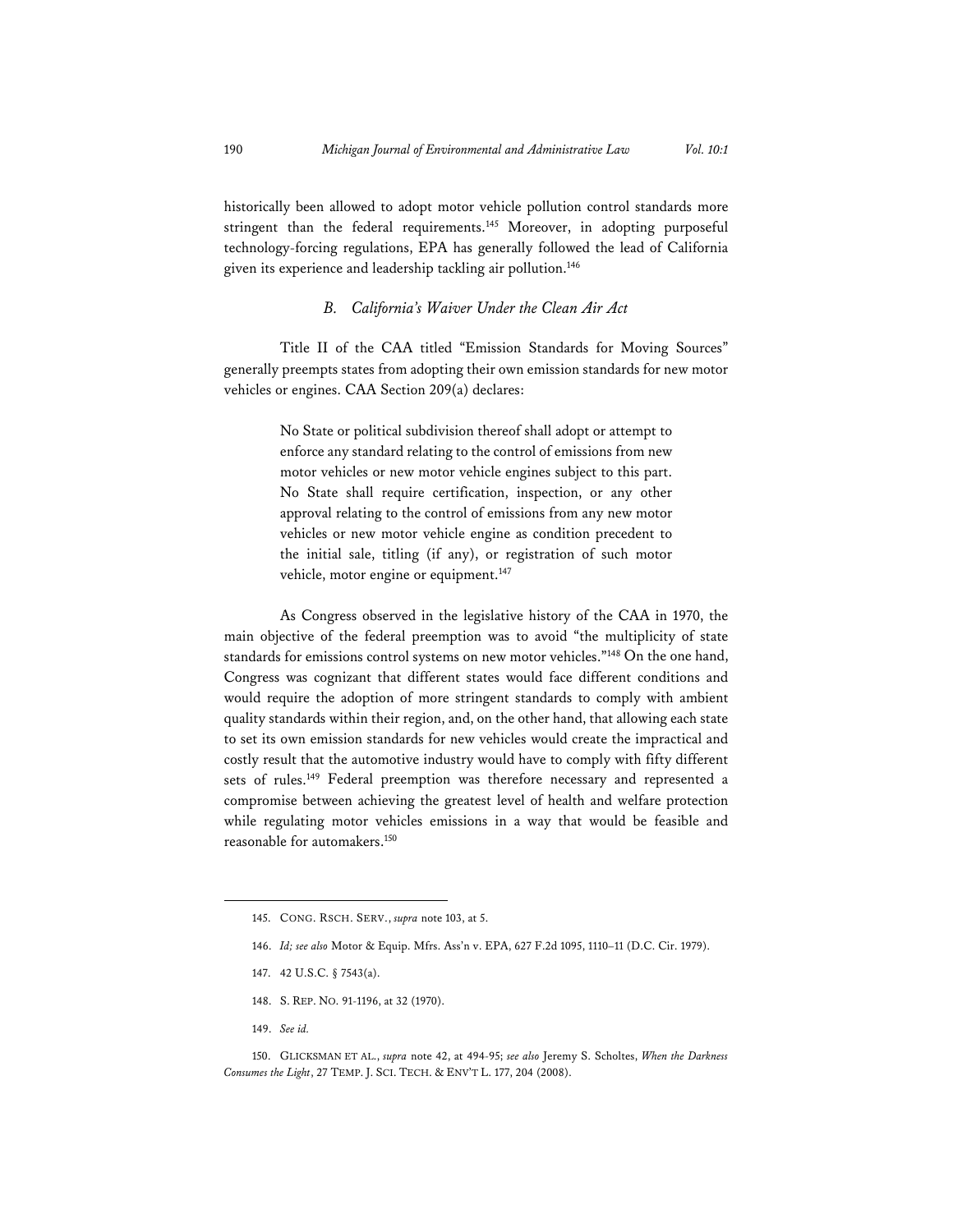historically been allowed to adopt motor vehicle pollution control standards more stringent than the federal requirements.145 Moreover, in adopting purposeful technology-forcing regulations, EPA has generally followed the lead of California given its experience and leadership tackling air pollution.146

#### *B. California's Waiver Under the Clean Air Act*

Title II of the CAA titled "Emission Standards for Moving Sources" generally preempts states from adopting their own emission standards for new motor vehicles or engines. CAA Section 209(a) declares:

> No State or political subdivision thereof shall adopt or attempt to enforce any standard relating to the control of emissions from new motor vehicles or new motor vehicle engines subject to this part. No State shall require certification, inspection, or any other approval relating to the control of emissions from any new motor vehicles or new motor vehicle engine as condition precedent to the initial sale, titling (if any), or registration of such motor vehicle, motor engine or equipment.<sup>147</sup>

As Congress observed in the legislative history of the CAA in 1970, the main objective of the federal preemption was to avoid "the multiplicity of state standards for emissions control systems on new motor vehicles."148 On the one hand, Congress was cognizant that different states would face different conditions and would require the adoption of more stringent standards to comply with ambient quality standards within their region, and, on the other hand, that allowing each state to set its own emission standards for new vehicles would create the impractical and costly result that the automotive industry would have to comply with fifty different sets of rules.<sup>149</sup> Federal preemption was therefore necessary and represented a compromise between achieving the greatest level of health and welfare protection while regulating motor vehicles emissions in a way that would be feasible and reasonable for automakers.150

- 148. S. REP. NO. 91-1196, at 32 (1970).
- 149. *See id.*

<sup>145.</sup> CONG. RSCH. SERV., *supra* note 103, at 5.

<sup>146.</sup> *Id; see also* Motor & Equip. Mfrs. Ass'n v. EPA, 627 F.2d 1095, 1110–11 (D.C. Cir. 1979).

<sup>147. 42</sup> U.S.C. § 7543(a).

<sup>150.</sup> GLICKSMAN ET AL., *supra* note 42, at 494-95; *see also* Jeremy S. Scholtes, *When the Darkness Consumes the Light*, 27 TEMP. J. SCI. TECH. & ENV'T L. 177, 204 (2008).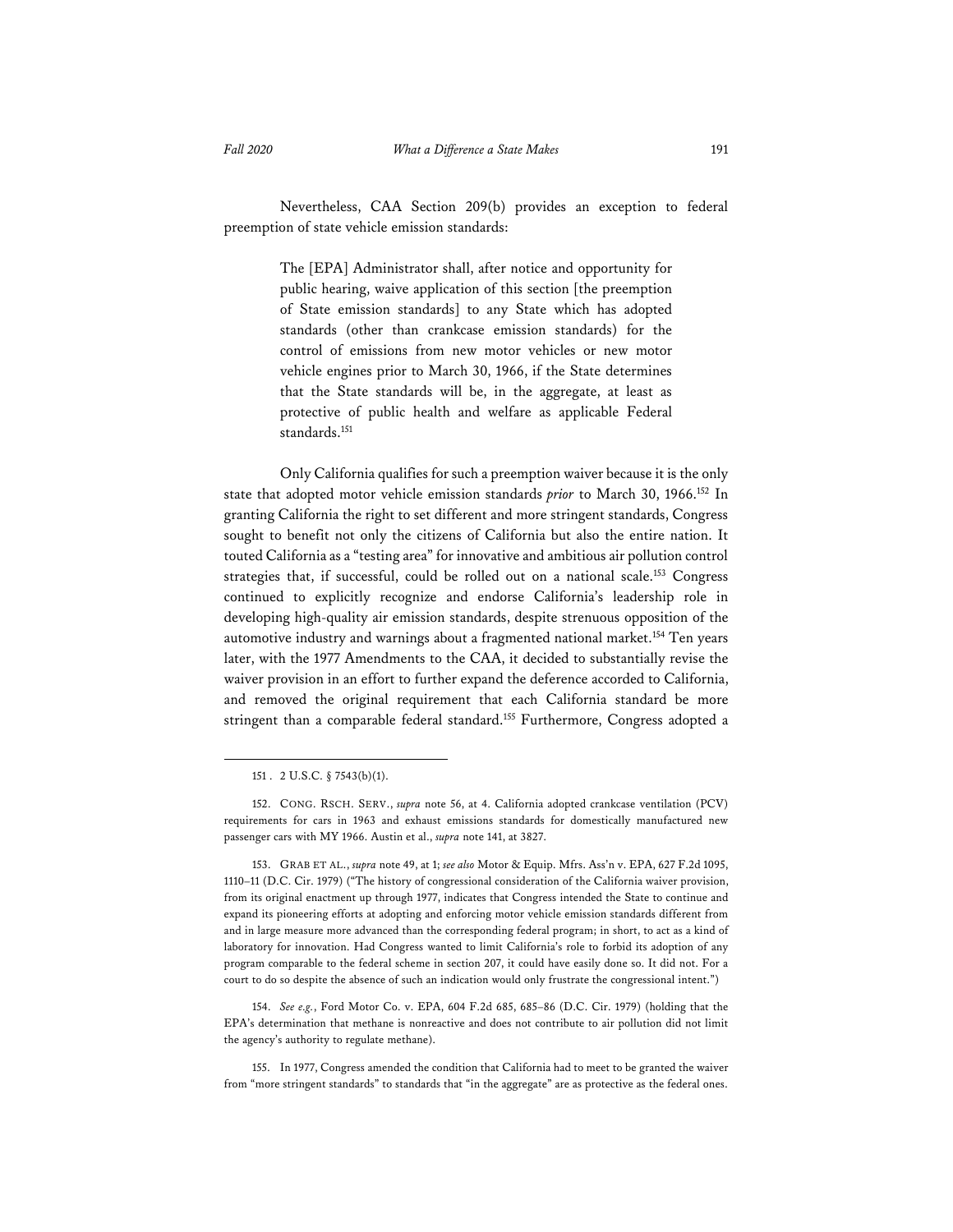Nevertheless, CAA Section 209(b) provides an exception to federal preemption of state vehicle emission standards:

> The [EPA] Administrator shall, after notice and opportunity for public hearing, waive application of this section [the preemption of State emission standards] to any State which has adopted standards (other than crankcase emission standards) for the control of emissions from new motor vehicles or new motor vehicle engines prior to March 30, 1966, if the State determines that the State standards will be, in the aggregate, at least as protective of public health and welfare as applicable Federal standards.<sup>151</sup>

Only California qualifies for such a preemption waiver because it is the only state that adopted motor vehicle emission standards *prior* to March 30, 1966.152 In granting California the right to set different and more stringent standards, Congress sought to benefit not only the citizens of California but also the entire nation. It touted California as a "testing area" for innovative and ambitious air pollution control strategies that, if successful, could be rolled out on a national scale.<sup>153</sup> Congress continued to explicitly recognize and endorse California's leadership role in developing high-quality air emission standards, despite strenuous opposition of the automotive industry and warnings about a fragmented national market.<sup>154</sup> Ten years later, with the 1977 Amendments to the CAA, it decided to substantially revise the waiver provision in an effort to further expand the deference accorded to California, and removed the original requirement that each California standard be more stringent than a comparable federal standard.<sup>155</sup> Furthermore, Congress adopted a

154. *See e.g.*, Ford Motor Co. v. EPA, 604 F.2d 685, 685–86 (D.C. Cir. 1979) (holding that the EPA's determination that methane is nonreactive and does not contribute to air pollution did not limit the agency's authority to regulate methane).

155. In 1977, Congress amended the condition that California had to meet to be granted the waiver from "more stringent standards" to standards that "in the aggregate" are as protective as the federal ones.

<sup>151 . 2</sup> U.S.C. § 7543(b)(1).

<sup>152.</sup> CONG. RSCH. SERV., *supra* note 56, at 4. California adopted crankcase ventilation (PCV) requirements for cars in 1963 and exhaust emissions standards for domestically manufactured new passenger cars with MY 1966. Austin et al., *supra* note 141, at 3827.

<sup>153.</sup> GRAB ET AL., *supra* note 49, at 1; *see also* Motor & Equip. Mfrs. Ass'n v. EPA, 627 F.2d 1095, 1110–11 (D.C. Cir. 1979) ("The history of congressional consideration of the California waiver provision, from its original enactment up through 1977, indicates that Congress intended the State to continue and expand its pioneering efforts at adopting and enforcing motor vehicle emission standards different from and in large measure more advanced than the corresponding federal program; in short, to act as a kind of laboratory for innovation. Had Congress wanted to limit California's role to forbid its adoption of any program comparable to the federal scheme in section 207, it could have easily done so. It did not. For a court to do so despite the absence of such an indication would only frustrate the congressional intent.")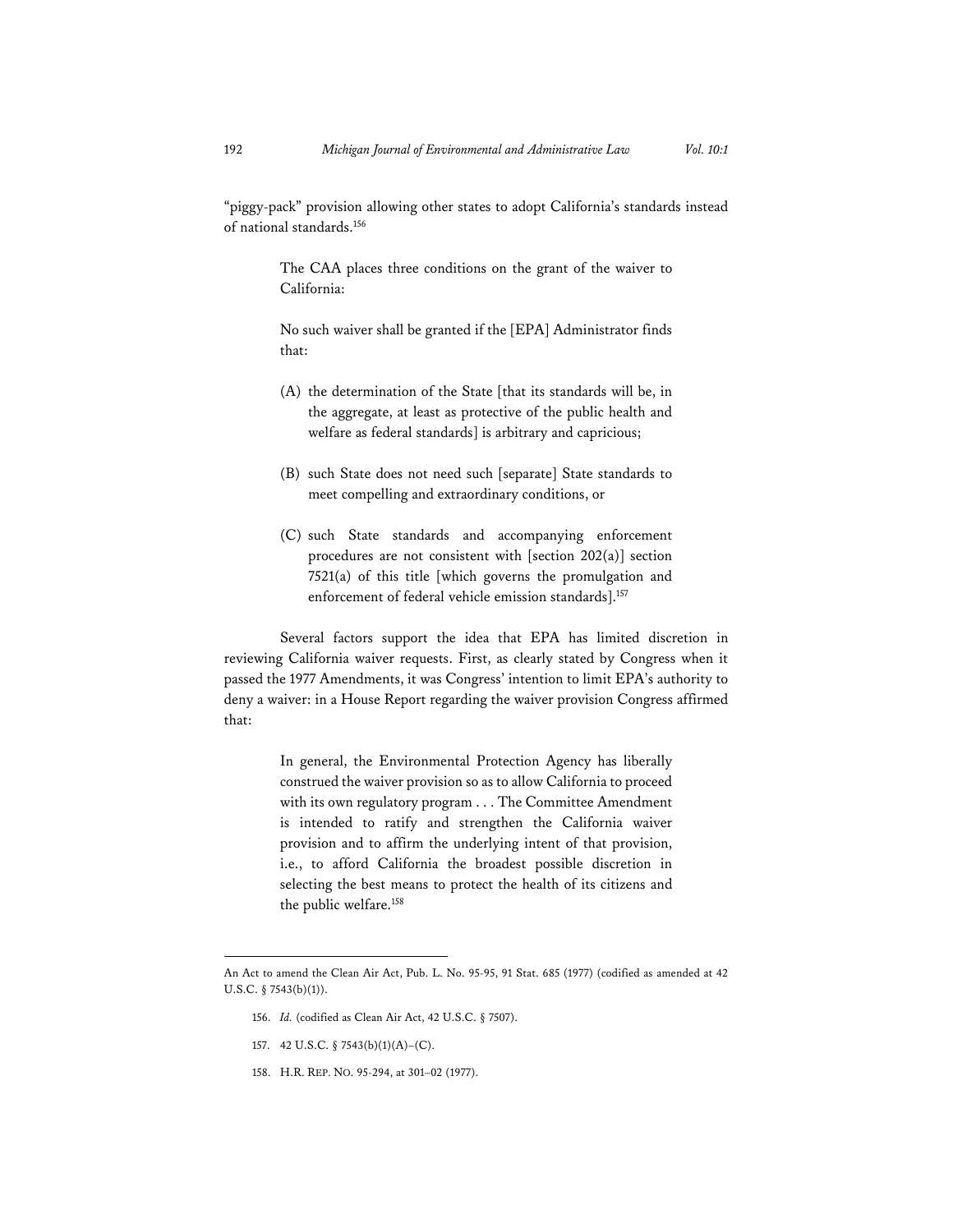"piggy-pack" provision allowing other states to adopt California's standards instead of national standards.156

> The CAA places three conditions on the grant of the waiver to California:

> No such waiver shall be granted if the [EPA] Administrator finds that:

- (A) the determination of the State [that its standards will be, in the aggregate, at least as protective of the public health and welfare as federal standards] is arbitrary and capricious;
- (B) such State does not need such [separate] State standards to meet compelling and extraordinary conditions, or
- (C) such State standards and accompanying enforcement procedures are not consistent with [section 202(a)] section 7521(a) of this title [which governs the promulgation and enforcement of federal vehicle emission standards].<sup>157</sup>

Several factors support the idea that EPA has limited discretion in reviewing California waiver requests. First, as clearly stated by Congress when it passed the 1977 Amendments, it was Congress' intention to limit EPA's authority to deny a waiver: in a House Report regarding the waiver provision Congress affirmed that:

> In general, the Environmental Protection Agency has liberally construed the waiver provision so as to allow California to proceed with its own regulatory program . . . The Committee Amendment is intended to ratify and strengthen the California waiver provision and to affirm the underlying intent of that provision, i.e., to afford California the broadest possible discretion in selecting the best means to protect the health of its citizens and the public welfare.158

- 156. *Id.* (codified as Clean Air Act, 42 U.S.C. § 7507).
- 157. 42 U.S.C. § 7543(b)(1)(A)–(C).
- 158. H.R. REP. NO. 95-294, at 301–02 (1977).

An Act to amend the Clean Air Act, Pub. L. No. 95-95, 91 Stat. 685 (1977) (codified as amended at 42 U.S.C. § 7543(b)(1)).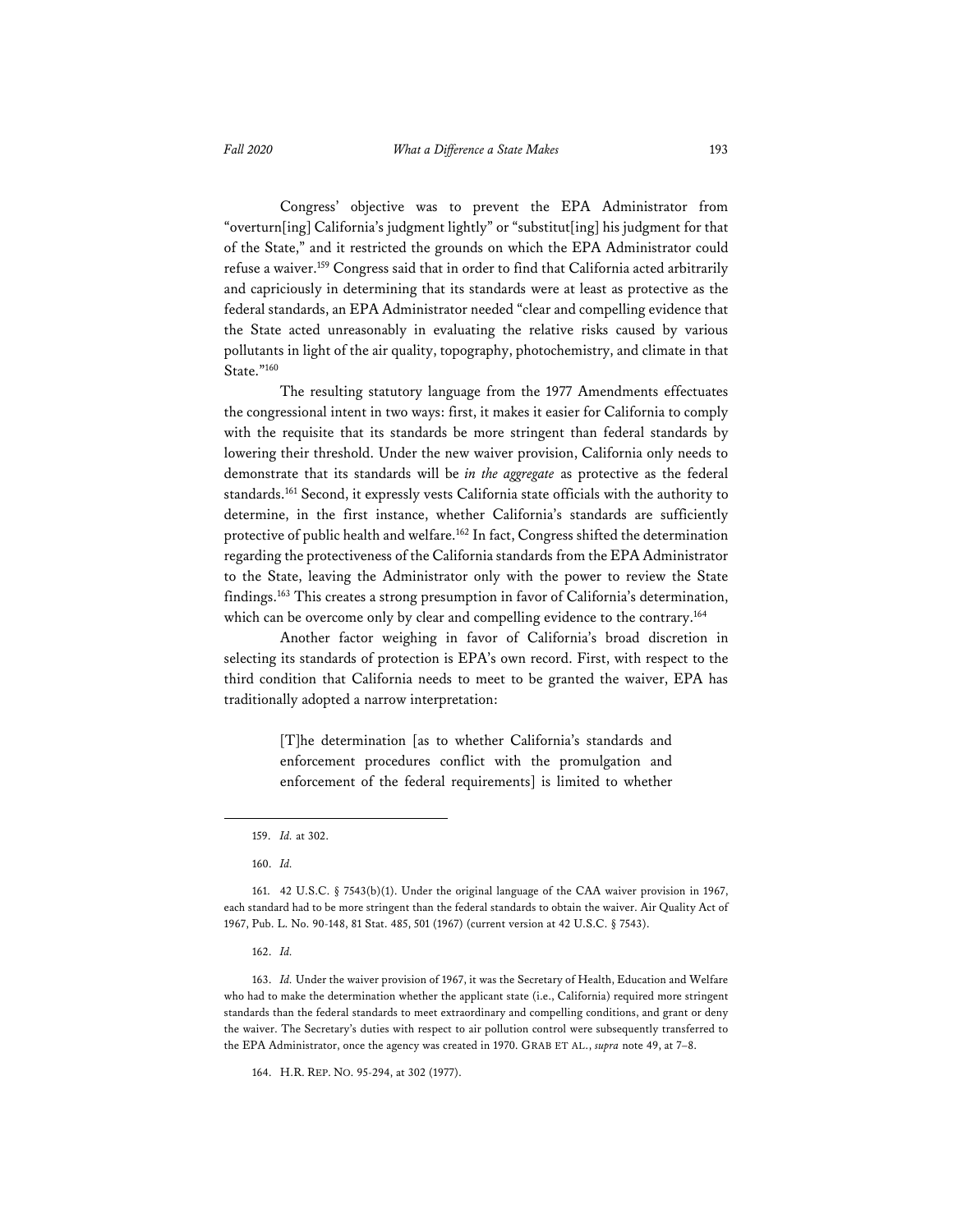Congress' objective was to prevent the EPA Administrator from "overturn[ing] California's judgment lightly" or "substitut[ing] his judgment for that of the State," and it restricted the grounds on which the EPA Administrator could refuse a waiver.159 Congress said that in order to find that California acted arbitrarily and capriciously in determining that its standards were at least as protective as the federal standards, an EPA Administrator needed "clear and compelling evidence that the State acted unreasonably in evaluating the relative risks caused by various pollutants in light of the air quality, topography, photochemistry, and climate in that State."160

The resulting statutory language from the 1977 Amendments effectuates the congressional intent in two ways: first, it makes it easier for California to comply with the requisite that its standards be more stringent than federal standards by lowering their threshold. Under the new waiver provision, California only needs to demonstrate that its standards will be *in the aggregate* as protective as the federal standards.<sup>161</sup> Second, it expressly vests California state officials with the authority to determine, in the first instance, whether California's standards are sufficiently protective of public health and welfare.162 In fact, Congress shifted the determination regarding the protectiveness of the California standards from the EPA Administrator to the State, leaving the Administrator only with the power to review the State findings.163 This creates a strong presumption in favor of California's determination, which can be overcome only by clear and compelling evidence to the contrary.<sup>164</sup>

Another factor weighing in favor of California's broad discretion in selecting its standards of protection is EPA's own record. First, with respect to the third condition that California needs to meet to be granted the waiver, EPA has traditionally adopted a narrow interpretation:

> [T]he determination [as to whether California's standards and enforcement procedures conflict with the promulgation and enforcement of the federal requirements] is limited to whether

162. *Id.*

163. *Id.* Under the waiver provision of 1967, it was the Secretary of Health, Education and Welfare who had to make the determination whether the applicant state (i.e., California) required more stringent standards than the federal standards to meet extraordinary and compelling conditions, and grant or deny the waiver. The Secretary's duties with respect to air pollution control were subsequently transferred to the EPA Administrator, once the agency was created in 1970. GRAB ET AL., *supra* note 49, at 7–8.

164. H.R. REP. NO. 95-294, at 302 (1977).

<sup>159.</sup> *Id.* at 302.

<sup>160.</sup> *Id.*

<sup>161. 42</sup> U.S.C. § 7543(b)(1). Under the original language of the CAA waiver provision in 1967, each standard had to be more stringent than the federal standards to obtain the waiver. Air Quality Act of 1967, Pub. L. No. 90-148, 81 Stat. 485, 501 (1967) (current version at 42 U.S.C. § 7543).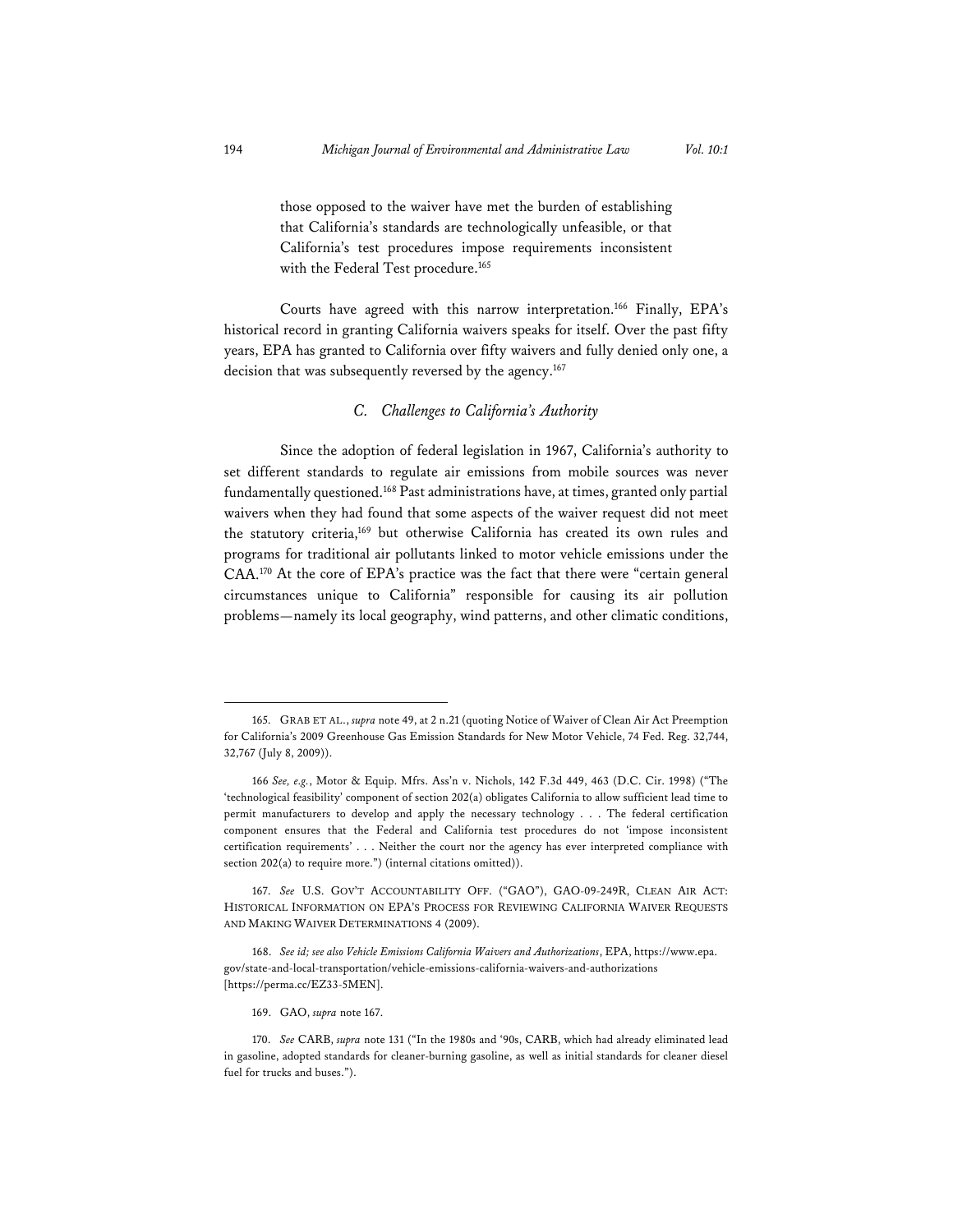those opposed to the waiver have met the burden of establishing that California's standards are technologically unfeasible, or that California's test procedures impose requirements inconsistent with the Federal Test procedure.<sup>165</sup>

Courts have agreed with this narrow interpretation.166 Finally, EPA's historical record in granting California waivers speaks for itself. Over the past fifty years, EPA has granted to California over fifty waivers and fully denied only one, a decision that was subsequently reversed by the agency.<sup>167</sup>

#### *C. Challenges to California's Authority*

Since the adoption of federal legislation in 1967, California's authority to set different standards to regulate air emissions from mobile sources was never fundamentally questioned.168 Past administrations have, at times, granted only partial waivers when they had found that some aspects of the waiver request did not meet the statutory criteria,169 but otherwise California has created its own rules and programs for traditional air pollutants linked to motor vehicle emissions under the CAA.170 At the core of EPA's practice was the fact that there were "certain general circumstances unique to California" responsible for causing its air pollution problems—namely its local geography, wind patterns, and other climatic conditions,

<sup>165.</sup> GRAB ET AL., *supra* note 49, at 2 n.21 (quoting Notice of Waiver of Clean Air Act Preemption for California's 2009 Greenhouse Gas Emission Standards for New Motor Vehicle, 74 Fed. Reg. 32,744, 32,767 (July 8, 2009)).

<sup>166</sup> *See, e.g.*, Motor & Equip. Mfrs. Ass'n v. Nichols, 142 F.3d 449, 463 (D.C. Cir. 1998) ("The 'technological feasibility' component of section 202(a) obligates California to allow sufficient lead time to permit manufacturers to develop and apply the necessary technology . . . The federal certification component ensures that the Federal and California test procedures do not 'impose inconsistent certification requirements' . . . Neither the court nor the agency has ever interpreted compliance with section 202(a) to require more.") (internal citations omitted)).

<sup>167.</sup> *See* U.S. GOV'T ACCOUNTABILITY OFF. ("GAO"), GAO-09-249R, CLEAN AIR ACT: HISTORICAL INFORMATION ON EPA'S PROCESS FOR REVIEWING CALIFORNIA WAIVER REQUESTS AND MAKING WAIVER DETERMINATIONS 4 (2009).

<sup>168.</sup> *See id; see also Vehicle Emissions California Waivers and Authorizations*, EPA, https://www.epa. gov/state-and-local-transportation/vehicle-emissions-california-waivers-and-authorizations [https://perma.cc/EZ33-5MEN].

<sup>169.</sup> GAO, *supra* note 167.

<sup>170.</sup> *See* CARB, *supra* note 131 ("In the 1980s and '90s, CARB, which had already eliminated lead in gasoline, adopted standards for cleaner-burning gasoline, as well as initial standards for cleaner diesel fuel for trucks and buses.").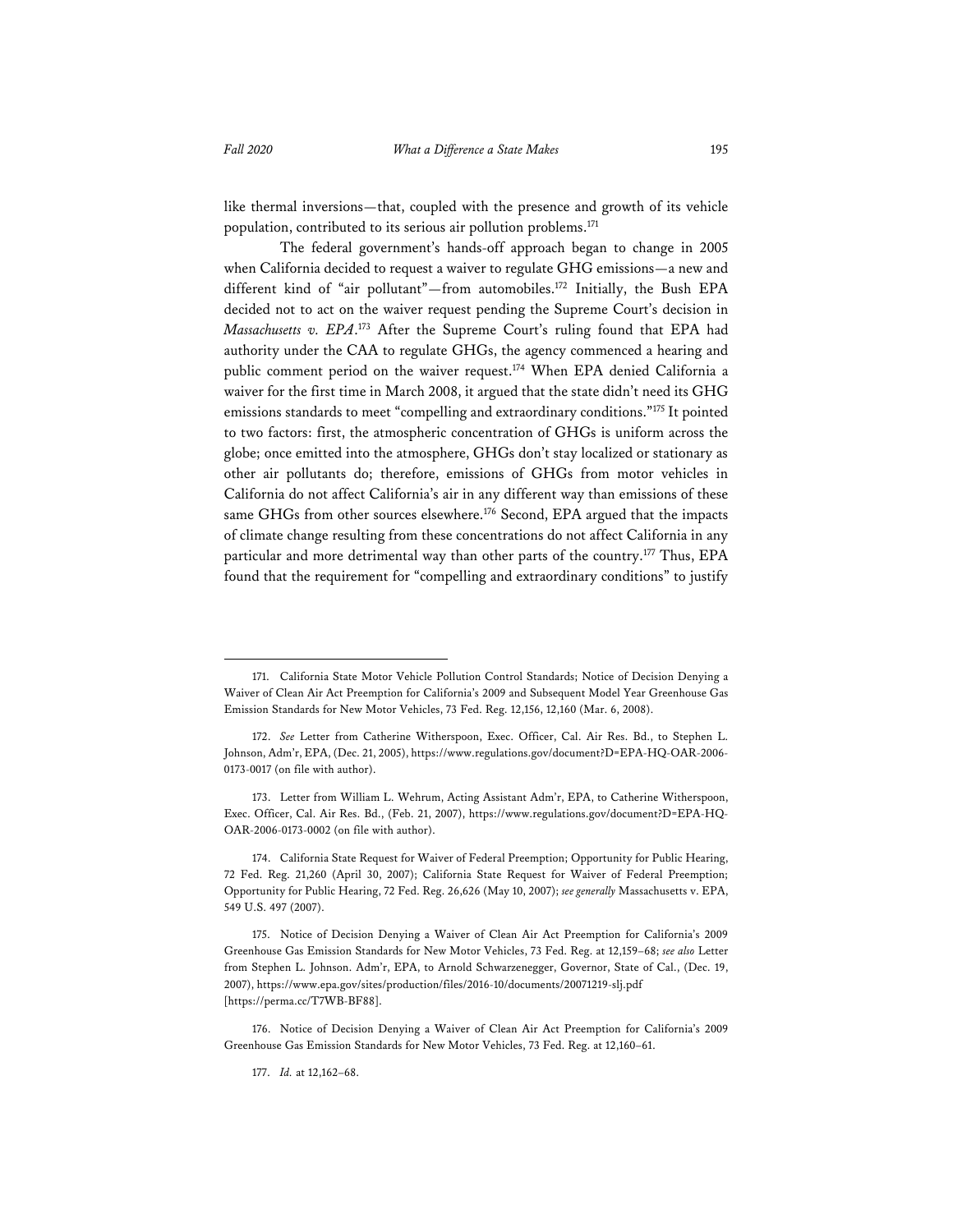like thermal inversions—that, coupled with the presence and growth of its vehicle population, contributed to its serious air pollution problems.171

The federal government's hands-off approach began to change in 2005 when California decided to request a waiver to regulate GHG emissions—a new and different kind of "air pollutant"—from automobiles.172 Initially, the Bush EPA decided not to act on the waiver request pending the Supreme Court's decision in *Massachusetts v. EPA*. 173 After the Supreme Court's ruling found that EPA had authority under the CAA to regulate GHGs, the agency commenced a hearing and public comment period on the waiver request.<sup>174</sup> When EPA denied California a waiver for the first time in March 2008, it argued that the state didn't need its GHG emissions standards to meet "compelling and extraordinary conditions."175 It pointed to two factors: first, the atmospheric concentration of GHGs is uniform across the globe; once emitted into the atmosphere, GHGs don't stay localized or stationary as other air pollutants do; therefore, emissions of GHGs from motor vehicles in California do not affect California's air in any different way than emissions of these same GHGs from other sources elsewhere.<sup>176</sup> Second, EPA argued that the impacts of climate change resulting from these concentrations do not affect California in any particular and more detrimental way than other parts of the country.<sup>177</sup> Thus, EPA found that the requirement for "compelling and extraordinary conditions" to justify

<sup>171.</sup> California State Motor Vehicle Pollution Control Standards; Notice of Decision Denying a Waiver of Clean Air Act Preemption for California's 2009 and Subsequent Model Year Greenhouse Gas Emission Standards for New Motor Vehicles, 73 Fed. Reg. 12,156, 12,160 (Mar. 6, 2008).

<sup>172.</sup> *See* Letter from Catherine Witherspoon, Exec. Officer, Cal. Air Res. Bd., to Stephen L. Johnson, Adm'r, EPA, (Dec. 21, 2005), https://www.regulations.gov/document?D=EPA-HQ-OAR-2006- 0173-0017 (on file with author).

<sup>173.</sup> Letter from William L. Wehrum, Acting Assistant Adm'r, EPA, to Catherine Witherspoon, Exec. Officer, Cal. Air Res. Bd., (Feb. 21, 2007), https://www.regulations.gov/document?D=EPA-HQ-OAR-2006-0173-0002 (on file with author).

<sup>174.</sup> California State Request for Waiver of Federal Preemption; Opportunity for Public Hearing, 72 Fed. Reg. 21,260 (April 30, 2007); California State Request for Waiver of Federal Preemption; Opportunity for Public Hearing, 72 Fed. Reg. 26,626 (May 10, 2007); *see generally* Massachusetts v. EPA, 549 U.S. 497 (2007).

<sup>175.</sup> Notice of Decision Denying a Waiver of Clean Air Act Preemption for California's 2009 Greenhouse Gas Emission Standards for New Motor Vehicles, 73 Fed. Reg. at 12,159–68; *see also* Letter from Stephen L. Johnson. Adm'r, EPA, to Arnold Schwarzenegger, Governor, State of Cal., (Dec. 19, 2007), https://www.epa.gov/sites/production/files/2016-10/documents/20071219-slj.pdf [https://perma.cc/T7WB-BF88].

<sup>176.</sup> Notice of Decision Denying a Waiver of Clean Air Act Preemption for California's 2009 Greenhouse Gas Emission Standards for New Motor Vehicles, 73 Fed. Reg. at 12,160–61.

<sup>177.</sup> *Id.* at 12,162–68.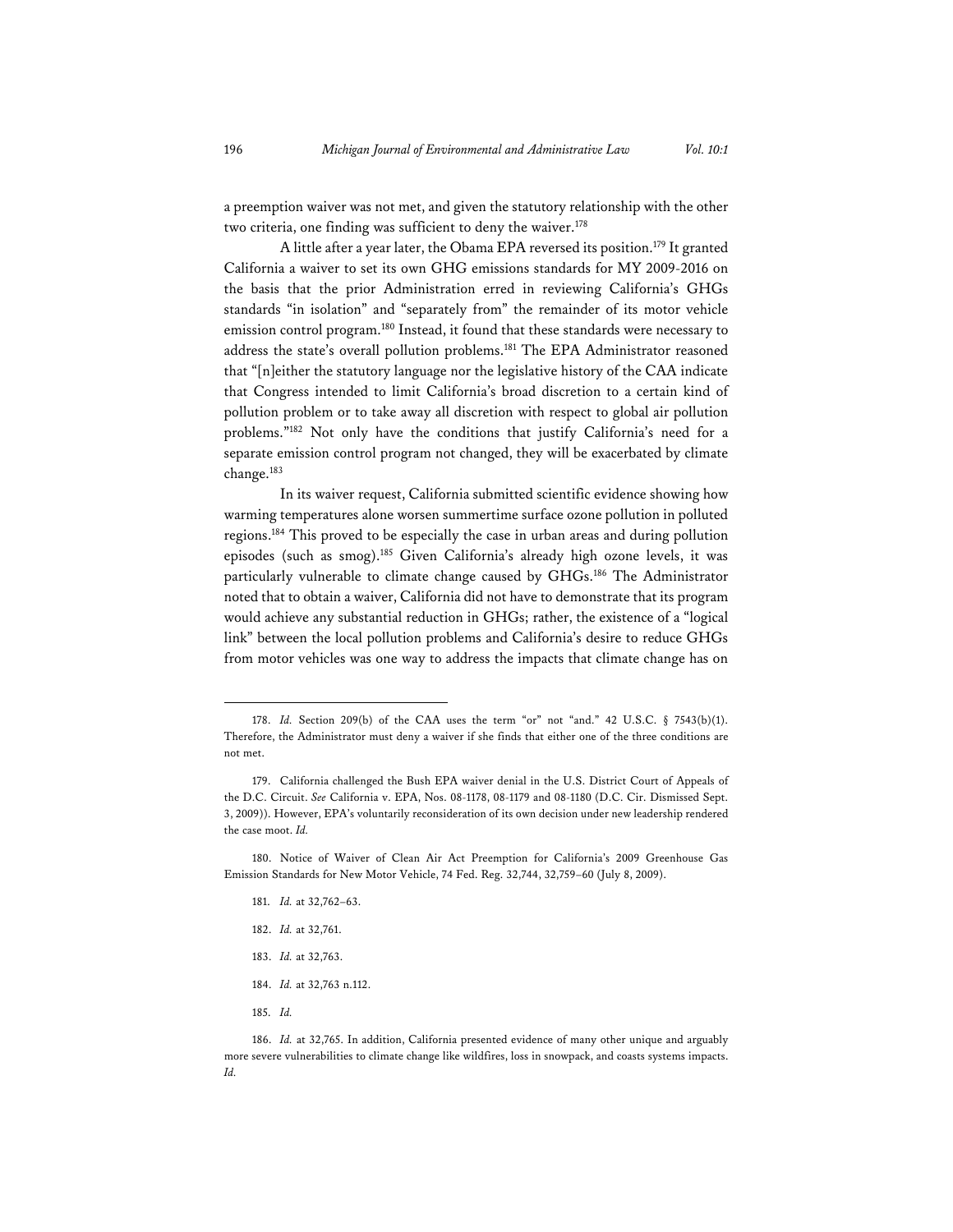a preemption waiver was not met, and given the statutory relationship with the other two criteria, one finding was sufficient to deny the waiver.<sup>178</sup>

A little after a year later, the Obama EPA reversed its position.179 It granted California a waiver to set its own GHG emissions standards for MY 2009-2016 on the basis that the prior Administration erred in reviewing California's GHGs standards "in isolation" and "separately from" the remainder of its motor vehicle emission control program.<sup>180</sup> Instead, it found that these standards were necessary to address the state's overall pollution problems.<sup>181</sup> The EPA Administrator reasoned that "[n]either the statutory language nor the legislative history of the CAA indicate that Congress intended to limit California's broad discretion to a certain kind of pollution problem or to take away all discretion with respect to global air pollution problems."182 Not only have the conditions that justify California's need for a separate emission control program not changed, they will be exacerbated by climate change.183

In its waiver request, California submitted scientific evidence showing how warming temperatures alone worsen summertime surface ozone pollution in polluted regions.184 This proved to be especially the case in urban areas and during pollution episodes (such as smog).185 Given California's already high ozone levels, it was particularly vulnerable to climate change caused by GHGs.<sup>186</sup> The Administrator noted that to obtain a waiver, California did not have to demonstrate that its program would achieve any substantial reduction in GHGs; rather, the existence of a "logical link" between the local pollution problems and California's desire to reduce GHGs from motor vehicles was one way to address the impacts that climate change has on

- 181. *Id.* at 32,762–63.
- 182. *Id.* at 32,761.
- 183. *Id.* at 32,763.
- 184. *Id.* at 32,763 n.112.
- 185. *Id.*

<sup>178.</sup> *Id.* Section 209(b) of the CAA uses the term "or" not "and." 42 U.S.C. § 7543(b)(1). Therefore, the Administrator must deny a waiver if she finds that either one of the three conditions are not met.

<sup>179.</sup> California challenged the Bush EPA waiver denial in the U.S. District Court of Appeals of the D.C. Circuit. *See* California v. EPA, Nos. 08-1178, 08-1179 and 08-1180 (D.C. Cir. Dismissed Sept. 3, 2009)). However, EPA's voluntarily reconsideration of its own decision under new leadership rendered the case moot. *Id.*

<sup>180.</sup> Notice of Waiver of Clean Air Act Preemption for California's 2009 Greenhouse Gas Emission Standards for New Motor Vehicle, 74 Fed. Reg. 32,744, 32,759–60 (July 8, 2009).

<sup>186.</sup> *Id.* at 32,765. In addition, California presented evidence of many other unique and arguably more severe vulnerabilities to climate change like wildfires, loss in snowpack, and coasts systems impacts. *Id.*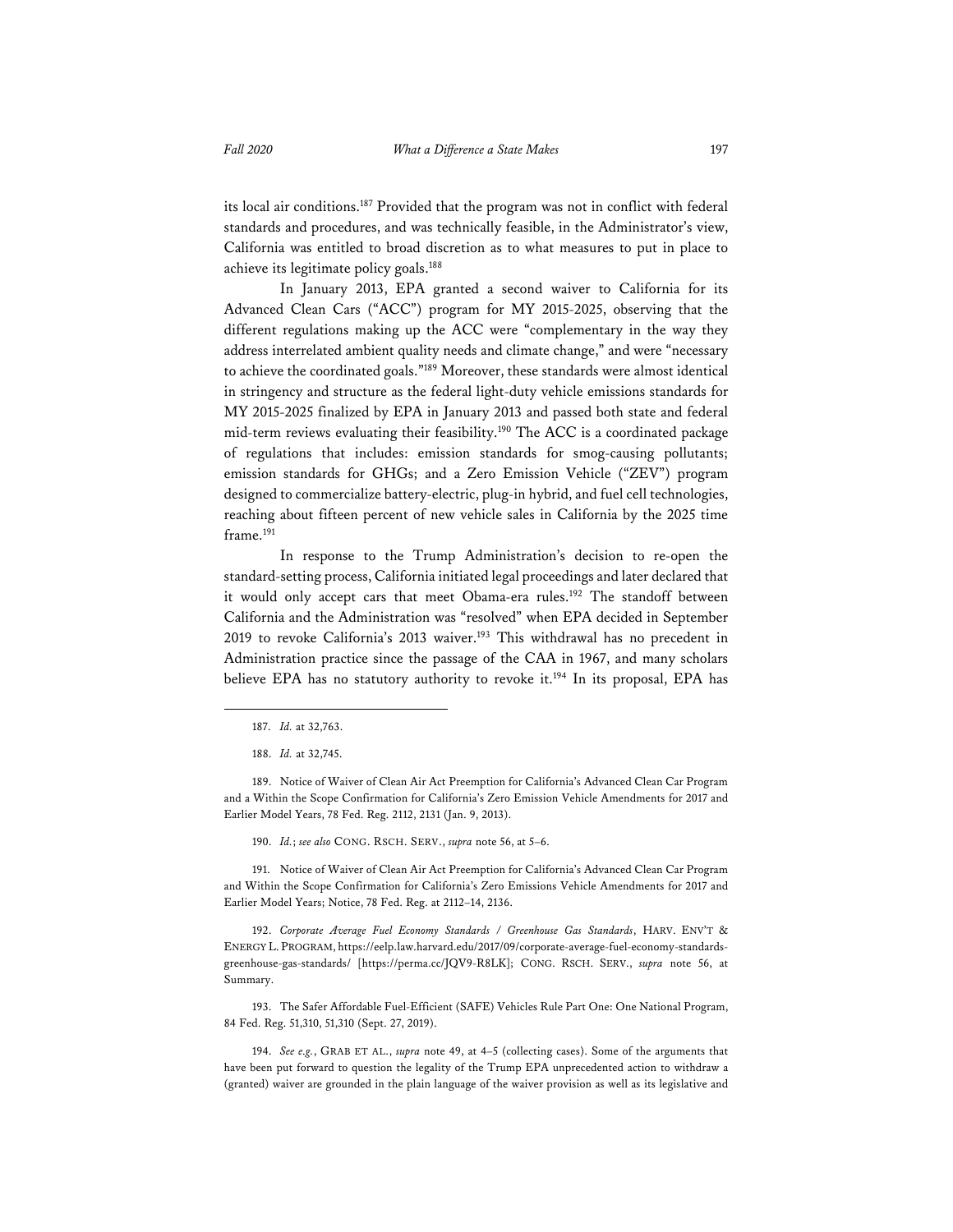its local air conditions.187 Provided that the program was not in conflict with federal standards and procedures, and was technically feasible, in the Administrator's view, California was entitled to broad discretion as to what measures to put in place to achieve its legitimate policy goals.188

In January 2013, EPA granted a second waiver to California for its Advanced Clean Cars ("ACC") program for MY 2015-2025, observing that the different regulations making up the ACC were "complementary in the way they address interrelated ambient quality needs and climate change," and were "necessary to achieve the coordinated goals."189 Moreover, these standards were almost identical in stringency and structure as the federal light-duty vehicle emissions standards for MY 2015-2025 finalized by EPA in January 2013 and passed both state and federal mid-term reviews evaluating their feasibility.190 The ACC is a coordinated package of regulations that includes: emission standards for smog-causing pollutants; emission standards for GHGs; and a Zero Emission Vehicle ("ZEV") program designed to commercialize battery-electric, plug-in hybrid, and fuel cell technologies, reaching about fifteen percent of new vehicle sales in California by the 2025 time frame.<sup>191</sup>

In response to the Trump Administration's decision to re-open the standard-setting process, California initiated legal proceedings and later declared that it would only accept cars that meet Obama-era rules.<sup>192</sup> The standoff between California and the Administration was "resolved" when EPA decided in September 2019 to revoke California's 2013 waiver.<sup>193</sup> This withdrawal has no precedent in Administration practice since the passage of the CAA in 1967, and many scholars believe EPA has no statutory authority to revoke it.<sup>194</sup> In its proposal, EPA has

190. *Id.*; *see also* CONG. RSCH. SERV., *supra* note 56, at 5–6.

191. Notice of Waiver of Clean Air Act Preemption for California's Advanced Clean Car Program and Within the Scope Confirmation for California's Zero Emissions Vehicle Amendments for 2017 and Earlier Model Years; Notice, 78 Fed. Reg. at 2112–14, 2136.

192. *Corporate Average Fuel Economy Standards / Greenhouse Gas Standards*, HARV. ENV'T & ENERGY L. PROGRAM, https://eelp.law.harvard.edu/2017/09/corporate-average-fuel-economy-standardsgreenhouse-gas-standards/ [https://perma.cc/JQV9-R8LK]; CONG. RSCH. SERV., *supra* note 56, at Summary.

193. The Safer Affordable Fuel-Efficient (SAFE) Vehicles Rule Part One: One National Program, 84 Fed. Reg. 51,310, 51,310 (Sept. 27, 2019).

194. *See e.g.*, GRAB ET AL., *supra* note 49, at 4–5 (collecting cases). Some of the arguments that have been put forward to question the legality of the Trump EPA unprecedented action to withdraw a (granted) waiver are grounded in the plain language of the waiver provision as well as its legislative and

<sup>187.</sup> *Id.* at 32,763.

<sup>188.</sup> *Id.* at 32,745.

<sup>189.</sup> Notice of Waiver of Clean Air Act Preemption for California's Advanced Clean Car Program and a Within the Scope Confirmation for California's Zero Emission Vehicle Amendments for 2017 and Earlier Model Years, 78 Fed. Reg. 2112, 2131 (Jan. 9, 2013).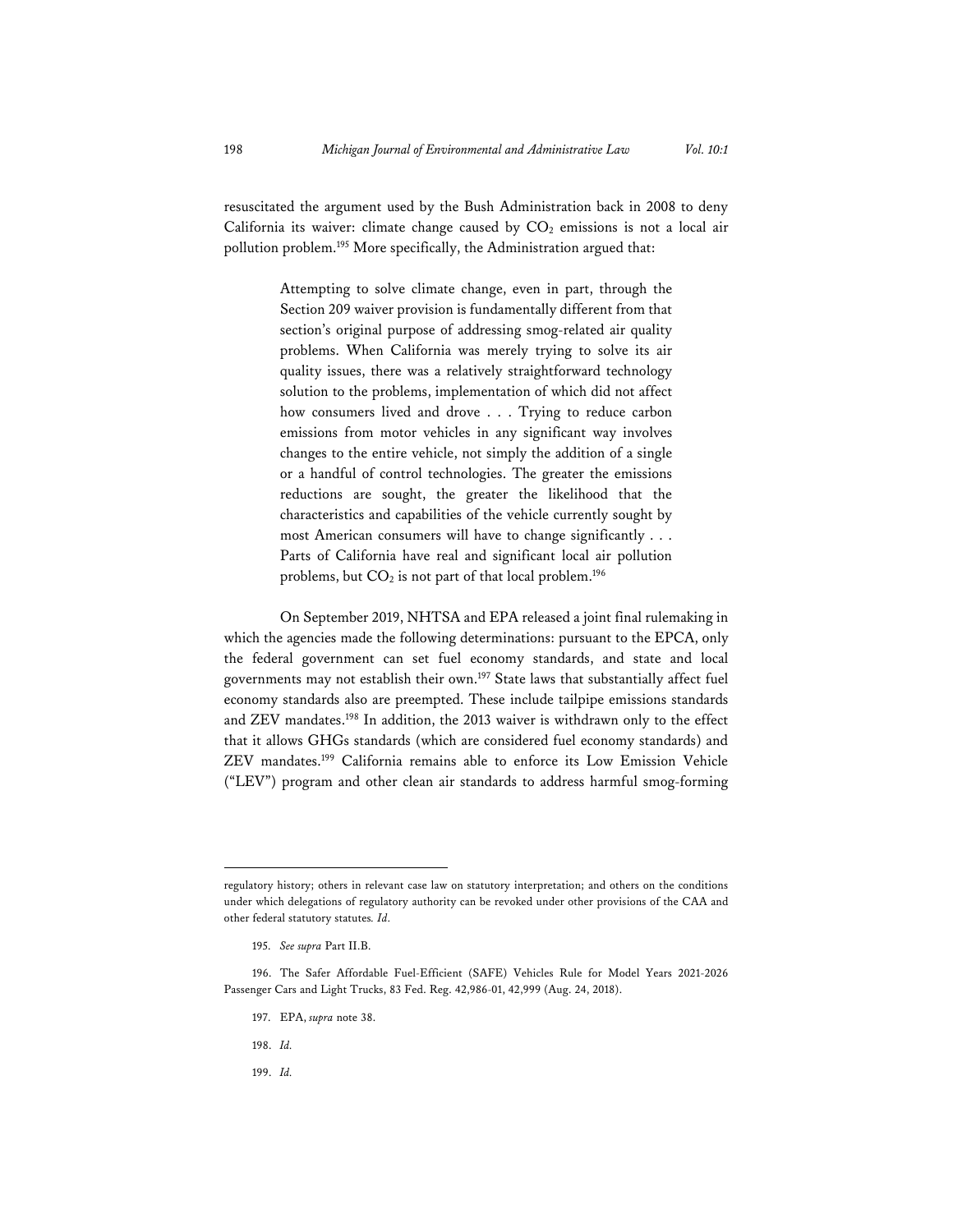resuscitated the argument used by the Bush Administration back in 2008 to deny California its waiver: climate change caused by  $CO<sub>2</sub>$  emissions is not a local air pollution problem.<sup>195</sup> More specifically, the Administration argued that:

> Attempting to solve climate change, even in part, through the Section 209 waiver provision is fundamentally different from that section's original purpose of addressing smog-related air quality problems. When California was merely trying to solve its air quality issues, there was a relatively straightforward technology solution to the problems, implementation of which did not affect how consumers lived and drove . . . Trying to reduce carbon emissions from motor vehicles in any significant way involves changes to the entire vehicle, not simply the addition of a single or a handful of control technologies. The greater the emissions reductions are sought, the greater the likelihood that the characteristics and capabilities of the vehicle currently sought by most American consumers will have to change significantly . . . Parts of California have real and significant local air pollution problems, but  $CO<sub>2</sub>$  is not part of that local problem.<sup>196</sup>

On September 2019, NHTSA and EPA released a joint final rulemaking in which the agencies made the following determinations: pursuant to the EPCA, only the federal government can set fuel economy standards, and state and local governments may not establish their own.197 State laws that substantially affect fuel economy standards also are preempted. These include tailpipe emissions standards and ZEV mandates.198 In addition, the 2013 waiver is withdrawn only to the effect that it allows GHGs standards (which are considered fuel economy standards) and ZEV mandates.199 California remains able to enforce its Low Emission Vehicle ("LEV") program and other clean air standards to address harmful smog-forming

- 197. EPA, *supra* note 38.
- 198. *Id.*
- 199. *Id.*

regulatory history; others in relevant case law on statutory interpretation; and others on the conditions under which delegations of regulatory authority can be revoked under other provisions of the CAA and other federal statutory statutes*. Id.*

<sup>195.</sup> *See supra* Part II.B.

<sup>196.</sup> The Safer Affordable Fuel-Efficient (SAFE) Vehicles Rule for Model Years 2021-2026 Passenger Cars and Light Trucks, 83 Fed. Reg. 42,986-01, 42,999 (Aug. 24, 2018).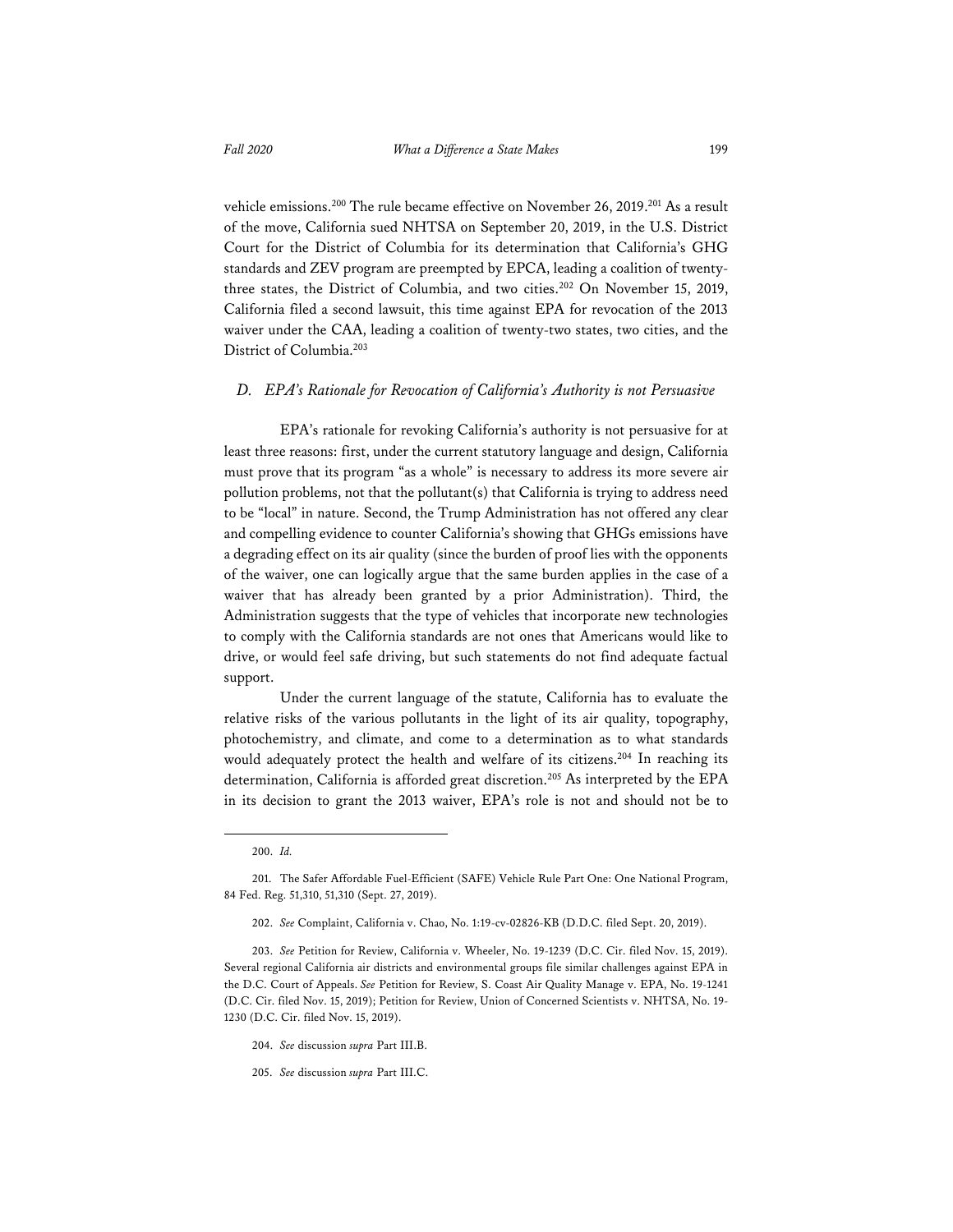vehicle emissions.<sup>200</sup> The rule became effective on November 26, 2019.<sup>201</sup> As a result of the move, California sued NHTSA on September 20, 2019, in the U.S. District Court for the District of Columbia for its determination that California's GHG standards and ZEV program are preempted by EPCA, leading a coalition of twentythree states, the District of Columbia, and two cities.202 On November 15, 2019, California filed a second lawsuit, this time against EPA for revocation of the 2013 waiver under the CAA, leading a coalition of twenty-two states, two cities, and the District of Columbia.203

#### *D. EPA's Rationale for Revocation of California's Authority is not Persuasive*

EPA's rationale for revoking California's authority is not persuasive for at least three reasons: first, under the current statutory language and design, California must prove that its program "as a whole" is necessary to address its more severe air pollution problems, not that the pollutant $(s)$  that California is trying to address need to be "local" in nature. Second, the Trump Administration has not offered any clear and compelling evidence to counter California's showing that GHGs emissions have a degrading effect on its air quality (since the burden of proof lies with the opponents of the waiver, one can logically argue that the same burden applies in the case of a waiver that has already been granted by a prior Administration). Third, the Administration suggests that the type of vehicles that incorporate new technologies to comply with the California standards are not ones that Americans would like to drive, or would feel safe driving, but such statements do not find adequate factual support.

Under the current language of the statute, California has to evaluate the relative risks of the various pollutants in the light of its air quality, topography, photochemistry, and climate, and come to a determination as to what standards would adequately protect the health and welfare of its citizens.<sup>204</sup> In reaching its determination, California is afforded great discretion.<sup>205</sup> As interpreted by the EPA in its decision to grant the 2013 waiver, EPA's role is not and should not be to

<sup>200.</sup> *Id.*

<sup>201.</sup> The Safer Affordable Fuel-Efficient (SAFE) Vehicle Rule Part One: One National Program, 84 Fed. Reg. 51,310, 51,310 (Sept. 27, 2019).

<sup>202.</sup> *See* Complaint, California v. Chao, No. 1:19-cv-02826-KB (D.D.C. filed Sept. 20, 2019).

<sup>203.</sup> *See* Petition for Review, California v. Wheeler, No. 19-1239 (D.C. Cir. filed Nov. 15, 2019). Several regional California air districts and environmental groups file similar challenges against EPA in the D.C. Court of Appeals. *See* Petition for Review, S. Coast Air Quality Manage v. EPA, No. 19-1241 (D.C. Cir. filed Nov. 15, 2019); Petition for Review, Union of Concerned Scientists v. NHTSA, No. 19- 1230 (D.C. Cir. filed Nov. 15, 2019).

<sup>204.</sup> *See* discussion *supra* Part III.B.

<sup>205.</sup> *See* discussion *supra* Part III.C.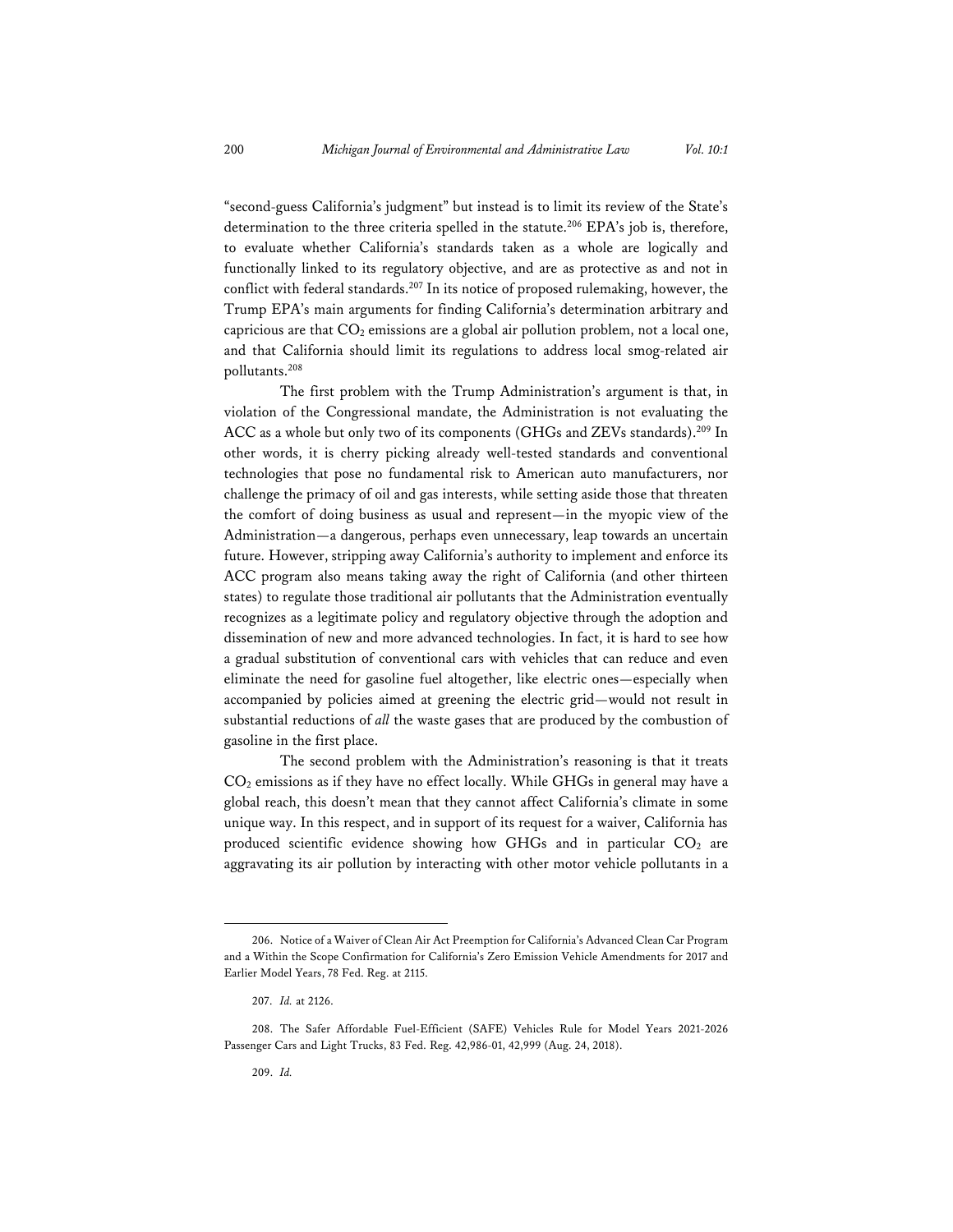"second-guess California's judgment" but instead is to limit its review of the State's determination to the three criteria spelled in the statute.<sup>206</sup> EPA's job is, therefore, to evaluate whether California's standards taken as a whole are logically and functionally linked to its regulatory objective, and are as protective as and not in conflict with federal standards.<sup>207</sup> In its notice of proposed rulemaking, however, the Trump EPA's main arguments for finding California's determination arbitrary and capricious are that  $CO<sub>2</sub>$  emissions are a global air pollution problem, not a local one, and that California should limit its regulations to address local smog-related air pollutants.208

The first problem with the Trump Administration's argument is that, in violation of the Congressional mandate, the Administration is not evaluating the ACC as a whole but only two of its components (GHGs and ZEVs standards).209 In other words, it is cherry picking already well-tested standards and conventional technologies that pose no fundamental risk to American auto manufacturers, nor challenge the primacy of oil and gas interests, while setting aside those that threaten the comfort of doing business as usual and represent—in the myopic view of the Administration—a dangerous, perhaps even unnecessary, leap towards an uncertain future. However, stripping away California's authority to implement and enforce its ACC program also means taking away the right of California (and other thirteen states) to regulate those traditional air pollutants that the Administration eventually recognizes as a legitimate policy and regulatory objective through the adoption and dissemination of new and more advanced technologies. In fact, it is hard to see how a gradual substitution of conventional cars with vehicles that can reduce and even eliminate the need for gasoline fuel altogether, like electric ones—especially when accompanied by policies aimed at greening the electric grid—would not result in substantial reductions of *all* the waste gases that are produced by the combustion of gasoline in the first place.

The second problem with the Administration's reasoning is that it treats CO2 emissions as if they have no effect locally. While GHGs in general may have a global reach, this doesn't mean that they cannot affect California's climate in some unique way. In this respect, and in support of its request for a waiver, California has produced scientific evidence showing how GHGs and in particular  $CO<sub>2</sub>$  are aggravating its air pollution by interacting with other motor vehicle pollutants in a

<sup>206.</sup> Notice of a Waiver of Clean Air Act Preemption for California's Advanced Clean Car Program and a Within the Scope Confirmation for California's Zero Emission Vehicle Amendments for 2017 and Earlier Model Years, 78 Fed. Reg. at 2115.

<sup>207.</sup> *Id.* at 2126.

<sup>208.</sup> The Safer Affordable Fuel-Efficient (SAFE) Vehicles Rule for Model Years 2021-2026 Passenger Cars and Light Trucks, 83 Fed. Reg. 42,986-01, 42,999 (Aug. 24, 2018).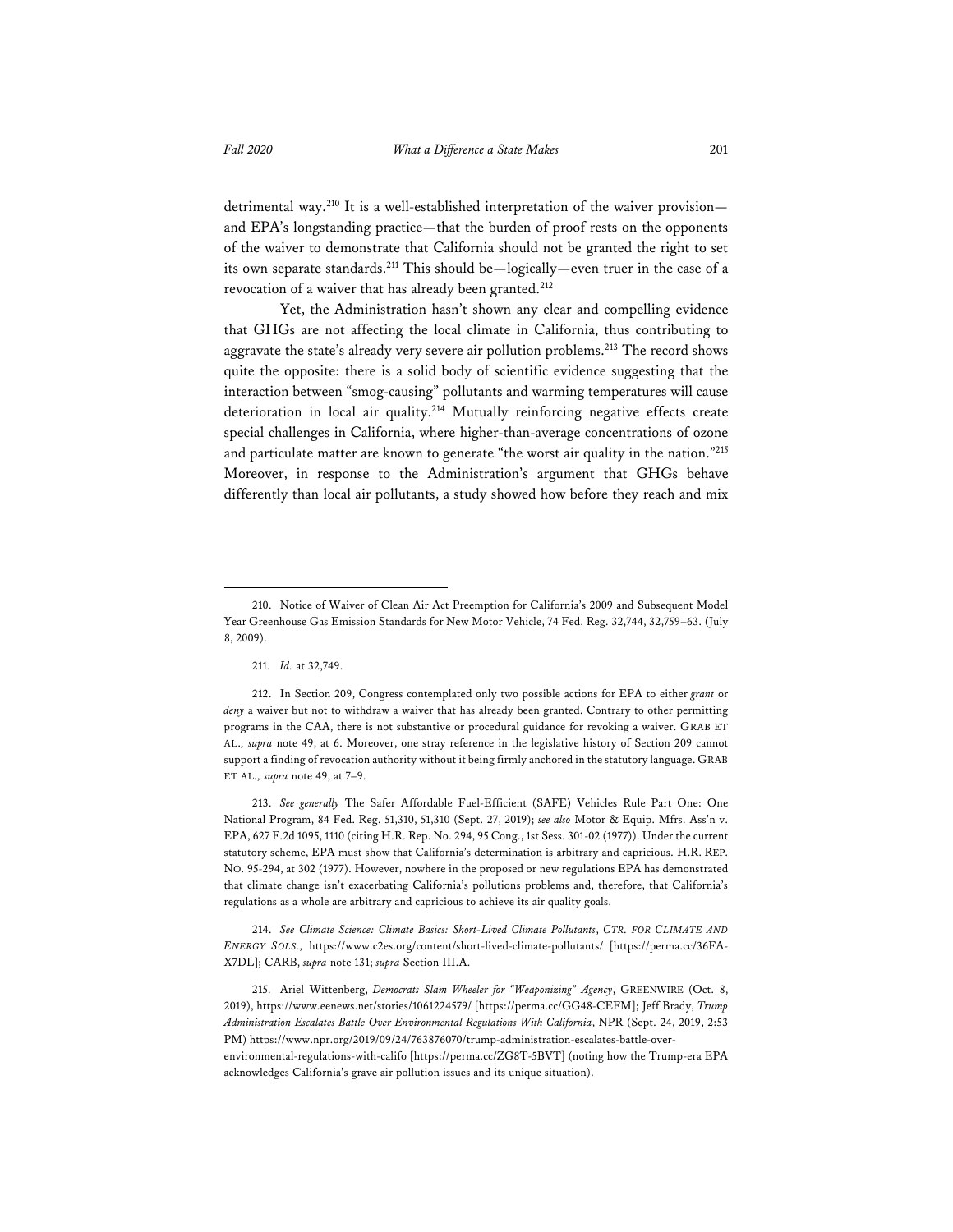detrimental way.<sup>210</sup> It is a well-established interpretation of the waiver provisionand EPA's longstanding practice—that the burden of proof rests on the opponents of the waiver to demonstrate that California should not be granted the right to set its own separate standards.211 This should be—logically—even truer in the case of a revocation of a waiver that has already been granted.<sup>212</sup>

Yet, the Administration hasn't shown any clear and compelling evidence that GHGs are not affecting the local climate in California, thus contributing to aggravate the state's already very severe air pollution problems.<sup>213</sup> The record shows quite the opposite: there is a solid body of scientific evidence suggesting that the interaction between "smog-causing" pollutants and warming temperatures will cause deterioration in local air quality.<sup>214</sup> Mutually reinforcing negative effects create special challenges in California, where higher-than-average concentrations of ozone and particulate matter are known to generate "the worst air quality in the nation."215 Moreover, in response to the Administration's argument that GHGs behave differently than local air pollutants, a study showed how before they reach and mix

213. *See generally* The Safer Affordable Fuel-Efficient (SAFE) Vehicles Rule Part One: One National Program, 84 Fed. Reg. 51,310, 51,310 (Sept. 27, 2019); *see also* Motor & Equip. Mfrs. Ass'n v. EPA, 627 F.2d 1095, 1110 (citing H.R. Rep. No. 294, 95 Cong., 1st Sess. 301-02 (1977)). Under the current statutory scheme, EPA must show that California's determination is arbitrary and capricious. H.R. REP. NO. 95-294, at 302 (1977). However, nowhere in the proposed or new regulations EPA has demonstrated that climate change isn't exacerbating California's pollutions problems and, therefore, that California's regulations as a whole are arbitrary and capricious to achieve its air quality goals.

214. *See Climate Science: Climate Basics: Short-Lived Climate Pollutants*, *CTR. FOR CLIMATE AND ENERGY SOLS.,* https://www.c2es.org/content/short-lived-climate-pollutants/ [https://perma.cc/36FA-X7DL]; CARB, *supra* note 131; *supra* Section III.A.

215. Ariel Wittenberg, *Democrats Slam Wheeler for "Weaponizing" Agency*, GREENWIRE (Oct. 8, 2019), https://www.eenews.net/stories/1061224579/ [https://perma.cc/GG48-CEFM]; Jeff Brady, *Trump Administration Escalates Battle Over Environmental Regulations With California*, NPR (Sept. 24, 2019, 2:53 PM) https://www.npr.org/2019/09/24/763876070/trump-administration-escalates-battle-overenvironmental-regulations-with-califo [https://perma.cc/ZG8T-5BVT] (noting how the Trump-era EPA acknowledges California's grave air pollution issues and its unique situation).

<sup>210.</sup> Notice of Waiver of Clean Air Act Preemption for California's 2009 and Subsequent Model Year Greenhouse Gas Emission Standards for New Motor Vehicle, 74 Fed. Reg. 32,744, 32,759–63. (July 8, 2009).

<sup>211.</sup> *Id.* at 32,749.

<sup>212.</sup> In Section 209, Congress contemplated only two possible actions for EPA to either *grant* or *deny* a waiver but not to withdraw a waiver that has already been granted. Contrary to other permitting programs in the CAA, there is not substantive or procedural guidance for revoking a waiver. GRAB ET AL.*, supra* note 49, at 6. Moreover, one stray reference in the legislative history of Section 209 cannot support a finding of revocation authority without it being firmly anchored in the statutory language. GRAB ET AL*., supra* note 49, at 7–9.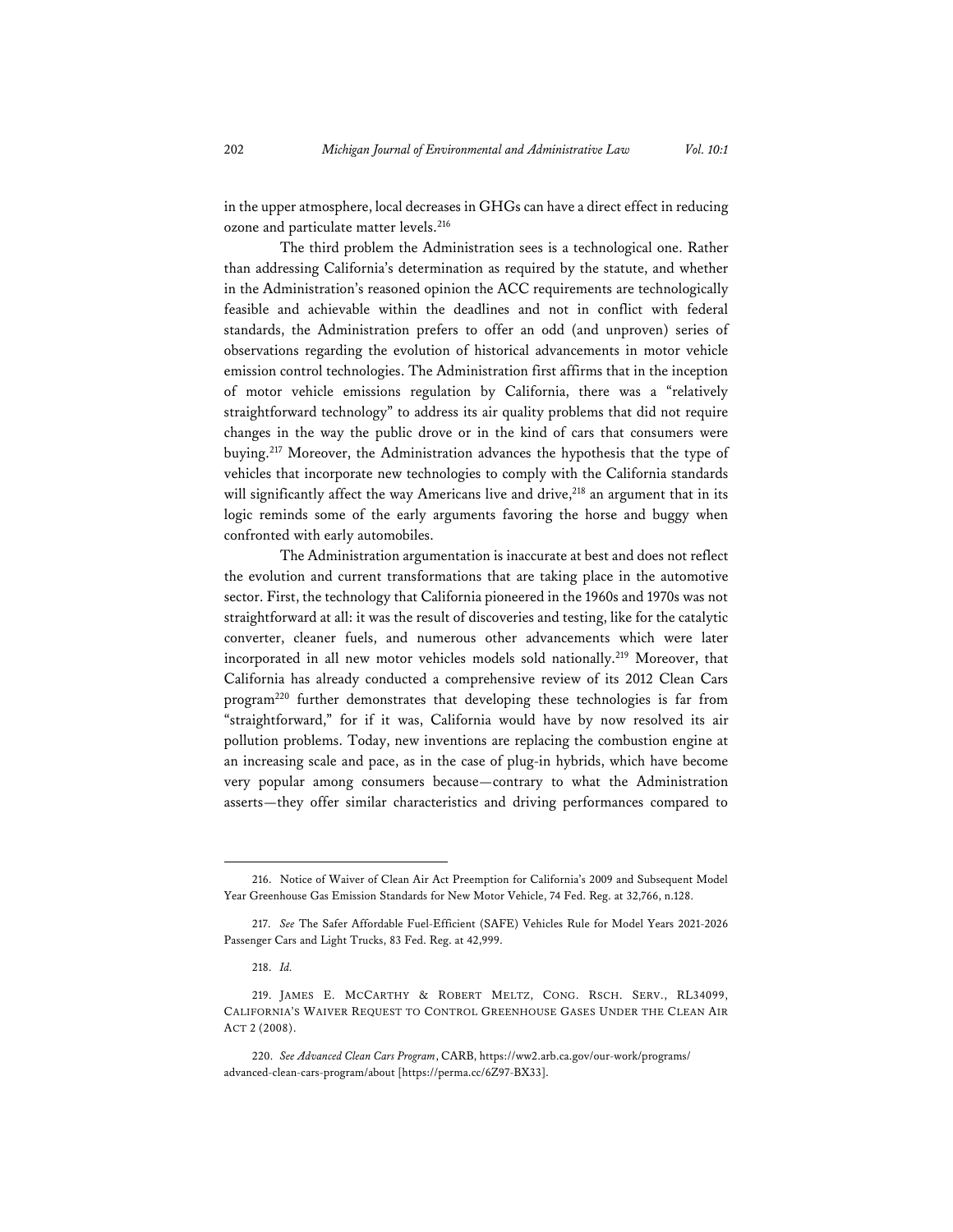in the upper atmosphere, local decreases in GHGs can have a direct effect in reducing ozone and particulate matter levels.<sup>216</sup>

The third problem the Administration sees is a technological one. Rather than addressing California's determination as required by the statute, and whether in the Administration's reasoned opinion the ACC requirements are technologically feasible and achievable within the deadlines and not in conflict with federal standards, the Administration prefers to offer an odd (and unproven) series of observations regarding the evolution of historical advancements in motor vehicle emission control technologies. The Administration first affirms that in the inception of motor vehicle emissions regulation by California, there was a "relatively straightforward technology" to address its air quality problems that did not require changes in the way the public drove or in the kind of cars that consumers were buying.<sup>217</sup> Moreover, the Administration advances the hypothesis that the type of vehicles that incorporate new technologies to comply with the California standards will significantly affect the way Americans live and drive,<sup>218</sup> an argument that in its logic reminds some of the early arguments favoring the horse and buggy when confronted with early automobiles.

The Administration argumentation is inaccurate at best and does not reflect the evolution and current transformations that are taking place in the automotive sector. First, the technology that California pioneered in the 1960s and 1970s was not straightforward at all: it was the result of discoveries and testing, like for the catalytic converter, cleaner fuels, and numerous other advancements which were later incorporated in all new motor vehicles models sold nationally.<sup>219</sup> Moreover, that California has already conducted a comprehensive review of its 2012 Clean Cars program220 further demonstrates that developing these technologies is far from "straightforward," for if it was, California would have by now resolved its air pollution problems. Today, new inventions are replacing the combustion engine at an increasing scale and pace, as in the case of plug-in hybrids, which have become very popular among consumers because—contrary to what the Administration asserts—they offer similar characteristics and driving performances compared to

<sup>216.</sup> Notice of Waiver of Clean Air Act Preemption for California's 2009 and Subsequent Model Year Greenhouse Gas Emission Standards for New Motor Vehicle, 74 Fed. Reg. at 32,766, n.128.

<sup>217.</sup> *See* The Safer Affordable Fuel-Efficient (SAFE) Vehicles Rule for Model Years 2021-2026 Passenger Cars and Light Trucks, 83 Fed. Reg. at 42,999.

<sup>218.</sup> *Id.* 

<sup>219.</sup> JAMES E. MCCARTHY & ROBERT MELTZ, CONG. RSCH. SERV., RL34099, CALIFORNIA'S WAIVER REQUEST TO CONTROL GREENHOUSE GASES UNDER THE CLEAN AIR ACT 2 (2008).

<sup>220.</sup> *See Advanced Clean Cars Program*, CARB, https://ww2.arb.ca.gov/our-work/programs/ advanced-clean-cars-program/about [https://perma.cc/6Z97-BX33].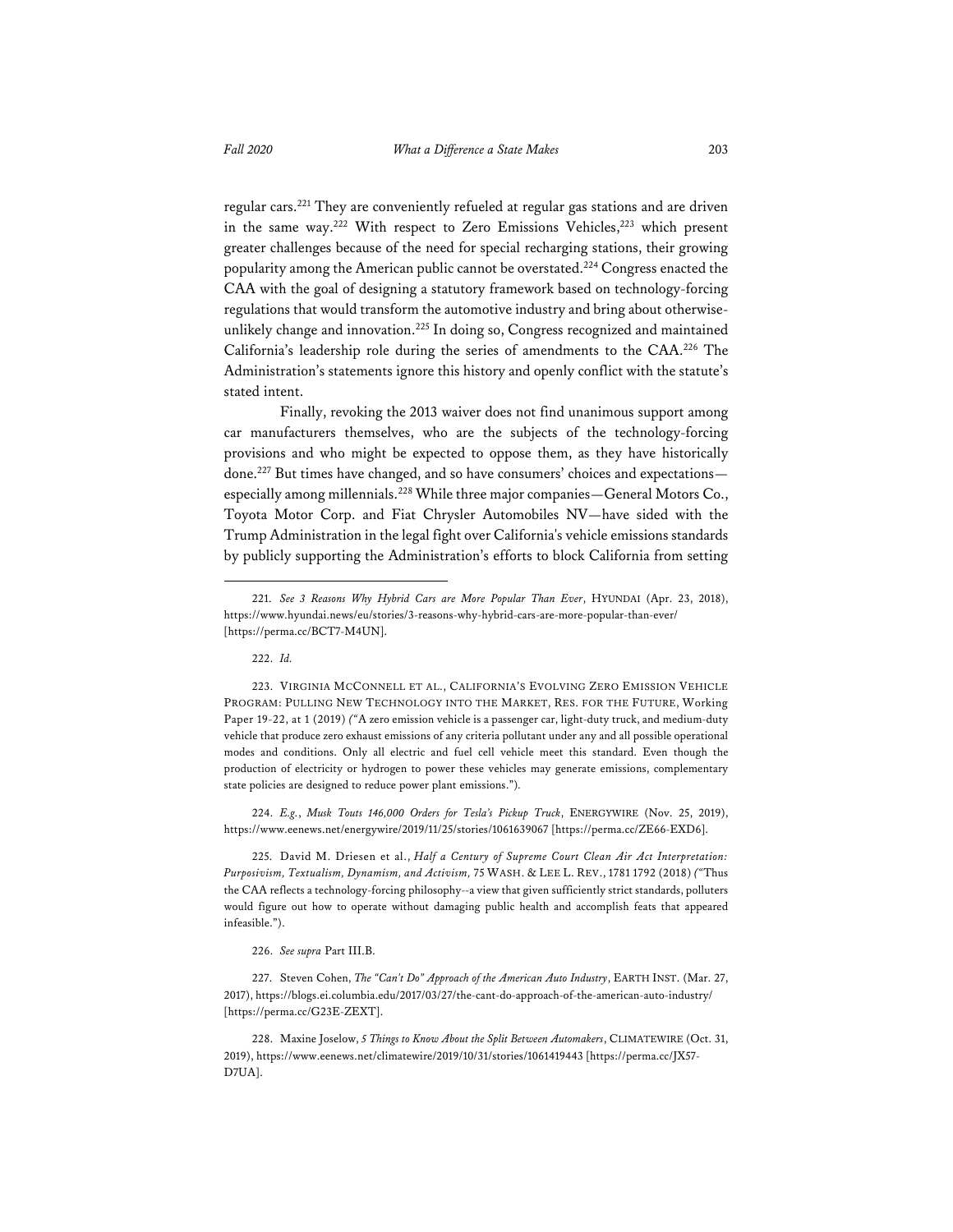regular cars.221 They are conveniently refueled at regular gas stations and are driven in the same way.<sup>222</sup> With respect to Zero Emissions Vehicles,<sup>223</sup> which present greater challenges because of the need for special recharging stations, their growing popularity among the American public cannot be overstated.224 Congress enacted the CAA with the goal of designing a statutory framework based on technology-forcing regulations that would transform the automotive industry and bring about otherwiseunlikely change and innovation.225 In doing so, Congress recognized and maintained California's leadership role during the series of amendments to the CAA.226 The Administration's statements ignore this history and openly conflict with the statute's stated intent.

Finally, revoking the 2013 waiver does not find unanimous support among car manufacturers themselves, who are the subjects of the technology-forcing provisions and who might be expected to oppose them, as they have historically done.227 But times have changed, and so have consumers' choices and expectations especially among millennials.<sup>228</sup> While three major companies—General Motors Co., Toyota Motor Corp. and Fiat Chrysler Automobiles NV—have sided with the Trump Administration in the legal fight over California's vehicle emissions standards by publicly supporting the Administration's efforts to block California from setting

224. *E.g.*, *Musk Touts 146,000 Orders for Tesla's Pickup Truck*, ENERGYWIRE (Nov. 25, 2019), https://www.eenews.net/energywire/2019/11/25/stories/1061639067 [https://perma.cc/ZE66-EXD6].

225. David M. Driesen et al., *Half a Century of Supreme Court Clean Air Act Interpretation: Purposivism, Textualism, Dynamism, and Activism,* 75 WASH. & LEE L. REV., 1781 1792 (2018) *("*Thus the CAA reflects a technology-forcing philosophy--a view that given sufficiently strict standards, polluters would figure out how to operate without damaging public health and accomplish feats that appeared infeasible.").

226. *See supra* Part III.B.

227. Steven Cohen, *The "Can't Do" Approach of the American Auto Industry*, EARTH INST. (Mar. 27, 2017), https://blogs.ei.columbia.edu/2017/03/27/the-cant-do-approach-of-the-american-auto-industry/ [https://perma.cc/G23E-ZEXT].

228. Maxine Joselow, *5 Things to Know About the Split Between Automakers*, CLIMATEWIRE (Oct. 31, 2019), https://www.eenews.net/climatewire/2019/10/31/stories/1061419443 [https://perma.cc/JX57- D7UA].

<sup>221.</sup> *See 3 Reasons Why Hybrid Cars are More Popular Than Ever*, HYUNDAI (Apr. 23, 2018), https://www.hyundai.news/eu/stories/3-reasons-why-hybrid-cars-are-more-popular-than-ever/ [https://perma.cc/BCT7-M4UN].

<sup>222.</sup> *Id.* 

<sup>223.</sup> VIRGINIA MCCONNELL ET AL., CALIFORNIA'S EVOLVING ZERO EMISSION VEHICLE PROGRAM: PULLING NEW TECHNOLOGY INTO THE MARKET, RES. FOR THE FUTURE, Working Paper 19-22, at 1 (2019) *("*A zero emission vehicle is a passenger car, light-duty truck, and medium-duty vehicle that produce zero exhaust emissions of any criteria pollutant under any and all possible operational modes and conditions. Only all electric and fuel cell vehicle meet this standard. Even though the production of electricity or hydrogen to power these vehicles may generate emissions, complementary state policies are designed to reduce power plant emissions.")*.*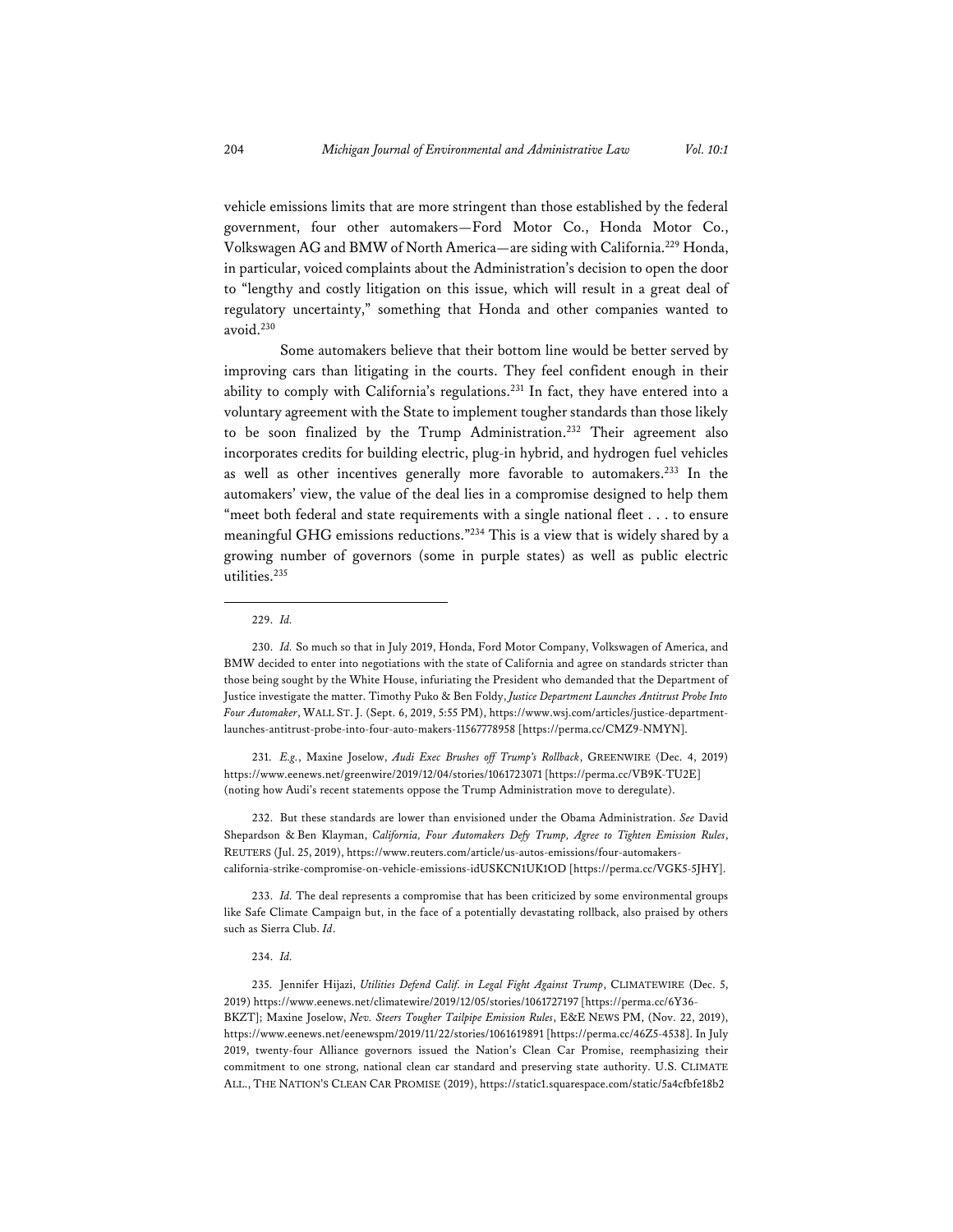vehicle emissions limits that are more stringent than those established by the federal government, four other automakers—Ford Motor Co., Honda Motor Co., Volkswagen AG and BMW of North America—are siding with California.229 Honda, in particular, voiced complaints about the Administration's decision to open the door to "lengthy and costly litigation on this issue, which will result in a great deal of regulatory uncertainty," something that Honda and other companies wanted to avoid.230

Some automakers believe that their bottom line would be better served by improving cars than litigating in the courts. They feel confident enough in their ability to comply with California's regulations.<sup>231</sup> In fact, they have entered into a voluntary agreement with the State to implement tougher standards than those likely to be soon finalized by the Trump Administration.232 Their agreement also incorporates credits for building electric, plug-in hybrid, and hydrogen fuel vehicles as well as other incentives generally more favorable to automakers.233 In the automakers' view, the value of the deal lies in a compromise designed to help them "meet both federal and state requirements with a single national fleet . . . to ensure meaningful GHG emissions reductions."234 This is a view that is widely shared by a growing number of governors (some in purple states) as well as public electric utilities.235

231. *E.g.*, Maxine Joselow, *Audi Exec Brushes off Trump's Rollback*, GREENWIRE (Dec. 4, 2019) https://www.eenews.net/greenwire/2019/12/04/stories/1061723071 [https://perma.cc/VB9K-TU2E] (noting how Audi's recent statements oppose the Trump Administration move to deregulate).

232. But these standards are lower than envisioned under the Obama Administration. *See* David Shepardson & Ben Klayman, *California, Four Automakers Defy Trump, Agree to Tighten Emission Rules*, REUTERS (Jul. 25, 2019), https://www.reuters.com/article/us-autos-emissions/four-automakerscalifornia-strike-compromise-on-vehicle-emissions-idUSKCN1UK1OD [https://perma.cc/VGK5-5JHY].

233. *Id.* The deal represents a compromise that has been criticized by some environmental groups like Safe Climate Campaign but, in the face of a potentially devastating rollback, also praised by others such as Sierra Club. *Id*.

234. *Id.*

235. Jennifer Hijazi, *Utilities Defend Calif. in Legal Fight Against Trump*, CLIMATEWIRE (Dec. 5, 2019) https://www.eenews.net/climatewire/2019/12/05/stories/1061727197 [https://perma.cc/6Y36- BKZT]; Maxine Joselow, *Nev. Steers Tougher Tailpipe Emission Rules*, E&E NEWS PM, (Nov. 22, 2019), https://www.eenews.net/eenewspm/2019/11/22/stories/1061619891 [https://perma.cc/46Z5-4538]. In July 2019, twenty-four Alliance governors issued the Nation's Clean Car Promise, reemphasizing their commitment to one strong, national clean car standard and preserving state authority. U.S. CLIMATE ALL., THE NATION'S CLEAN CAR PROMISE (2019), https://static1.squarespace.com/static/5a4cfbfe18b2

<sup>229.</sup> *Id.*

<sup>230.</sup> *Id.* So much so that in July 2019, Honda, Ford Motor Company, Volkswagen of America, and BMW decided to enter into negotiations with the state of California and agree on standards stricter than those being sought by the White House, infuriating the President who demanded that the Department of Justice investigate the matter. Timothy Puko & Ben Foldy, *Justice Department Launches Antitrust Probe Into Four Automaker*, WALL ST. J. (Sept. 6, 2019, 5:55 PM), https://www.wsj.com/articles/justice-departmentlaunches-antitrust-probe-into-four-auto-makers-11567778958 [https://perma.cc/CMZ9-NMYN].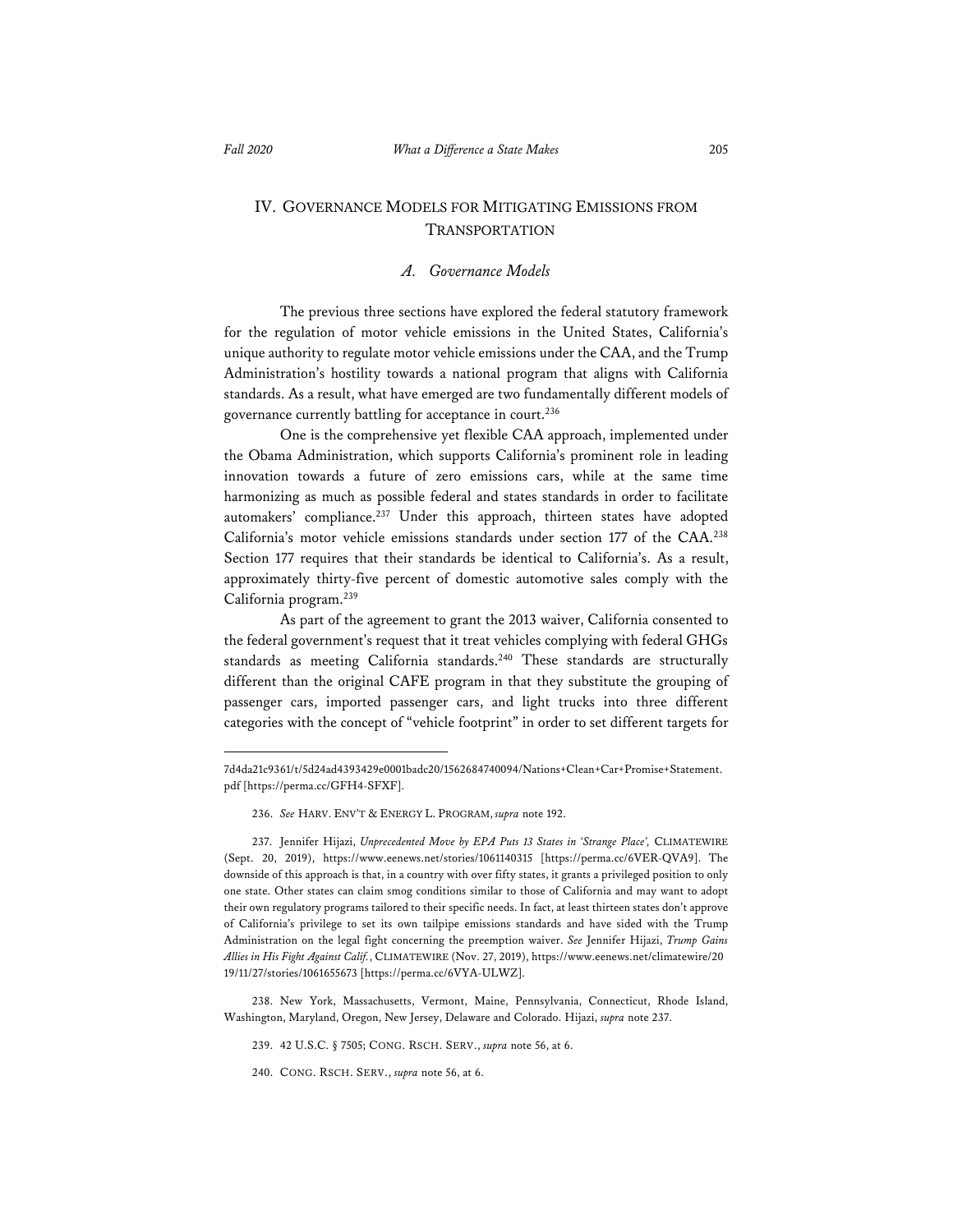## IV. GOVERNANCE MODELS FOR MITIGATING EMISSIONS FROM TRANSPORTATION

#### *A. Governance Models*

The previous three sections have explored the federal statutory framework for the regulation of motor vehicle emissions in the United States, California's unique authority to regulate motor vehicle emissions under the CAA, and the Trump Administration's hostility towards a national program that aligns with California standards. As a result, what have emerged are two fundamentally different models of governance currently battling for acceptance in court.236

One is the comprehensive yet flexible CAA approach, implemented under the Obama Administration, which supports California's prominent role in leading innovation towards a future of zero emissions cars, while at the same time harmonizing as much as possible federal and states standards in order to facilitate automakers' compliance.<sup>237</sup> Under this approach, thirteen states have adopted California's motor vehicle emissions standards under section 177 of the CAA.<sup>238</sup> Section 177 requires that their standards be identical to California's. As a result, approximately thirty-five percent of domestic automotive sales comply with the California program.239

As part of the agreement to grant the 2013 waiver, California consented to the federal government's request that it treat vehicles complying with federal GHGs standards as meeting California standards.<sup>240</sup> These standards are structurally different than the original CAFE program in that they substitute the grouping of passenger cars, imported passenger cars, and light trucks into three different categories with the concept of "vehicle footprint" in order to set different targets for

<sup>7</sup>d4da21c9361/t/5d24ad4393429e0001badc20/1562684740094/Nations+Clean+Car+Promise+Statement. pdf [https://perma.cc/GFH4-SFXF].

<sup>236.</sup> *See* HARV. ENV'T & ENERGY L. PROGRAM, *supra* note 192.

<sup>237.</sup> Jennifer Hijazi, *Unprecedented Move by EPA Puts 13 States in 'Strange Place',* CLIMATEWIRE (Sept. 20, 2019), https://www.eenews.net/stories/1061140315 [https://perma.cc/6VER-QVA9]. The downside of this approach is that, in a country with over fifty states, it grants a privileged position to only one state. Other states can claim smog conditions similar to those of California and may want to adopt their own regulatory programs tailored to their specific needs. In fact, at least thirteen states don't approve of California's privilege to set its own tailpipe emissions standards and have sided with the Trump Administration on the legal fight concerning the preemption waiver. *See* Jennifer Hijazi, *Trump Gains Allies in His Fight Against Calif.*, CLIMATEWIRE (Nov. 27, 2019), https://www.eenews.net/climatewire/20 19/11/27/stories/1061655673 [https://perma.cc/6VYA-ULWZ].

<sup>238.</sup> New York, Massachusetts, Vermont, Maine, Pennsylvania, Connecticut, Rhode Island, Washington, Maryland, Oregon, New Jersey, Delaware and Colorado. Hijazi, *supra* note 237.

<sup>239. 42</sup> U.S.C. § 7505; CONG. RSCH. SERV., *supra* note 56, at 6.

<sup>240.</sup> CONG. RSCH. SERV., *supra* note 56, at 6.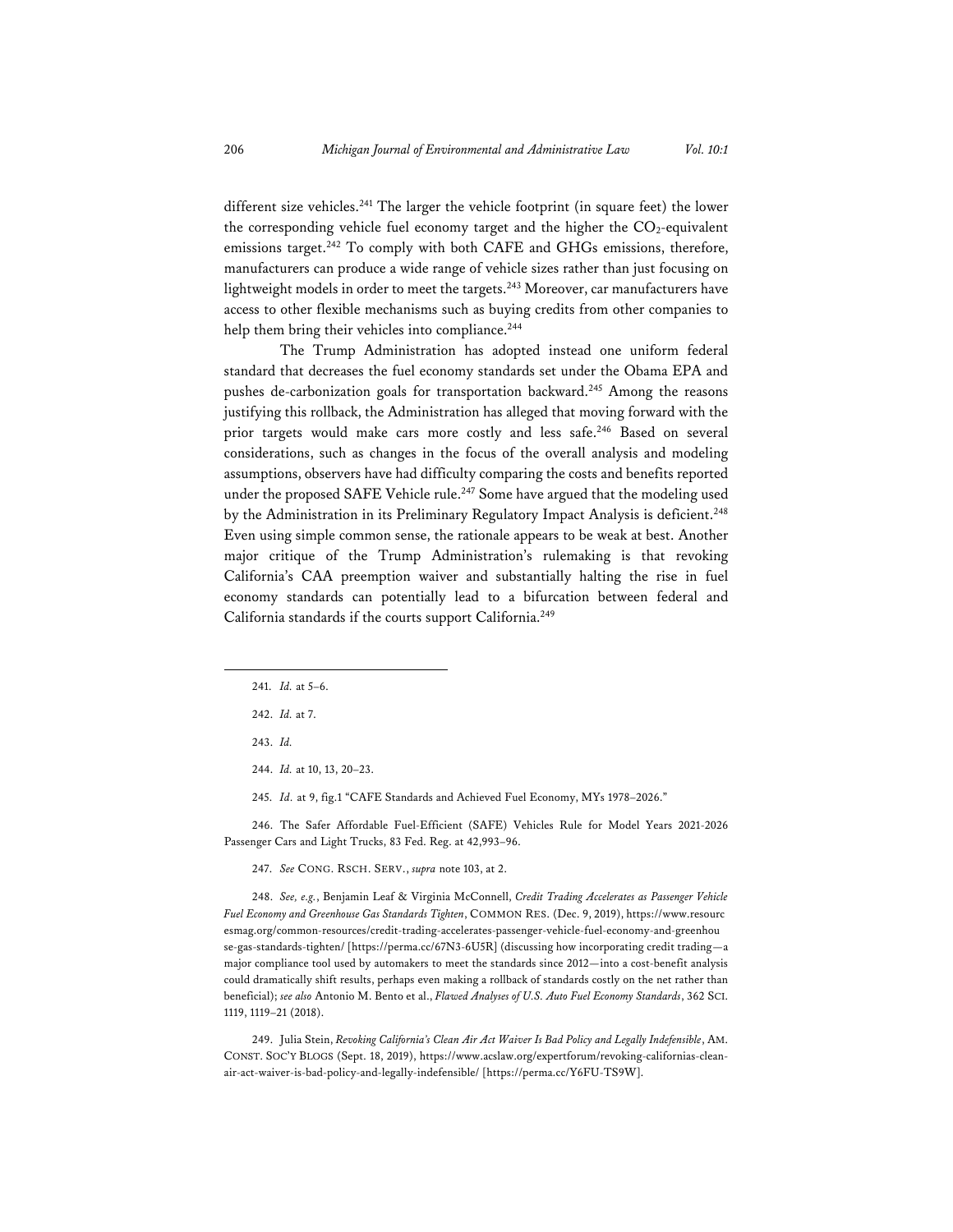different size vehicles.<sup>241</sup> The larger the vehicle footprint (in square feet) the lower the corresponding vehicle fuel economy target and the higher the  $CO_2$ -equivalent emissions target.<sup>242</sup> To comply with both CAFE and GHGs emissions, therefore, manufacturers can produce a wide range of vehicle sizes rather than just focusing on lightweight models in order to meet the targets.<sup>243</sup> Moreover, car manufacturers have access to other flexible mechanisms such as buying credits from other companies to help them bring their vehicles into compliance.<sup>244</sup>

The Trump Administration has adopted instead one uniform federal standard that decreases the fuel economy standards set under the Obama EPA and pushes de-carbonization goals for transportation backward.<sup>245</sup> Among the reasons justifying this rollback, the Administration has alleged that moving forward with the prior targets would make cars more costly and less safe.<sup>246</sup> Based on several considerations, such as changes in the focus of the overall analysis and modeling assumptions, observers have had difficulty comparing the costs and benefits reported under the proposed SAFE Vehicle rule.<sup>247</sup> Some have argued that the modeling used by the Administration in its Preliminary Regulatory Impact Analysis is deficient.<sup>248</sup> Even using simple common sense, the rationale appears to be weak at best. Another major critique of the Trump Administration's rulemaking is that revoking California's CAA preemption waiver and substantially halting the rise in fuel economy standards can potentially lead to a bifurcation between federal and California standards if the courts support California.249

243. *Id.*

244. *Id.* at 10, 13, 20–23.

245. *Id.* at 9, fig.1 "CAFE Standards and Achieved Fuel Economy, MYs 1978–2026."

246. The Safer Affordable Fuel-Efficient (SAFE) Vehicles Rule for Model Years 2021-2026 Passenger Cars and Light Trucks, 83 Fed. Reg. at 42,993–96.

247. *See* CONG. RSCH. SERV., *supra* note 103, at 2.

248. *See, e.g.*, Benjamin Leaf & Virginia McConnell, *Credit Trading Accelerates as Passenger Vehicle Fuel Economy and Greenhouse Gas Standards Tighten*, COMMON RES. (Dec. 9, 2019), https://www.resourc esmag.org/common-resources/credit-trading-accelerates-passenger-vehicle-fuel-economy-and-greenhou se-gas-standards-tighten/ [https://perma.cc/67N3-6U5R] (discussing how incorporating credit trading—a major compliance tool used by automakers to meet the standards since 2012—into a cost-benefit analysis could dramatically shift results, perhaps even making a rollback of standards costly on the net rather than beneficial); *see also* Antonio M. Bento et al., *Flawed Analyses of U.S. Auto Fuel Economy Standards*, 362 SCI. 1119, 1119–21 (2018).

249. Julia Stein, *Revoking California's Clean Air Act Waiver Is Bad Policy and Legally Indefensible*, AM. CONST. SOC'Y BLOGS (Sept. 18, 2019), https://www.acslaw.org/expertforum/revoking-californias-cleanair-act-waiver-is-bad-policy-and-legally-indefensible/ [https://perma.cc/Y6FU-TS9W].

<sup>241.</sup> *Id.* at 5–6.

<sup>242.</sup> *Id.* at 7.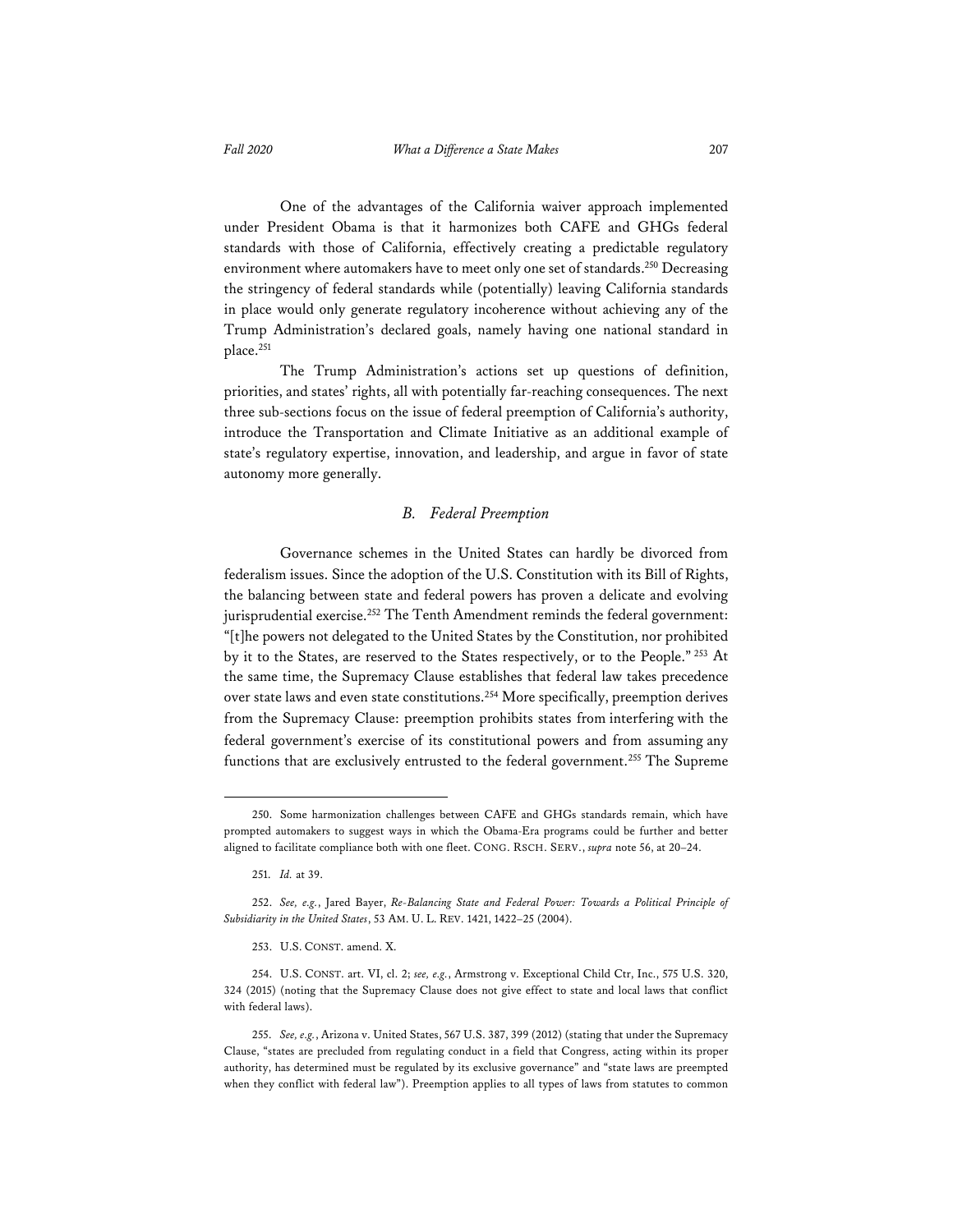One of the advantages of the California waiver approach implemented under President Obama is that it harmonizes both CAFE and GHGs federal standards with those of California, effectively creating a predictable regulatory

environment where automakers have to meet only one set of standards.<sup>250</sup> Decreasing the stringency of federal standards while (potentially) leaving California standards in place would only generate regulatory incoherence without achieving any of the Trump Administration's declared goals, namely having one national standard in place.<sup>251</sup>

The Trump Administration's actions set up questions of definition, priorities, and states' rights, all with potentially far-reaching consequences. The next three sub-sections focus on the issue of federal preemption of California's authority, introduce the Transportation and Climate Initiative as an additional example of state's regulatory expertise, innovation, and leadership, and argue in favor of state autonomy more generally.

#### *B. Federal Preemption*

Governance schemes in the United States can hardly be divorced from federalism issues. Since the adoption of the U.S. Constitution with its Bill of Rights, the balancing between state and federal powers has proven a delicate and evolving jurisprudential exercise.<sup>252</sup> The Tenth Amendment reminds the federal government: "[t]he powers not delegated to the United States by the Constitution, nor prohibited by it to the States, are reserved to the States respectively, or to the People." 253 At the same time, the Supremacy Clause establishes that federal law takes precedence over state laws and even state constitutions.<sup>254</sup> More specifically, preemption derives from the Supremacy Clause: preemption prohibits states from interfering with the federal government's exercise of its constitutional powers and from assuming any functions that are exclusively entrusted to the federal government.<sup>255</sup> The Supreme

<sup>250.</sup> Some harmonization challenges between CAFE and GHGs standards remain, which have prompted automakers to suggest ways in which the Obama-Era programs could be further and better aligned to facilitate compliance both with one fleet. CONG. RSCH. SERV., *supra* note 56, at 20–24.

<sup>251.</sup> *Id.* at 39.

<sup>252.</sup> *See, e.g.*, Jared Bayer, *Re-Balancing State and Federal Power: Towards a Political Principle of Subsidiarity in the United States*, 53 AM. U. L. REV. 1421, 1422–25 (2004).

<sup>253.</sup> U.S. CONST. amend. X.

<sup>254.</sup> U.S. CONST. art. VI, cl. 2; *see, e.g.*, Armstrong v. Exceptional Child Ctr, Inc., 575 U.S. 320, 324 (2015) (noting that the Supremacy Clause does not give effect to state and local laws that conflict with federal laws).

<sup>255.</sup> *See, e.g.*, Arizona v. United States, 567 U.S. 387, 399 (2012) (stating that under the Supremacy Clause, "states are precluded from regulating conduct in a field that Congress, acting within its proper authority, has determined must be regulated by its exclusive governance" and "state laws are preempted when they conflict with federal law"). Preemption applies to all types of laws from statutes to common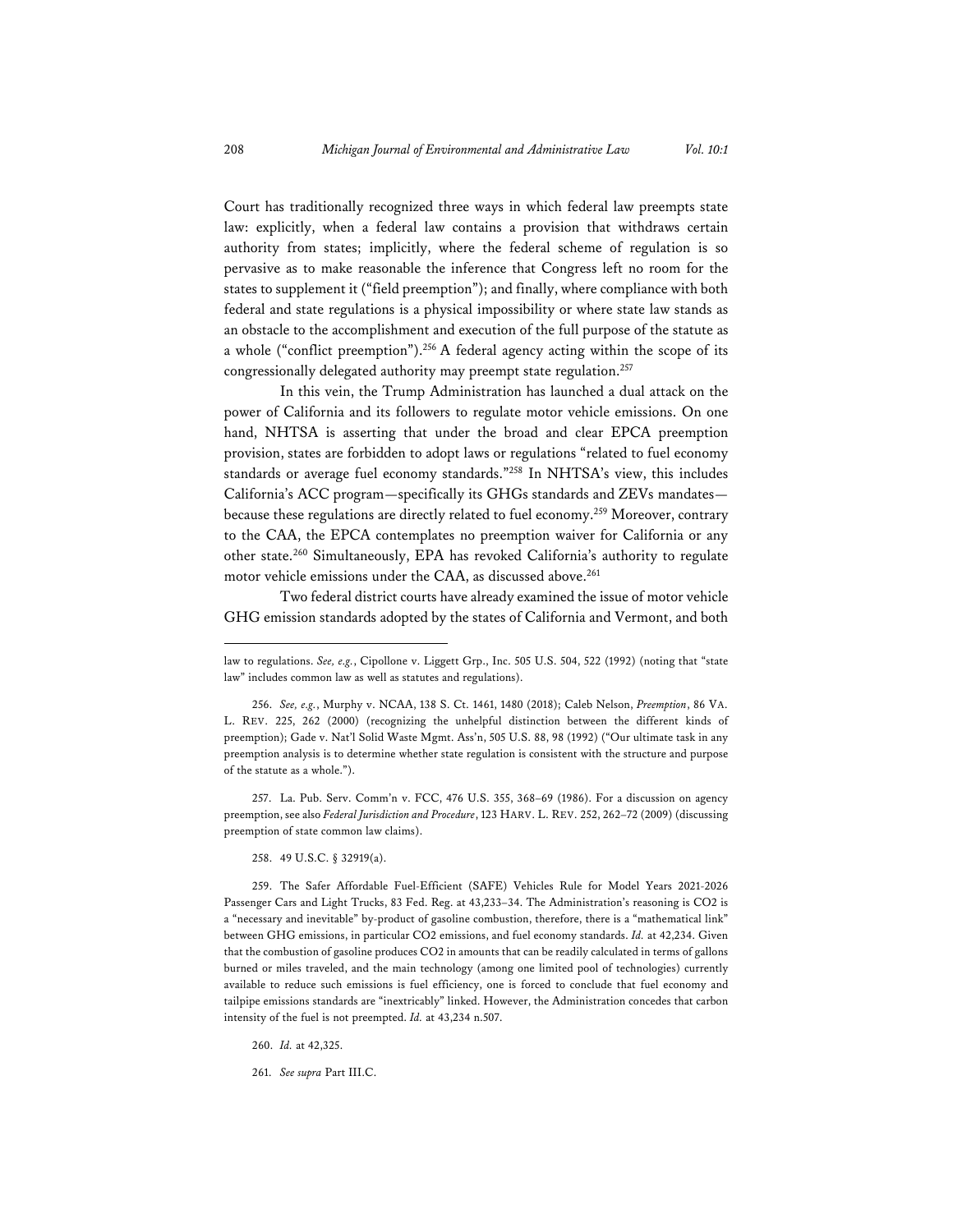Court has traditionally recognized three ways in which federal law preempts state law: explicitly, when a federal law contains a provision that withdraws certain authority from states; implicitly, where the federal scheme of regulation is so pervasive as to make reasonable the inference that Congress left no room for the states to supplement it ("field preemption"); and finally, where compliance with both federal and state regulations is a physical impossibility or where state law stands as an obstacle to the accomplishment and execution of the full purpose of the statute as a whole ("conflict preemption").<sup>256</sup> A federal agency acting within the scope of its congressionally delegated authority may preempt state regulation.<sup>257</sup>

In this vein, the Trump Administration has launched a dual attack on the power of California and its followers to regulate motor vehicle emissions. On one hand, NHTSA is asserting that under the broad and clear EPCA preemption provision, states are forbidden to adopt laws or regulations "related to fuel economy standards or average fuel economy standards."258 In NHTSA's view, this includes California's ACC program—specifically its GHGs standards and ZEVs mandates because these regulations are directly related to fuel economy.259 Moreover, contrary to the CAA, the EPCA contemplates no preemption waiver for California or any other state.260 Simultaneously, EPA has revoked California's authority to regulate motor vehicle emissions under the CAA, as discussed above.<sup>261</sup>

Two federal district courts have already examined the issue of motor vehicle GHG emission standards adopted by the states of California and Vermont, and both

257. La. Pub. Serv. Comm'n v. FCC, 476 U.S. 355, 368–69 (1986). For a discussion on agency preemption, see also *Federal Jurisdiction and Procedure*, 123 HARV. L. REV. 252, 262–72 (2009) (discussing preemption of state common law claims).

258. 49 U.S.C. § 32919(a).

260. *Id.* at 42,325.

261. *See supra* Part III.C.

law to regulations. *See, e.g.*, Cipollone v. Liggett Grp., Inc. 505 U.S. 504, 522 (1992) (noting that "state law" includes common law as well as statutes and regulations).

<sup>256.</sup> *See, e.g.*, Murphy v. NCAA, 138 S. Ct. 1461, 1480 (2018); Caleb Nelson, *Preemption*, 86 VA. L. REV. 225, 262 (2000) (recognizing the unhelpful distinction between the different kinds of preemption); Gade v. Nat'l Solid Waste Mgmt. Ass'n, 505 U.S. 88, 98 (1992) ("Our ultimate task in any preemption analysis is to determine whether state regulation is consistent with the structure and purpose of the statute as a whole.").

<sup>259.</sup> The Safer Affordable Fuel-Efficient (SAFE) Vehicles Rule for Model Years 2021-2026 Passenger Cars and Light Trucks, 83 Fed. Reg. at 43,233–34. The Administration's reasoning is CO2 is a "necessary and inevitable" by-product of gasoline combustion, therefore, there is a "mathematical link" between GHG emissions, in particular CO2 emissions, and fuel economy standards. *Id.* at 42,234. Given that the combustion of gasoline produces CO2 in amounts that can be readily calculated in terms of gallons burned or miles traveled, and the main technology (among one limited pool of technologies) currently available to reduce such emissions is fuel efficiency, one is forced to conclude that fuel economy and tailpipe emissions standards are "inextricably" linked. However, the Administration concedes that carbon intensity of the fuel is not preempted. *Id.* at 43,234 n.507.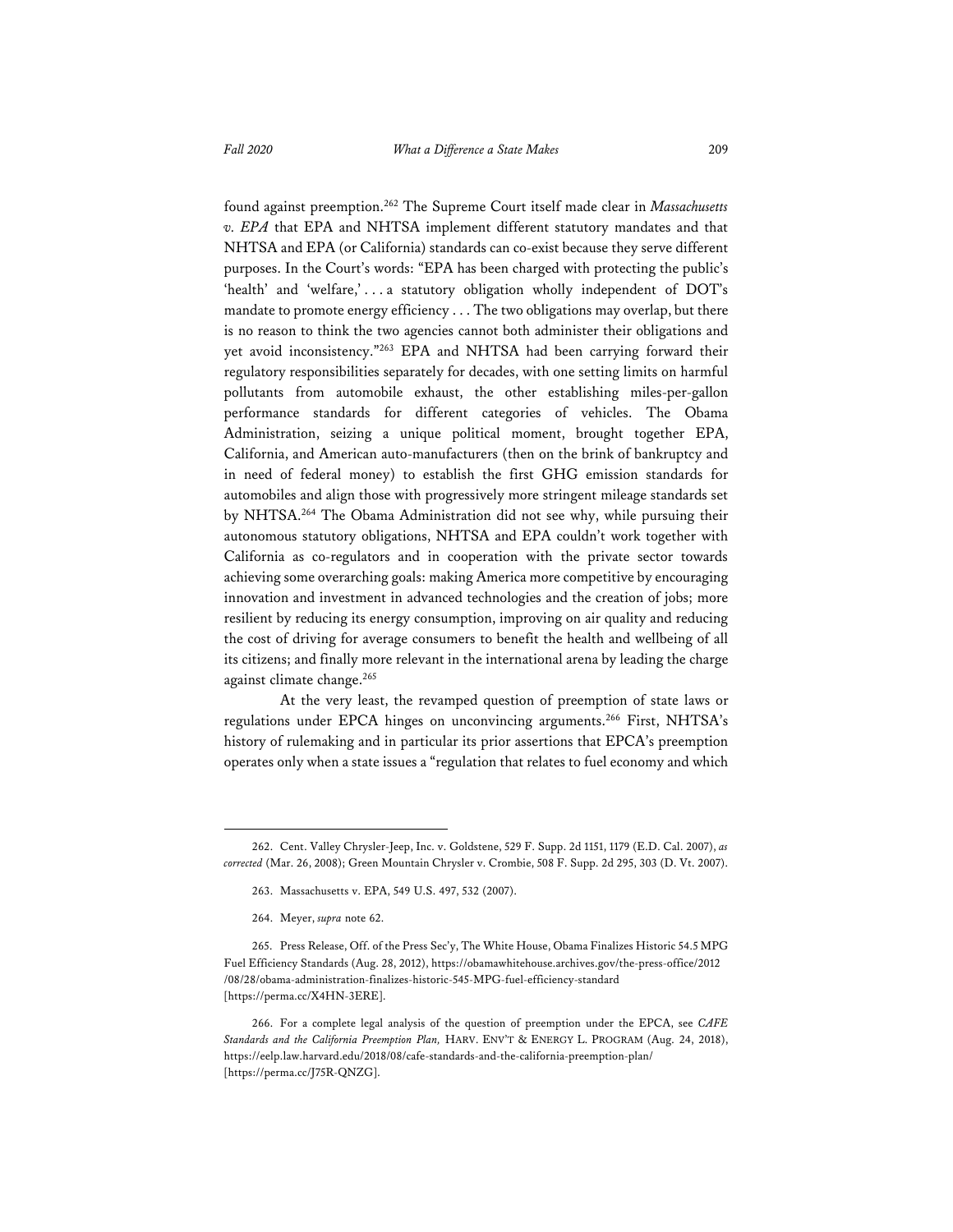found against preemption.262 The Supreme Court itself made clear in *Massachusetts v. EPA* that EPA and NHTSA implement different statutory mandates and that NHTSA and EPA (or California) standards can co-exist because they serve different purposes. In the Court's words: "EPA has been charged with protecting the public's 'health' and 'welfare,' . . . a statutory obligation wholly independent of DOT's mandate to promote energy efficiency . . . The two obligations may overlap, but there is no reason to think the two agencies cannot both administer their obligations and yet avoid inconsistency."263 EPA and NHTSA had been carrying forward their regulatory responsibilities separately for decades, with one setting limits on harmful pollutants from automobile exhaust, the other establishing miles-per-gallon performance standards for different categories of vehicles. The Obama Administration, seizing a unique political moment, brought together EPA, California, and American auto-manufacturers (then on the brink of bankruptcy and in need of federal money) to establish the first GHG emission standards for automobiles and align those with progressively more stringent mileage standards set by NHTSA.264 The Obama Administration did not see why, while pursuing their autonomous statutory obligations, NHTSA and EPA couldn't work together with California as co-regulators and in cooperation with the private sector towards achieving some overarching goals: making America more competitive by encouraging innovation and investment in advanced technologies and the creation of jobs; more resilient by reducing its energy consumption, improving on air quality and reducing the cost of driving for average consumers to benefit the health and wellbeing of all its citizens; and finally more relevant in the international arena by leading the charge against climate change.265

At the very least, the revamped question of preemption of state laws or regulations under EPCA hinges on unconvincing arguments.<sup>266</sup> First, NHTSA's history of rulemaking and in particular its prior assertions that EPCA's preemption operates only when a state issues a "regulation that relates to fuel economy and which

<sup>262.</sup> Cent. Valley Chrysler-Jeep, Inc. v. Goldstene, 529 F. Supp. 2d 1151, 1179 (E.D. Cal. 2007), *as corrected* (Mar. 26, 2008); Green Mountain Chrysler v. Crombie, 508 F. Supp. 2d 295, 303 (D. Vt. 2007).

<sup>263.</sup> Massachusetts v. EPA, 549 U.S. 497, 532 (2007).

<sup>264.</sup> Meyer, *supra* note 62.

<sup>265.</sup> Press Release, Off. of the Press Sec'y, The White House, Obama Finalizes Historic 54.5 MPG Fuel Efficiency Standards (Aug. 28, 2012), https://obamawhitehouse.archives.gov/the-press-office/2012 /08/28/obama-administration-finalizes-historic-545-MPG-fuel-efficiency-standard [https://perma.cc/X4HN-3ERE].

<sup>266.</sup> For a complete legal analysis of the question of preemption under the EPCA, see *CAFE Standards and the California Preemption Plan,* HARV. ENV'T & ENERGY L. PROGRAM (Aug. 24, 2018), https://eelp.law.harvard.edu/2018/08/cafe-standards-and-the-california-preemption-plan/ [https://perma.cc/J75R-QNZG].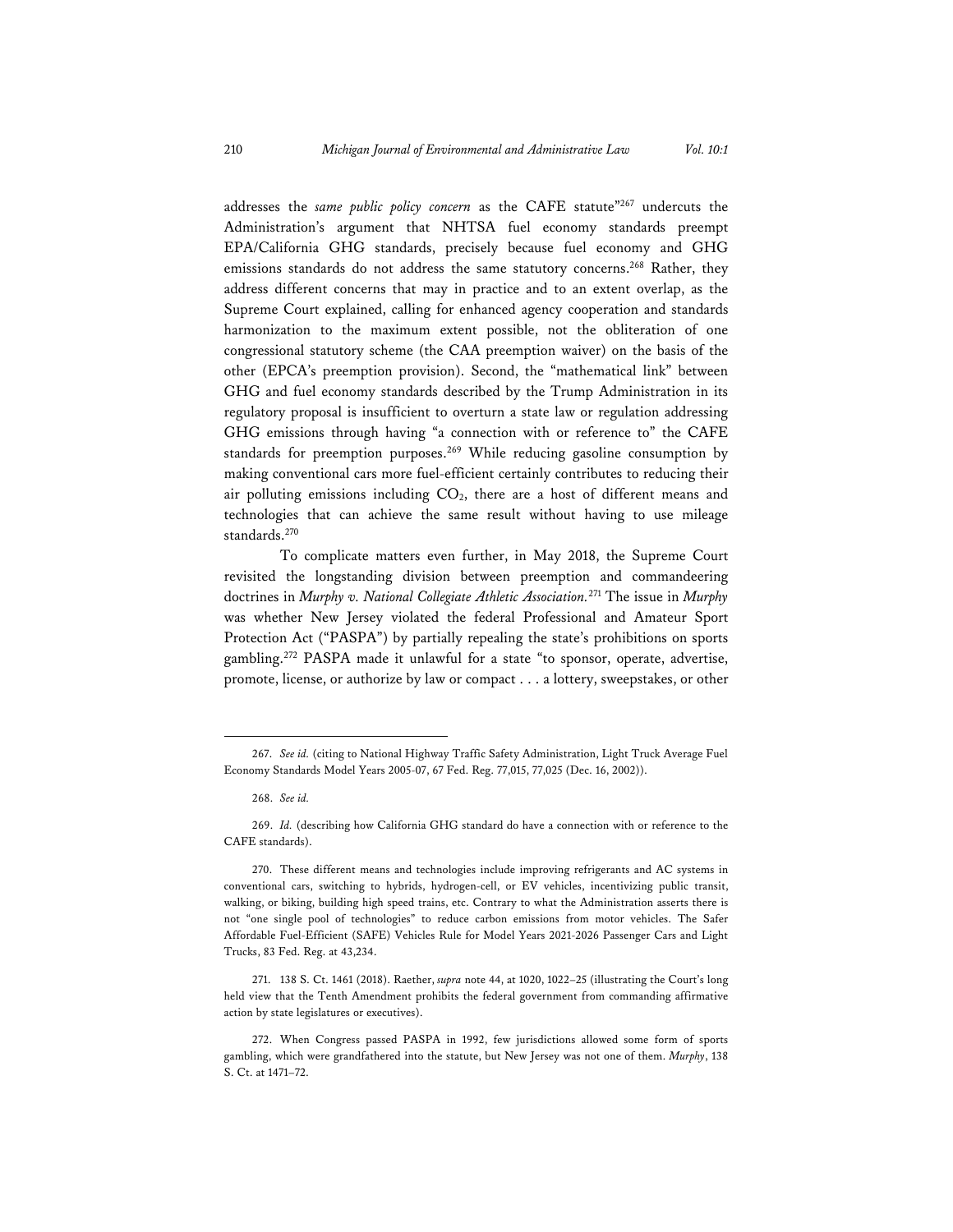addresses the *same public policy concern* as the CAFE statute"267 undercuts the Administration's argument that NHTSA fuel economy standards preempt EPA/California GHG standards, precisely because fuel economy and GHG emissions standards do not address the same statutory concerns.<sup>268</sup> Rather, they address different concerns that may in practice and to an extent overlap, as the Supreme Court explained, calling for enhanced agency cooperation and standards harmonization to the maximum extent possible, not the obliteration of one congressional statutory scheme (the CAA preemption waiver) on the basis of the other (EPCA's preemption provision). Second, the "mathematical link" between GHG and fuel economy standards described by the Trump Administration in its regulatory proposal is insufficient to overturn a state law or regulation addressing GHG emissions through having "a connection with or reference to" the CAFE standards for preemption purposes.<sup>269</sup> While reducing gasoline consumption by making conventional cars more fuel-efficient certainly contributes to reducing their air polluting emissions including  $CO<sub>2</sub>$ , there are a host of different means and technologies that can achieve the same result without having to use mileage standards.270

To complicate matters even further, in May 2018, the Supreme Court revisited the longstanding division between preemption and commandeering doctrines in *Murphy v. National Collegiate Athletic Association.*271 The issue in *Murphy* was whether New Jersey violated the federal Professional and Amateur Sport Protection Act ("PASPA") by partially repealing the state's prohibitions on sports gambling.272 PASPA made it unlawful for a state "to sponsor, operate, advertise, promote, license, or authorize by law or compact . . . a lottery, sweepstakes, or other

<sup>267.</sup> *See id.* (citing to National Highway Traffic Safety Administration, Light Truck Average Fuel Economy Standards Model Years 2005-07, 67 Fed. Reg. 77,015, 77,025 (Dec. 16, 2002)).

<sup>268.</sup> *See id.* 

<sup>269.</sup> *Id.* (describing how California GHG standard do have a connection with or reference to the CAFE standards).

<sup>270.</sup> These different means and technologies include improving refrigerants and AC systems in conventional cars, switching to hybrids, hydrogen-cell, or EV vehicles, incentivizing public transit, walking, or biking, building high speed trains, etc. Contrary to what the Administration asserts there is not "one single pool of technologies" to reduce carbon emissions from motor vehicles. The Safer Affordable Fuel-Efficient (SAFE) Vehicles Rule for Model Years 2021-2026 Passenger Cars and Light Trucks, 83 Fed. Reg. at 43,234.

<sup>271. 138</sup> S. Ct. 1461 (2018). Raether, *supra* note 44, at 1020, 1022–25 (illustrating the Court's long held view that the Tenth Amendment prohibits the federal government from commanding affirmative action by state legislatures or executives).

<sup>272.</sup> When Congress passed PASPA in 1992, few jurisdictions allowed some form of sports gambling, which were grandfathered into the statute, but New Jersey was not one of them. *Murphy*, 138 S. Ct. at 1471–72.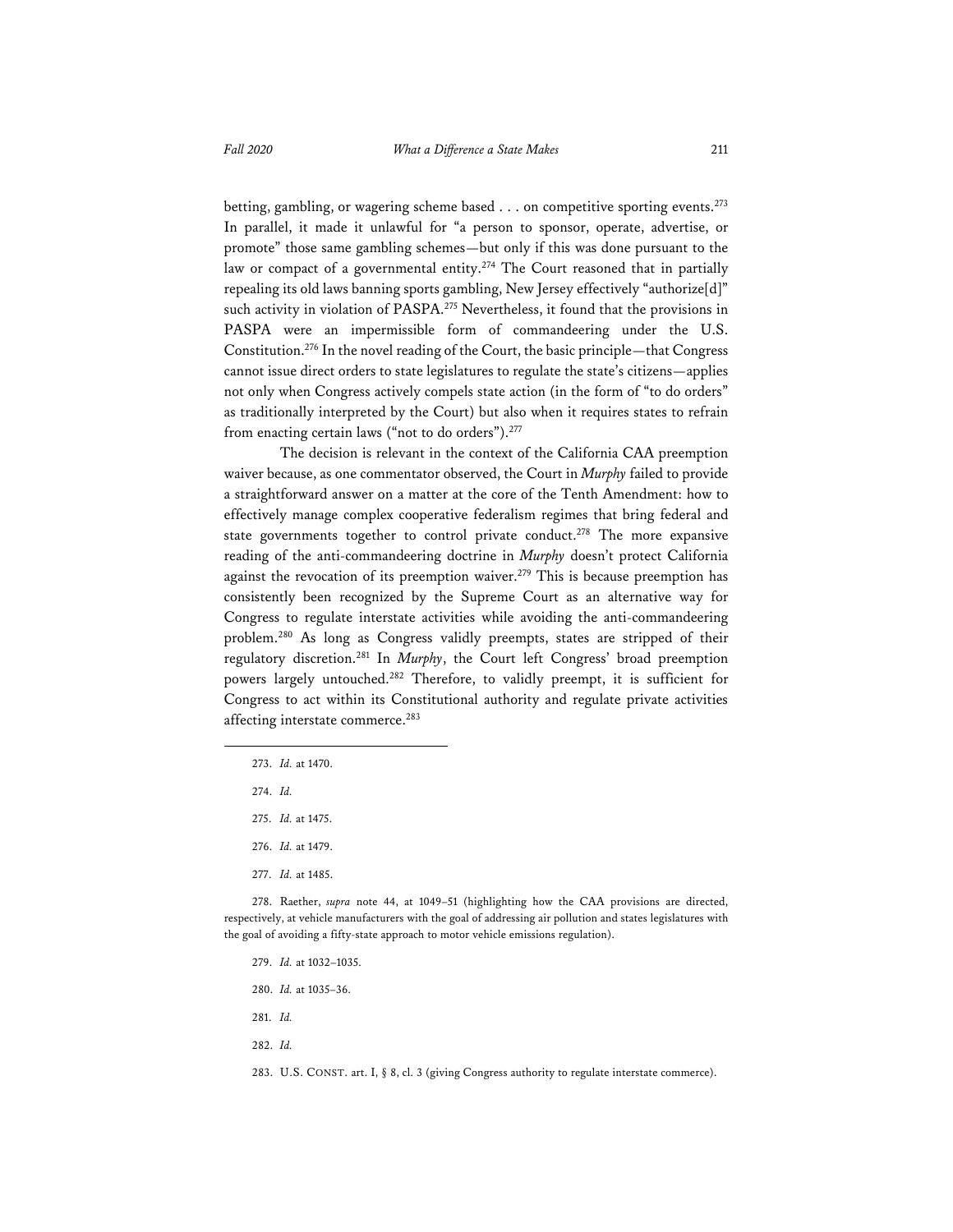betting, gambling, or wagering scheme based . . . on competitive sporting events.<sup>273</sup> In parallel, it made it unlawful for "a person to sponsor, operate, advertise, or promote" those same gambling schemes—but only if this was done pursuant to the law or compact of a governmental entity.<sup>274</sup> The Court reasoned that in partially repealing its old laws banning sports gambling, New Jersey effectively "authorize[d]" such activity in violation of PASPA.<sup>275</sup> Nevertheless, it found that the provisions in PASPA were an impermissible form of commandeering under the U.S. Constitution.276 In the novel reading of the Court, the basic principle—that Congress cannot issue direct orders to state legislatures to regulate the state's citizens—applies not only when Congress actively compels state action (in the form of "to do orders" as traditionally interpreted by the Court) but also when it requires states to refrain from enacting certain laws ("not to do orders").<sup>277</sup>

The decision is relevant in the context of the California CAA preemption waiver because, as one commentator observed, the Court in *Murphy* failed to provide a straightforward answer on a matter at the core of the Tenth Amendment: how to effectively manage complex cooperative federalism regimes that bring federal and state governments together to control private conduct.<sup>278</sup> The more expansive reading of the anti-commandeering doctrine in *Murphy* doesn't protect California against the revocation of its preemption waiver.<sup>279</sup> This is because preemption has consistently been recognized by the Supreme Court as an alternative way for Congress to regulate interstate activities while avoiding the anti-commandeering problem.280 As long as Congress validly preempts, states are stripped of their regulatory discretion.281 In *Murphy*, the Court left Congress' broad preemption powers largely untouched.282 Therefore, to validly preempt, it is sufficient for Congress to act within its Constitutional authority and regulate private activities affecting interstate commerce.283

- 273. *Id.* at 1470.
- 274. *Id.*
- 275. *Id.* at 1475.
- 276. *Id.* at 1479.
- 277. *Id.* at 1485.

278. Raether, *supra* note 44, at 1049–51 (highlighting how the CAA provisions are directed, respectively, at vehicle manufacturers with the goal of addressing air pollution and states legislatures with the goal of avoiding a fifty-state approach to motor vehicle emissions regulation).

- 279. *Id.* at 1032–1035.
- 280. *Id.* at 1035–36.
- 281. *Id.*
- 282. *Id.*

283. U.S. CONST. art. I, § 8, cl. 3 (giving Congress authority to regulate interstate commerce).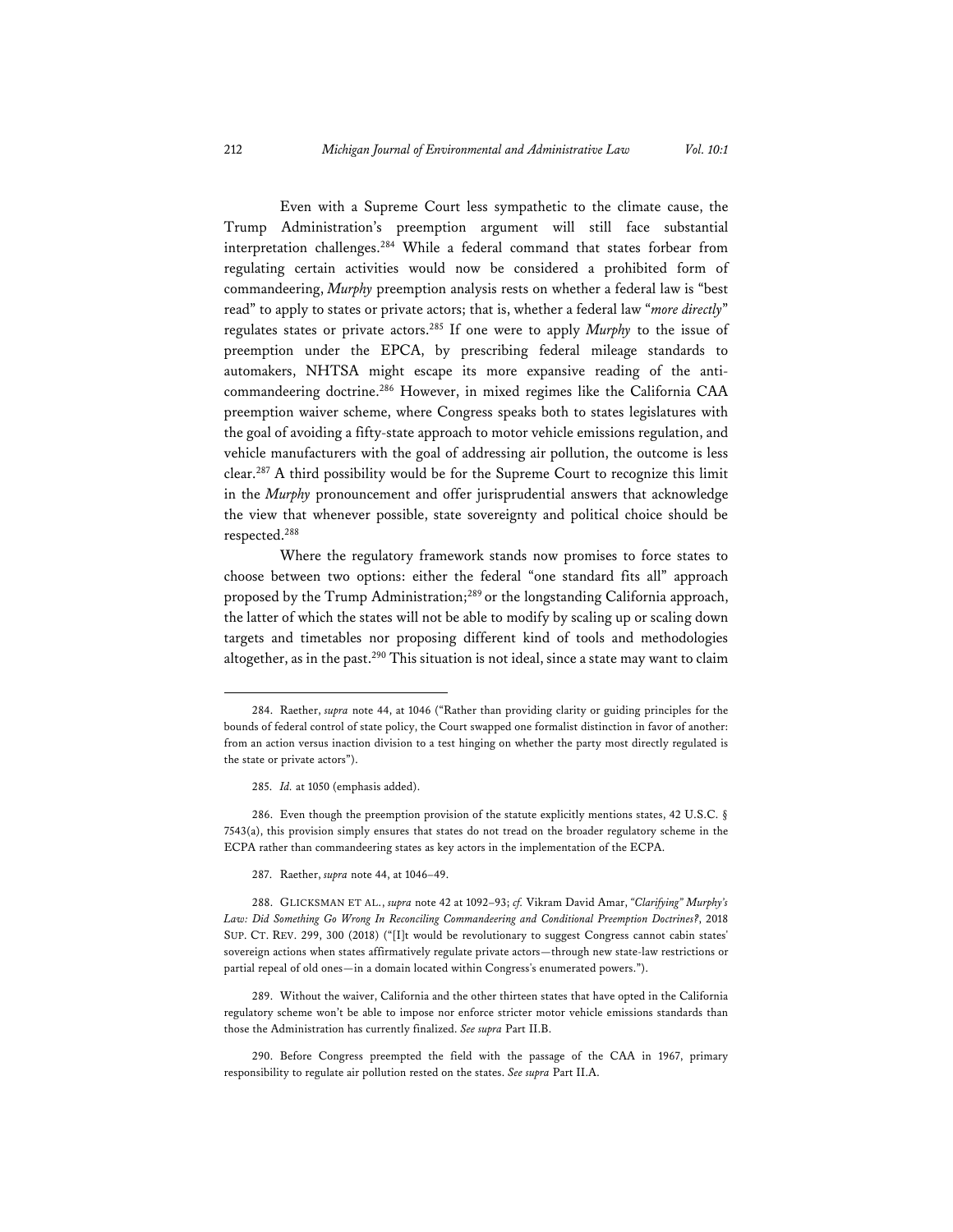Even with a Supreme Court less sympathetic to the climate cause, the Trump Administration's preemption argument will still face substantial interpretation challenges.284 While a federal command that states forbear from regulating certain activities would now be considered a prohibited form of commandeering, *Murphy* preemption analysis rests on whether a federal law is "best read" to apply to states or private actors; that is, whether a federal law "*more directly*" regulates states or private actors.285 If one were to apply *Murphy* to the issue of preemption under the EPCA, by prescribing federal mileage standards to automakers, NHTSA might escape its more expansive reading of the anticommandeering doctrine.286 However, in mixed regimes like the California CAA preemption waiver scheme, where Congress speaks both to states legislatures with the goal of avoiding a fifty-state approach to motor vehicle emissions regulation, and vehicle manufacturers with the goal of addressing air pollution, the outcome is less clear.287 A third possibility would be for the Supreme Court to recognize this limit in the *Murphy* pronouncement and offer jurisprudential answers that acknowledge the view that whenever possible, state sovereignty and political choice should be respected.288

Where the regulatory framework stands now promises to force states to choose between two options: either the federal "one standard fits all" approach proposed by the Trump Administration;<sup>289</sup> or the longstanding California approach, the latter of which the states will not be able to modify by scaling up or scaling down targets and timetables nor proposing different kind of tools and methodologies altogether, as in the past.<sup>290</sup> This situation is not ideal, since a state may want to claim

286. Even though the preemption provision of the statute explicitly mentions states, 42 U.S.C. § 7543(a), this provision simply ensures that states do not tread on the broader regulatory scheme in the ECPA rather than commandeering states as key actors in the implementation of the ECPA.

287. Raether, *supra* note 44, at 1046–49.

289. Without the waiver, California and the other thirteen states that have opted in the California regulatory scheme won't be able to impose nor enforce stricter motor vehicle emissions standards than those the Administration has currently finalized. *See supra* Part II.B.

290. Before Congress preempted the field with the passage of the CAA in 1967, primary responsibility to regulate air pollution rested on the states. *See supra* Part II.A.

<sup>284.</sup> Raether, *supra* note 44, at 1046 ("Rather than providing clarity or guiding principles for the bounds of federal control of state policy, the Court swapped one formalist distinction in favor of another: from an action versus inaction division to a test hinging on whether the party most directly regulated is the state or private actors").

<sup>285.</sup> *Id.* at 1050 (emphasis added).

<sup>288.</sup> GLICKSMAN ET AL., *supra* note 42 at 1092–93; *cf.* Vikram David Amar, *"Clarifying" Murphy's Law: Did Something Go Wrong In Reconciling Commandeering and Conditional Preemption Doctrines?*, 2018 SUP. CT. REV. 299, 300 (2018) ("[I]t would be revolutionary to suggest Congress cannot cabin states' sovereign actions when states affirmatively regulate private actors—through new state-law restrictions or partial repeal of old ones—in a domain located within Congress's enumerated powers.").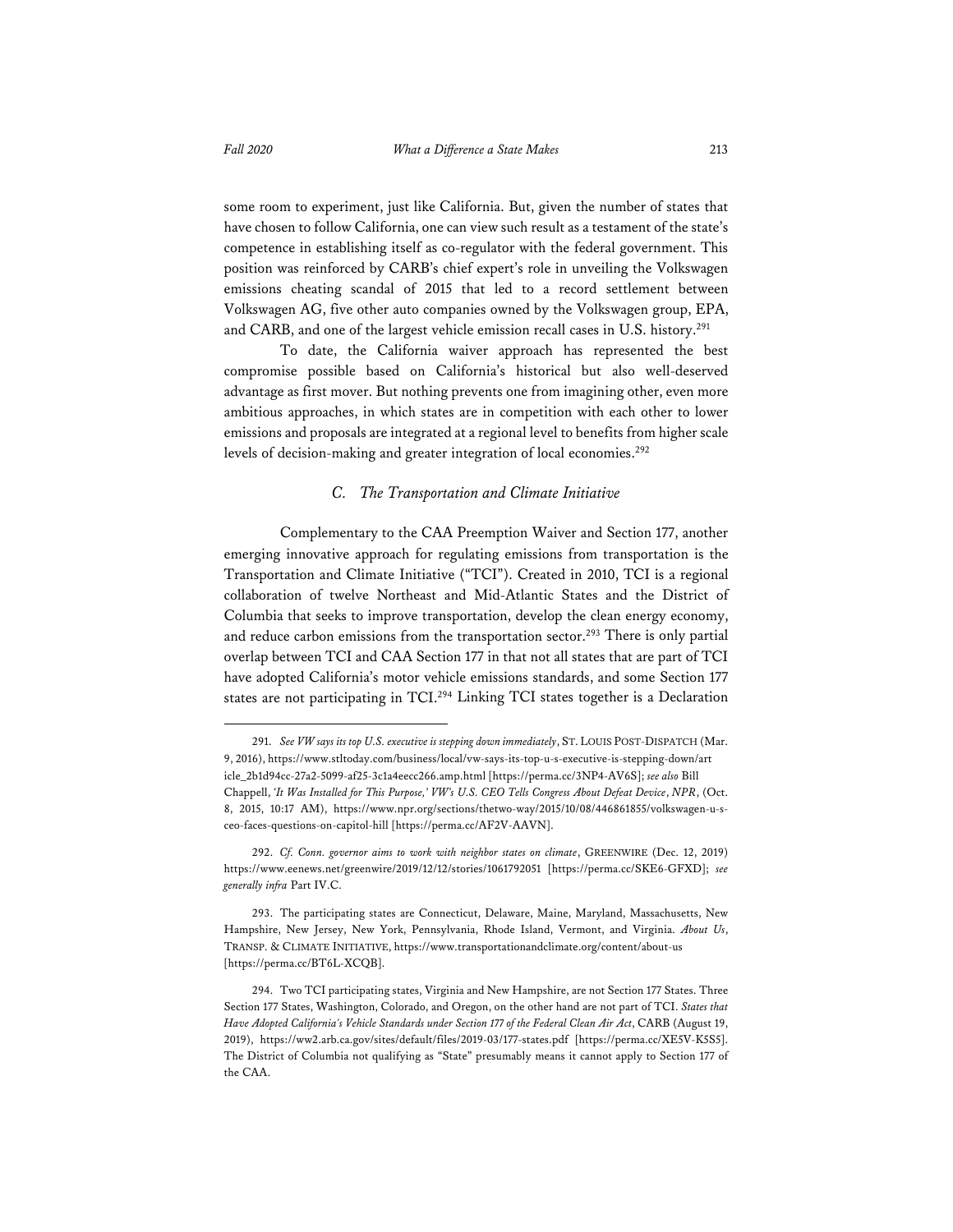some room to experiment, just like California. But, given the number of states that have chosen to follow California, one can view such result as a testament of the state's competence in establishing itself as co-regulator with the federal government. This position was reinforced by CARB's chief expert's role in unveiling the Volkswagen emissions cheating scandal of 2015 that led to a record settlement between Volkswagen AG, five other auto companies owned by the Volkswagen group, EPA, and CARB, and one of the largest vehicle emission recall cases in U.S. history.<sup>291</sup>

To date, the California waiver approach has represented the best compromise possible based on California's historical but also well-deserved advantage as first mover. But nothing prevents one from imagining other, even more ambitious approaches, in which states are in competition with each other to lower emissions and proposals are integrated at a regional level to benefits from higher scale levels of decision-making and greater integration of local economies.<sup>292</sup>

#### *C. The Transportation and Climate Initiative*

Complementary to the CAA Preemption Waiver and Section 177, another emerging innovative approach for regulating emissions from transportation is the Transportation and Climate Initiative ("TCI"). Created in 2010, TCI is a regional collaboration of twelve Northeast and Mid-Atlantic States and the District of Columbia that seeks to improve transportation, develop the clean energy economy, and reduce carbon emissions from the transportation sector.<sup>293</sup> There is only partial overlap between TCI and CAA Section 177 in that not all states that are part of TCI have adopted California's motor vehicle emissions standards, and some Section 177 states are not participating in TCI.294 Linking TCI states together is a Declaration

<sup>291.</sup> *See VW says its top U.S. executive is stepping down immediately*, ST. LOUIS POST-DISPATCH (Mar. 9, 2016), https://www.stltoday.com/business/local/vw-says-its-top-u-s-executive-is-stepping-down/art icle\_2b1d94cc-27a2-5099-af25-3c1a4eecc266.amp.html [https://perma.cc/3NP4-AV6S]; *see also* Bill Chappell, *'It Was Installed for This Purpose,' VW's U.S. CEO Tells Congress About Defeat Device*, *NPR*, (Oct. 8, 2015, 10:17 AM), https://www.npr.org/sections/thetwo-way/2015/10/08/446861855/volkswagen-u-sceo-faces-questions-on-capitol-hill [https://perma.cc/AF2V-AAVN].

<sup>292.</sup> *Cf. Conn. governor aims to work with neighbor states on climate*, GREENWIRE (Dec. 12, 2019) https://www.eenews.net/greenwire/2019/12/12/stories/1061792051 [https://perma.cc/SKE6-GFXD]; *see generally infra* Part IV.C.

<sup>293.</sup> The participating states are Connecticut, Delaware, Maine, Maryland, Massachusetts, New Hampshire, New Jersey, New York, Pennsylvania, Rhode Island, Vermont, and Virginia. *About Us*, TRANSP. & CLIMATE INITIATIVE, https://www.transportationandclimate.org/content/about-us [https://perma.cc/BT6L-XCQB].

<sup>294.</sup> Two TCI participating states, Virginia and New Hampshire, are not Section 177 States. Three Section 177 States, Washington, Colorado, and Oregon, on the other hand are not part of TCI. *States that Have Adopted California's Vehicle Standards under Section 177 of the Federal Clean Air Act*, CARB (August 19, 2019), https://ww2.arb.ca.gov/sites/default/files/2019-03/177-states.pdf [https://perma.cc/XE5V-K5S5]. The District of Columbia not qualifying as "State" presumably means it cannot apply to Section 177 of the CAA.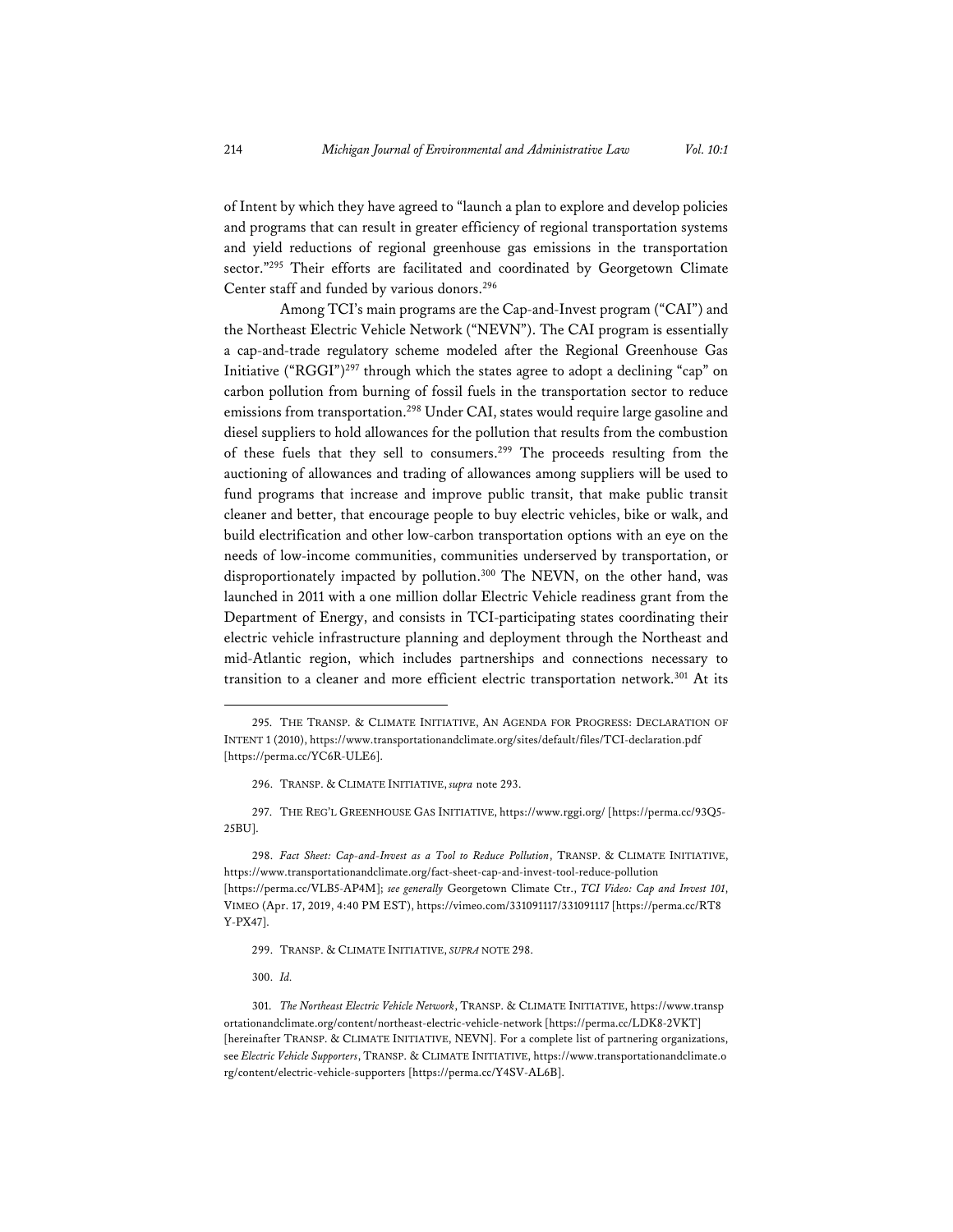of Intent by which they have agreed to "launch a plan to explore and develop policies and programs that can result in greater efficiency of regional transportation systems and yield reductions of regional greenhouse gas emissions in the transportation sector."295 Their efforts are facilitated and coordinated by Georgetown Climate Center staff and funded by various donors.296

Among TCI's main programs are the Cap-and-Invest program ("CAI") and the Northeast Electric Vehicle Network ("NEVN"). The CAI program is essentially a cap-and-trade regulatory scheme modeled after the Regional Greenhouse Gas Initiative ("RGGI")297 through which the states agree to adopt a declining "cap" on carbon pollution from burning of fossil fuels in the transportation sector to reduce emissions from transportation.<sup>298</sup> Under CAI, states would require large gasoline and diesel suppliers to hold allowances for the pollution that results from the combustion of these fuels that they sell to consumers.299 The proceeds resulting from the auctioning of allowances and trading of allowances among suppliers will be used to fund programs that increase and improve public transit, that make public transit cleaner and better, that encourage people to buy electric vehicles, bike or walk, and build electrification and other low-carbon transportation options with an eye on the needs of low-income communities, communities underserved by transportation, or disproportionately impacted by pollution.<sup>300</sup> The NEVN, on the other hand, was launched in 2011 with a one million dollar Electric Vehicle readiness grant from the Department of Energy, and consists in TCI-participating states coordinating their electric vehicle infrastructure planning and deployment through the Northeast and mid-Atlantic region, which includes partnerships and connections necessary to transition to a cleaner and more efficient electric transportation network.<sup>301</sup> At its

297. THE REG'L GREENHOUSE GAS INITIATIVE, https://www.rggi.org/ [https://perma.cc/93Q5- 25BU].

298. *Fact Sheet: Cap-and-Invest as a Tool to Reduce Pollution*, TRANSP. & CLIMATE INITIATIVE, https://www.transportationandclimate.org/fact-sheet-cap-and-invest-tool-reduce-pollution [https://perma.cc/VLB5-AP4M]; *see generally* Georgetown Climate Ctr., *TCI Video: Cap and Invest 101*, VIMEO (Apr. 17, 2019, 4:40 PM EST), https://vimeo.com/331091117/331091117 [https://perma.cc/RT8 Y-PX47].

299. TRANSP. & CLIMATE INITIATIVE, *SUPRA* NOTE 298.

300. *Id.*

301. *The Northeast Electric Vehicle Network*, TRANSP. & CLIMATE INITIATIVE, https://www.transp ortationandclimate.org/content/northeast-electric-vehicle-network [https://perma.cc/LDK8-2VKT] [hereinafter TRANSP. & CLIMATE INITIATIVE, NEVN]. For a complete list of partnering organizations, see *Electric Vehicle Supporters*, TRANSP. & CLIMATE INITIATIVE, https://www.transportationandclimate.o rg/content/electric-vehicle-supporters [https://perma.cc/Y4SV-AL6B].

<sup>295.</sup> THE TRANSP. & CLIMATE INITIATIVE, AN AGENDA FOR PROGRESS: DECLARATION OF INTENT 1 (2010), https://www.transportationandclimate.org/sites/default/files/TCI-declaration.pdf [https://perma.cc/YC6R-ULE6].

<sup>296.</sup> TRANSP. & CLIMATE INITIATIVE, *supra* note 293.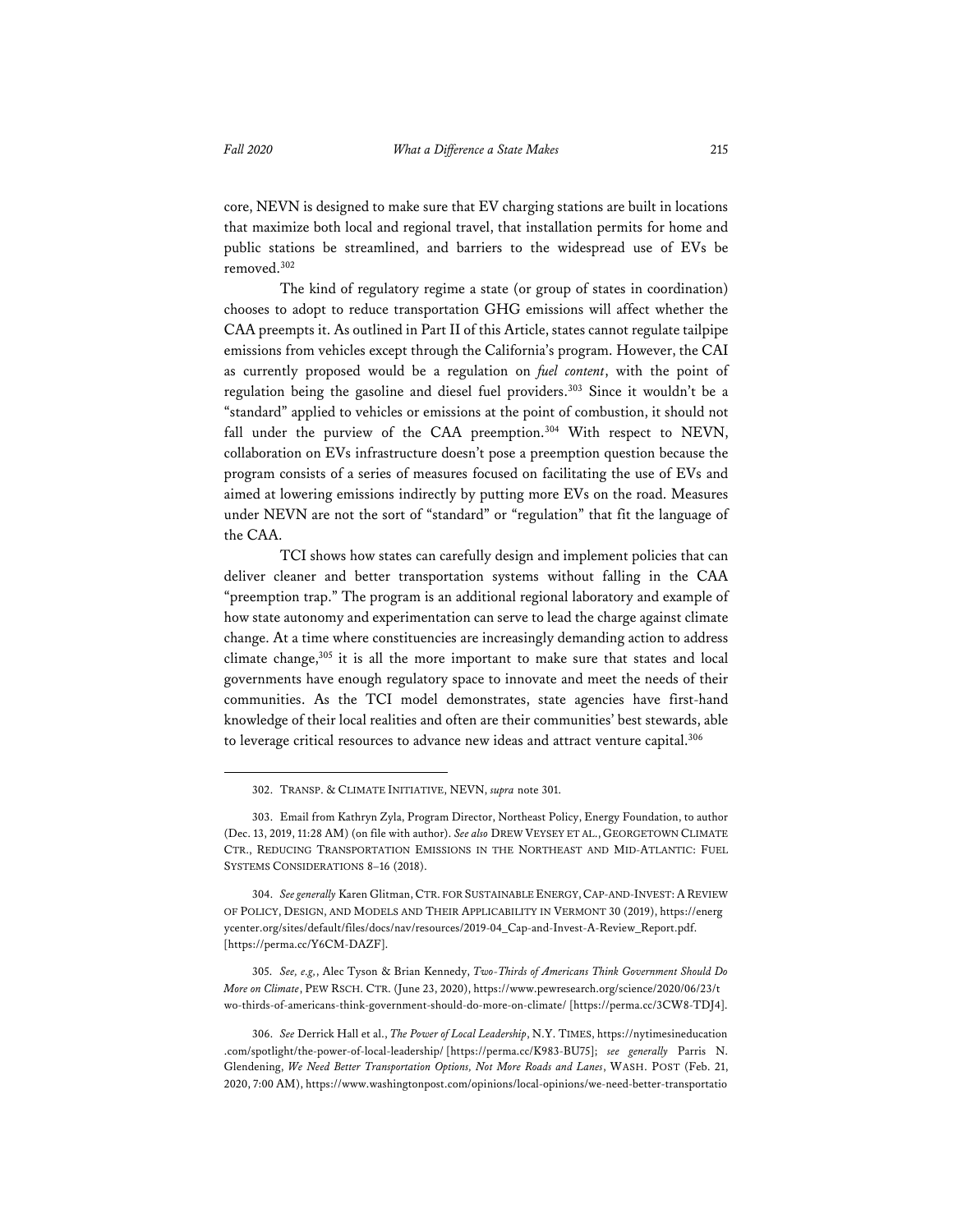core, NEVN is designed to make sure that EV charging stations are built in locations that maximize both local and regional travel, that installation permits for home and public stations be streamlined, and barriers to the widespread use of EVs be removed.302

The kind of regulatory regime a state (or group of states in coordination) chooses to adopt to reduce transportation GHG emissions will affect whether the CAA preempts it. As outlined in Part II of this Article, states cannot regulate tailpipe emissions from vehicles except through the California's program. However, the CAI as currently proposed would be a regulation on *fuel content*, with the point of regulation being the gasoline and diesel fuel providers.<sup>303</sup> Since it wouldn't be a "standard" applied to vehicles or emissions at the point of combustion, it should not fall under the purview of the CAA preemption.<sup>304</sup> With respect to NEVN, collaboration on EVs infrastructure doesn't pose a preemption question because the program consists of a series of measures focused on facilitating the use of EVs and aimed at lowering emissions indirectly by putting more EVs on the road. Measures under NEVN are not the sort of "standard" or "regulation" that fit the language of the CAA.

TCI shows how states can carefully design and implement policies that can deliver cleaner and better transportation systems without falling in the CAA "preemption trap." The program is an additional regional laboratory and example of how state autonomy and experimentation can serve to lead the charge against climate change. At a time where constituencies are increasingly demanding action to address climate change,<sup>305</sup> it is all the more important to make sure that states and local governments have enough regulatory space to innovate and meet the needs of their communities. As the TCI model demonstrates, state agencies have first-hand knowledge of their local realities and often are their communities' best stewards, able to leverage critical resources to advance new ideas and attract venture capital.306

305. *See, e.g,*, Alec Tyson & Brian Kennedy, *Two-Thirds of Americans Think Government Should Do More on Climate*, PEW RSCH. CTR. (June 23, 2020), https://www.pewresearch.org/science/2020/06/23/t wo-thirds-of-americans-think-government-should-do-more-on-climate/ [https://perma.cc/3CW8-TDJ4].

<sup>302.</sup> TRANSP. & CLIMATE INITIATIVE, NEVN, *supra* note 301.

<sup>303.</sup> Email from Kathryn Zyla, Program Director, Northeast Policy, Energy Foundation, to author (Dec. 13, 2019, 11:28 AM) (on file with author). *See also* DREW VEYSEY ET AL., GEORGETOWN CLIMATE CTR., REDUCING TRANSPORTATION EMISSIONS IN THE NORTHEAST AND MID-ATLANTIC: FUEL SYSTEMS CONSIDERATIONS 8–16 (2018).

<sup>304.</sup> *See generally* Karen Glitman, CTR. FOR SUSTAINABLE ENERGY,CAP-AND-INVEST:AREVIEW OF POLICY, DESIGN, AND MODELS AND THEIR APPLICABILITY IN VERMONT 30 (2019), https://energ ycenter.org/sites/default/files/docs/nav/resources/2019-04\_Cap-and-Invest-A-Review\_Report.pdf. [https://perma.cc/Y6CM-DAZF].

<sup>306.</sup> *See* Derrick Hall et al., *The Power of Local Leadership*, N.Y. TIMES, https://nytimesineducation .com/spotlight/the-power-of-local-leadership/ [https://perma.cc/K983-BU75]; *see generally* Parris N. Glendening, *We Need Better Transportation Options, Not More Roads and Lanes*, WASH. POST (Feb. 21, 2020, 7:00 AM), https://www.washingtonpost.com/opinions/local-opinions/we-need-better-transportatio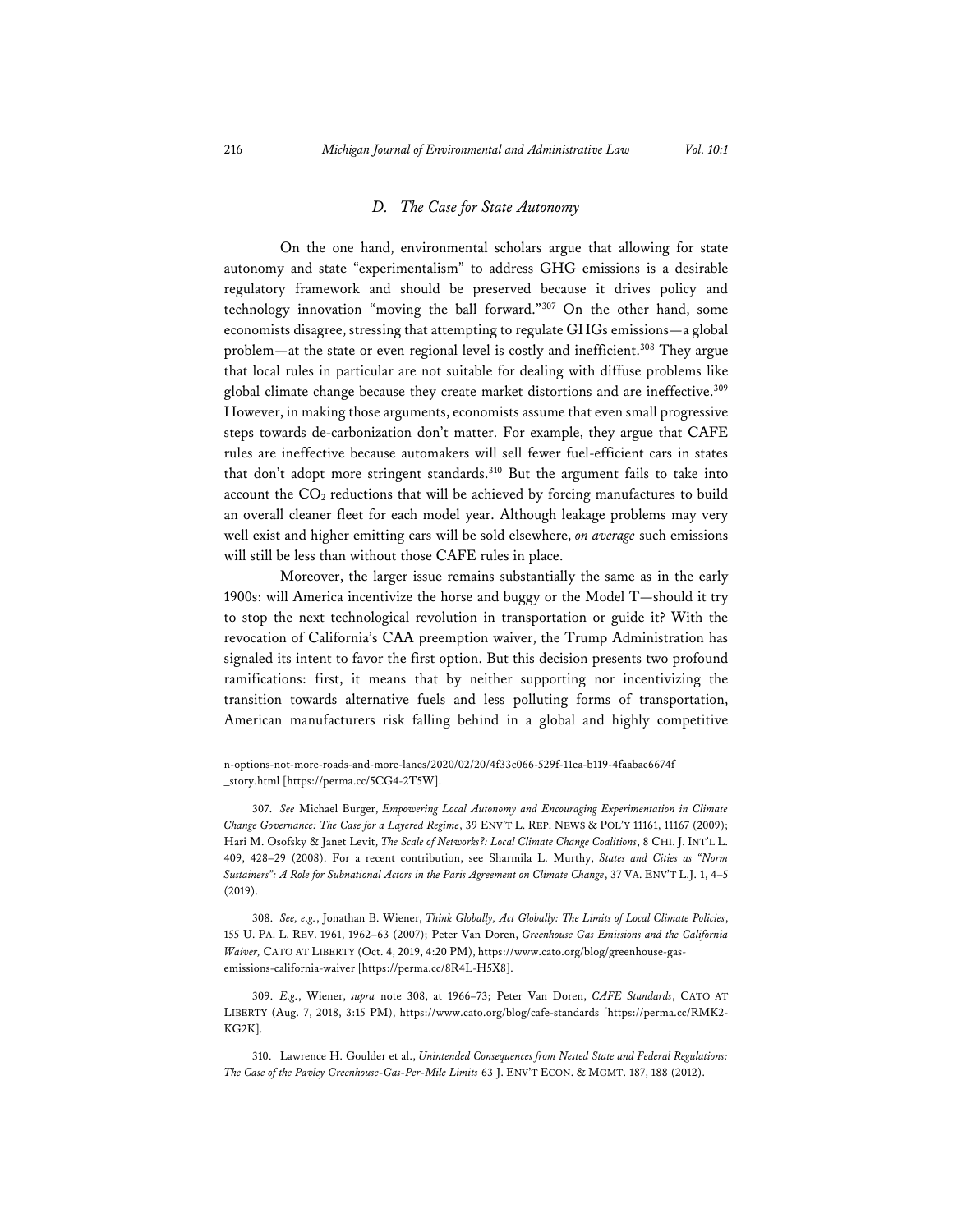#### *D. The Case for State Autonomy*

On the one hand, environmental scholars argue that allowing for state autonomy and state "experimentalism" to address GHG emissions is a desirable regulatory framework and should be preserved because it drives policy and technology innovation "moving the ball forward."307 On the other hand, some economists disagree, stressing that attempting to regulate GHGs emissions—a global problem—at the state or even regional level is costly and inefficient.<sup>308</sup> They argue that local rules in particular are not suitable for dealing with diffuse problems like global climate change because they create market distortions and are ineffective.<sup>309</sup> However, in making those arguments, economists assume that even small progressive steps towards de-carbonization don't matter. For example, they argue that CAFE rules are ineffective because automakers will sell fewer fuel-efficient cars in states that don't adopt more stringent standards.<sup>310</sup> But the argument fails to take into account the  $CO<sub>2</sub>$  reductions that will be achieved by forcing manufactures to build an overall cleaner fleet for each model year. Although leakage problems may very well exist and higher emitting cars will be sold elsewhere, *on average* such emissions will still be less than without those CAFE rules in place.

Moreover, the larger issue remains substantially the same as in the early 1900s: will America incentivize the horse and buggy or the Model T—should it try to stop the next technological revolution in transportation or guide it? With the revocation of California's CAA preemption waiver, the Trump Administration has signaled its intent to favor the first option. But this decision presents two profound ramifications: first, it means that by neither supporting nor incentivizing the transition towards alternative fuels and less polluting forms of transportation, American manufacturers risk falling behind in a global and highly competitive

308. *See, e.g.*, Jonathan B. Wiener, *Think Globally, Act Globally: The Limits of Local Climate Policies*, 155 U. PA. L. REV. 1961, 1962–63 (2007); Peter Van Doren, *Greenhouse Gas Emissions and the California Waiver,* CATO AT LIBERTY (Oct. 4, 2019, 4:20 PM), https://www.cato.org/blog/greenhouse-gasemissions-california-waiver [https://perma.cc/8R4L-H5X8].

309. *E.g.*, Wiener, *supra* note 308, at 1966–73; Peter Van Doren, *CAFE Standards*, CATO AT LIBERTY (Aug. 7, 2018, 3:15 PM), https://www.cato.org/blog/cafe-standards [https://perma.cc/RMK2- KG2K].

310. Lawrence H. Goulder et al., *Unintended Consequences from Nested State and Federal Regulations: The Case of the Pavley Greenhouse-Gas-Per-Mile Limits* 63 J. ENV'T ECON. & MGMT. 187, 188 (2012).

n-options-not-more-roads-and-more-lanes/2020/02/20/4f33c066-529f-11ea-b119-4faabac6674f \_story.html [https://perma.cc/5CG4-2T5W].

<sup>307.</sup> *See* Michael Burger, *Empowering Local Autonomy and Encouraging Experimentation in Climate Change Governance: The Case for a Layered Regime*, 39 ENV'T L. REP. NEWS & POL'Y 11161, 11167 (2009); Hari M. Osofsky & Janet Levit, *The Scale of Networks?: Local Climate Change Coalitions*, 8 CHI. J. INT'L L. 409, 428–29 (2008). For a recent contribution, see Sharmila L. Murthy, *States and Cities as "Norm Sustainers": A Role for Subnational Actors in the Paris Agreement on Climate Change*, 37 VA. ENV'T L.J. 1, 4–5 (2019).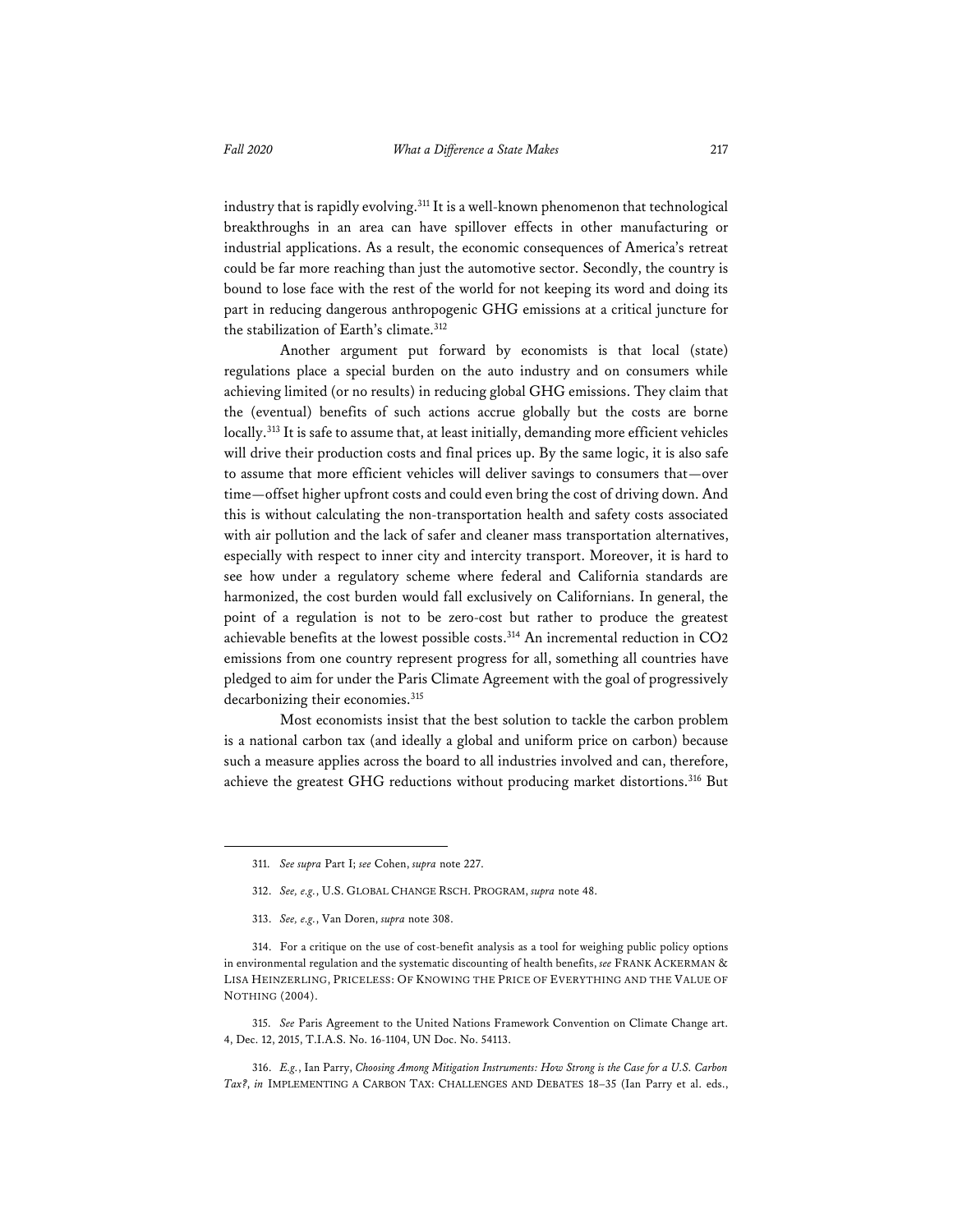industry that is rapidly evolving.<sup>311</sup> It is a well-known phenomenon that technological breakthroughs in an area can have spillover effects in other manufacturing or industrial applications. As a result, the economic consequences of America's retreat could be far more reaching than just the automotive sector. Secondly, the country is bound to lose face with the rest of the world for not keeping its word and doing its part in reducing dangerous anthropogenic GHG emissions at a critical juncture for the stabilization of Earth's climate.<sup>312</sup>

Another argument put forward by economists is that local (state) regulations place a special burden on the auto industry and on consumers while achieving limited (or no results) in reducing global GHG emissions. They claim that the (eventual) benefits of such actions accrue globally but the costs are borne locally.<sup>313</sup> It is safe to assume that, at least initially, demanding more efficient vehicles will drive their production costs and final prices up. By the same logic, it is also safe to assume that more efficient vehicles will deliver savings to consumers that—over time—offset higher upfront costs and could even bring the cost of driving down. And this is without calculating the non-transportation health and safety costs associated with air pollution and the lack of safer and cleaner mass transportation alternatives, especially with respect to inner city and intercity transport. Moreover, it is hard to see how under a regulatory scheme where federal and California standards are harmonized, the cost burden would fall exclusively on Californians. In general, the point of a regulation is not to be zero-cost but rather to produce the greatest achievable benefits at the lowest possible costs.<sup>314</sup> An incremental reduction in CO2 emissions from one country represent progress for all, something all countries have pledged to aim for under the Paris Climate Agreement with the goal of progressively decarbonizing their economies.<sup>315</sup>

Most economists insist that the best solution to tackle the carbon problem is a national carbon tax (and ideally a global and uniform price on carbon) because such a measure applies across the board to all industries involved and can, therefore, achieve the greatest GHG reductions without producing market distortions.<sup>316</sup> But

315. *See* Paris Agreement to the United Nations Framework Convention on Climate Change art. 4, Dec. 12, 2015, T.I.A.S. No. 16-1104, UN Doc. No. 54113.

316. *E.g.*, Ian Parry, *Choosing Among Mitigation Instruments: How Strong is the Case for a U.S. Carbon Tax?*, *in* IMPLEMENTING A CARBON TAX: CHALLENGES AND DEBATES 18–35 (Ian Parry et al. eds.,

<sup>311.</sup> *See supra* Part I; *see* Cohen, *supra* note 227.

<sup>312.</sup> *See, e.g.*, U.S. GLOBAL CHANGE RSCH. PROGRAM, *supra* note 48.

<sup>313.</sup> *See, e.g.*, Van Doren, *supra* note 308.

<sup>314.</sup> For a critique on the use of cost-benefit analysis as a tool for weighing public policy options in environmental regulation and the systematic discounting of health benefits, *see* FRANK ACKERMAN & LISA HEINZERLING, PRICELESS: OF KNOWING THE PRICE OF EVERYTHING AND THE VALUE OF NOTHING (2004).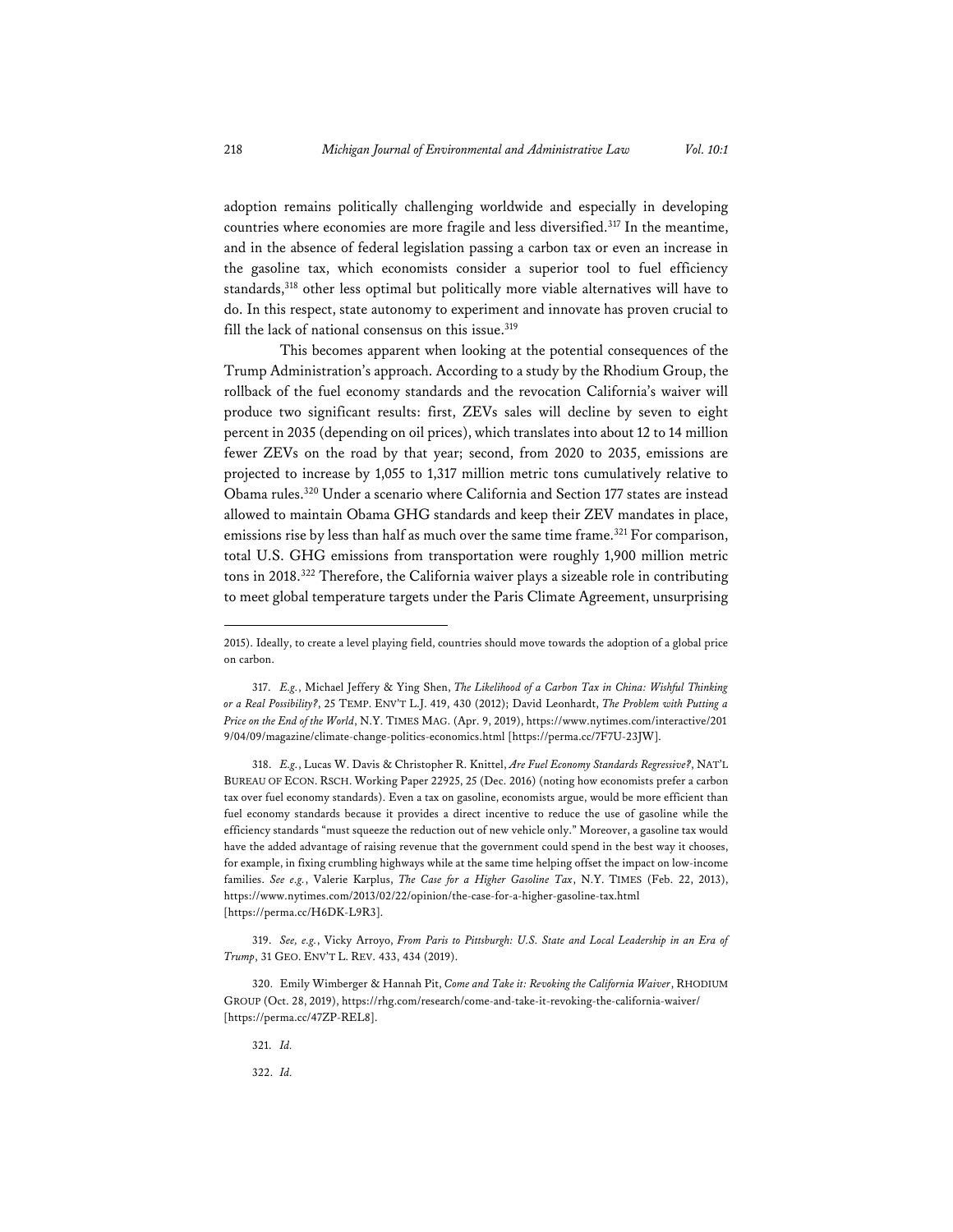adoption remains politically challenging worldwide and especially in developing countries where economies are more fragile and less diversified.317 In the meantime, and in the absence of federal legislation passing a carbon tax or even an increase in the gasoline tax, which economists consider a superior tool to fuel efficiency standards,<sup>318</sup> other less optimal but politically more viable alternatives will have to do. In this respect, state autonomy to experiment and innovate has proven crucial to fill the lack of national consensus on this issue.<sup>319</sup>

This becomes apparent when looking at the potential consequences of the Trump Administration's approach. According to a study by the Rhodium Group, the rollback of the fuel economy standards and the revocation California's waiver will produce two significant results: first, ZEVs sales will decline by seven to eight percent in 2035 (depending on oil prices), which translates into about 12 to 14 million fewer ZEVs on the road by that year; second, from 2020 to 2035, emissions are projected to increase by 1,055 to 1,317 million metric tons cumulatively relative to Obama rules.320 Under a scenario where California and Section 177 states are instead allowed to maintain Obama GHG standards and keep their ZEV mandates in place, emissions rise by less than half as much over the same time frame.<sup>321</sup> For comparison, total U.S. GHG emissions from transportation were roughly 1,900 million metric tons in 2018.322 Therefore, the California waiver plays a sizeable role in contributing to meet global temperature targets under the Paris Climate Agreement, unsurprising

318. *E.g.*, Lucas W. Davis & Christopher R. Knittel, *Are Fuel Economy Standards Regressive?*, NAT'L BUREAU OF ECON. RSCH. Working Paper 22925, 25 (Dec. 2016) (noting how economists prefer a carbon tax over fuel economy standards). Even a tax on gasoline, economists argue, would be more efficient than fuel economy standards because it provides a direct incentive to reduce the use of gasoline while the efficiency standards "must squeeze the reduction out of new vehicle only." Moreover, a gasoline tax would have the added advantage of raising revenue that the government could spend in the best way it chooses, for example, in fixing crumbling highways while at the same time helping offset the impact on low-income families. *See e.g.*, Valerie Karplus, *The Case for a Higher Gasoline Tax*, N.Y. TIMES (Feb. 22, 2013), https://www.nytimes.com/2013/02/22/opinion/the-case-for-a-higher-gasoline-tax.html [https://perma.cc/H6DK-L9R3].

319. *See, e.g.*, Vicky Arroyo, *From Paris to Pittsburgh: U.S. State and Local Leadership in an Era of Trump*, 31 GEO. ENV'T L. REV. 433, 434 (2019).

320. Emily Wimberger & Hannah Pit, *Come and Take it: Revoking the California Waiver*, RHODIUM GROUP (Oct. 28, 2019), https://rhg.com/research/come-and-take-it-revoking-the-california-waiver/ [https://perma.cc/47ZP-REL8].

321. *Id.* 

322. *Id.*

<sup>2015).</sup> Ideally, to create a level playing field, countries should move towards the adoption of a global price on carbon.

<sup>317.</sup> *E.g.*, Michael Jeffery & Ying Shen, *The Likelihood of a Carbon Tax in China: Wishful Thinking or a Real Possibility?*, 25 TEMP. ENV'T L.J. 419, 430 (2012); David Leonhardt, *The Problem with Putting a Price on the End of the World*, N.Y. TIMES MAG. (Apr. 9, 2019), https://www.nytimes.com/interactive/201 9/04/09/magazine/climate-change-politics-economics.html [https://perma.cc/7F7U-23JW].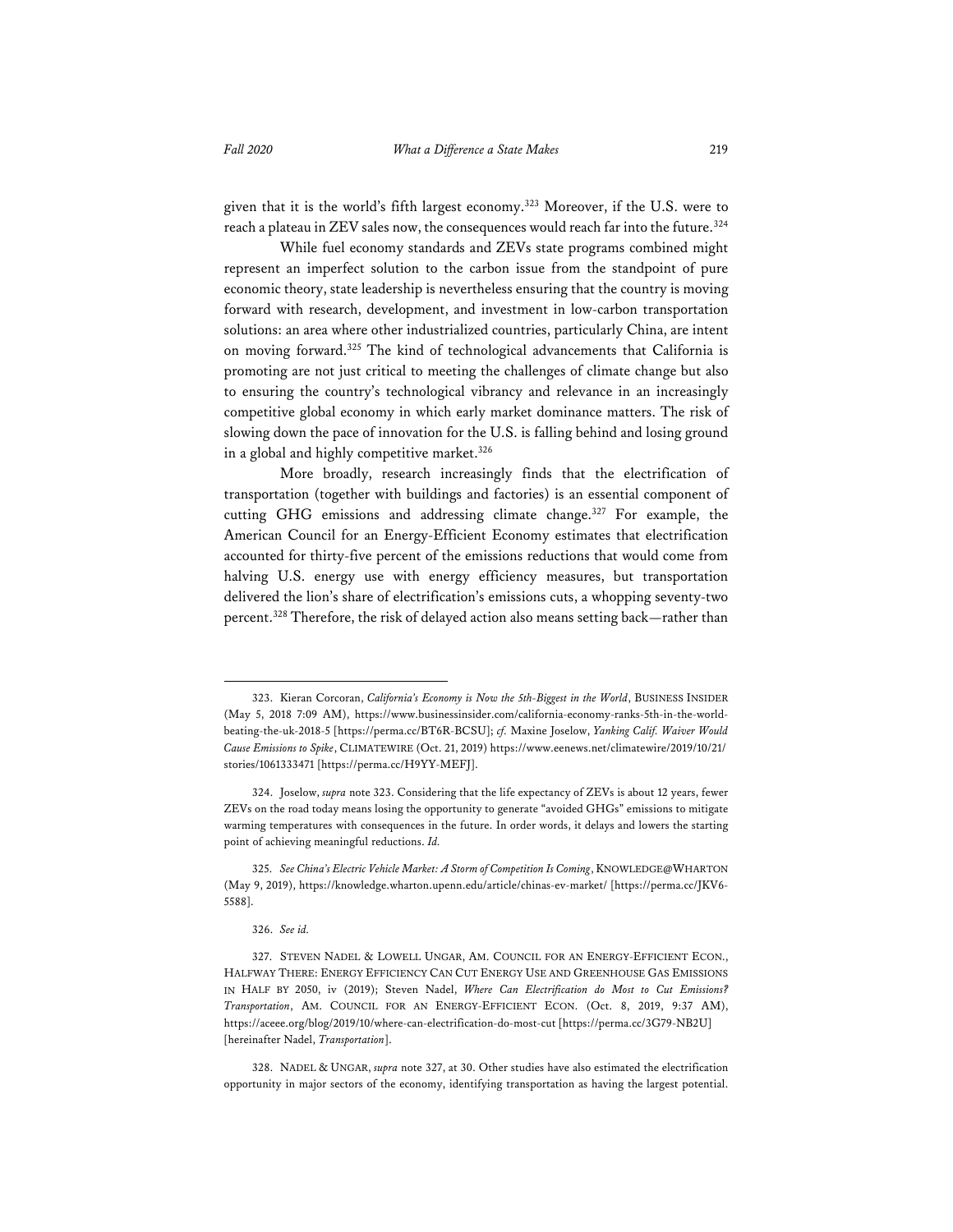given that it is the world's fifth largest economy.323 Moreover, if the U.S. were to reach a plateau in ZEV sales now, the consequences would reach far into the future.<sup>324</sup>

While fuel economy standards and ZEVs state programs combined might represent an imperfect solution to the carbon issue from the standpoint of pure economic theory, state leadership is nevertheless ensuring that the country is moving forward with research, development, and investment in low-carbon transportation solutions: an area where other industrialized countries, particularly China, are intent on moving forward.325 The kind of technological advancements that California is promoting are not just critical to meeting the challenges of climate change but also to ensuring the country's technological vibrancy and relevance in an increasingly competitive global economy in which early market dominance matters. The risk of slowing down the pace of innovation for the U.S. is falling behind and losing ground in a global and highly competitive market.<sup>326</sup>

More broadly, research increasingly finds that the electrification of transportation (together with buildings and factories) is an essential component of cutting GHG emissions and addressing climate change.327 For example, the American Council for an Energy-Efficient Economy estimates that electrification accounted for thirty-five percent of the emissions reductions that would come from halving U.S. energy use with energy efficiency measures, but transportation delivered the lion's share of electrification's emissions cuts, a whopping seventy-two percent.<sup>328</sup> Therefore, the risk of delayed action also means setting back—rather than

<sup>323.</sup> Kieran Corcoran, *California's Economy is Now the 5th-Biggest in the World*, BUSINESS INSIDER (May 5, 2018 7:09 AM), https://www.businessinsider.com/california-economy-ranks-5th-in-the-worldbeating-the-uk-2018-5 [https://perma.cc/BT6R-BCSU]; *cf.* Maxine Joselow, *Yanking Calif. Waiver Would Cause Emissions to Spike*, CLIMATEWIRE (Oct. 21, 2019) https://www.eenews.net/climatewire/2019/10/21/ stories/1061333471 [https://perma.cc/H9YY-MEFJ].

<sup>324.</sup> Joselow, *supra* note 323. Considering that the life expectancy of ZEVs is about 12 years, fewer ZEVs on the road today means losing the opportunity to generate "avoided GHGs" emissions to mitigate warming temperatures with consequences in the future. In order words, it delays and lowers the starting point of achieving meaningful reductions. *Id.*

<sup>325.</sup> *See China's Electric Vehicle Market: A Storm of Competition Is Coming*, KNOWLEDGE@WHARTON (May 9, 2019), https://knowledge.wharton.upenn.edu/article/chinas-ev-market/ [https://perma.cc/JKV6- 5588].

<sup>326.</sup> *See id.*

<sup>327.</sup> STEVEN NADEL & LOWELL UNGAR, AM. COUNCIL FOR AN ENERGY-EFFICIENT ECON., HALFWAY THERE: ENERGY EFFICIENCY CAN CUT ENERGY USE AND GREENHOUSE GAS EMISSIONS IN HALF BY 2050, iv (2019); Steven Nadel, *Where Can Electrification do Most to Cut Emissions? Transportation*, AM. COUNCIL FOR AN ENERGY-EFFICIENT ECON. (Oct. 8, 2019, 9:37 AM), https://aceee.org/blog/2019/10/where-can-electrification-do-most-cut [https://perma.cc/3G79-NB2U] [hereinafter Nadel, *Transportation*].

<sup>328.</sup> NADEL & UNGAR, *supra* note 327, at 30. Other studies have also estimated the electrification opportunity in major sectors of the economy, identifying transportation as having the largest potential.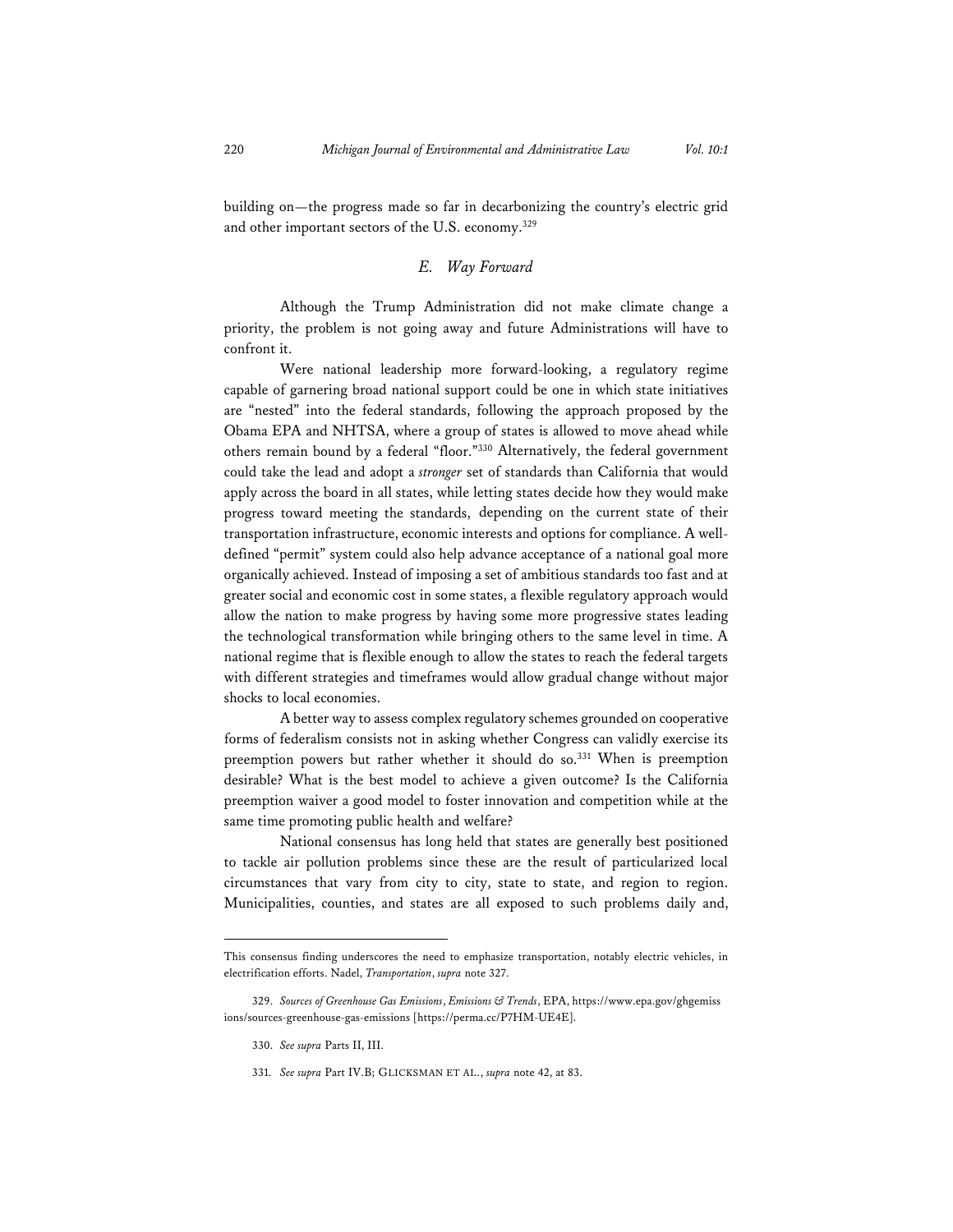building on—the progress made so far in decarbonizing the country's electric grid and other important sectors of the U.S. economy.<sup>329</sup>

### *E. Way Forward*

Although the Trump Administration did not make climate change a priority, the problem is not going away and future Administrations will have to confront it.

Were national leadership more forward-looking, a regulatory regime capable of garnering broad national support could be one in which state initiatives are "nested" into the federal standards, following the approach proposed by the Obama EPA and NHTSA, where a group of states is allowed to move ahead while others remain bound by a federal "floor."330 Alternatively, the federal government could take the lead and adopt a *stronger* set of standards than California that would apply across the board in all states, while letting states decide how they would make progress toward meeting the standards, depending on the current state of their transportation infrastructure, economic interests and options for compliance. A welldefined "permit" system could also help advance acceptance of a national goal more organically achieved. Instead of imposing a set of ambitious standards too fast and at greater social and economic cost in some states, a flexible regulatory approach would allow the nation to make progress by having some more progressive states leading the technological transformation while bringing others to the same level in time. A national regime that is flexible enough to allow the states to reach the federal targets with different strategies and timeframes would allow gradual change without major shocks to local economies.

A better way to assess complex regulatory schemes grounded on cooperative forms of federalism consists not in asking whether Congress can validly exercise its preemption powers but rather whether it should do so.<sup>331</sup> When is preemption desirable? What is the best model to achieve a given outcome? Is the California preemption waiver a good model to foster innovation and competition while at the same time promoting public health and welfare?

National consensus has long held that states are generally best positioned to tackle air pollution problems since these are the result of particularized local circumstances that vary from city to city, state to state, and region to region. Municipalities, counties, and states are all exposed to such problems daily and,

- 330. *See supra* Parts II, III.
- 331. *See supra* Part IV.B; GLICKSMAN ET AL., *supra* note 42, at 83.

This consensus finding underscores the need to emphasize transportation, notably electric vehicles, in electrification efforts. Nadel, *Transportation*, *supra* note 327.

<sup>329.</sup> *Sources of Greenhouse Gas Emissions*, *Emissions & Trends*, EPA, https://www.epa.gov/ghgemiss ions/sources-greenhouse-gas-emissions [https://perma.cc/P7HM-UE4E].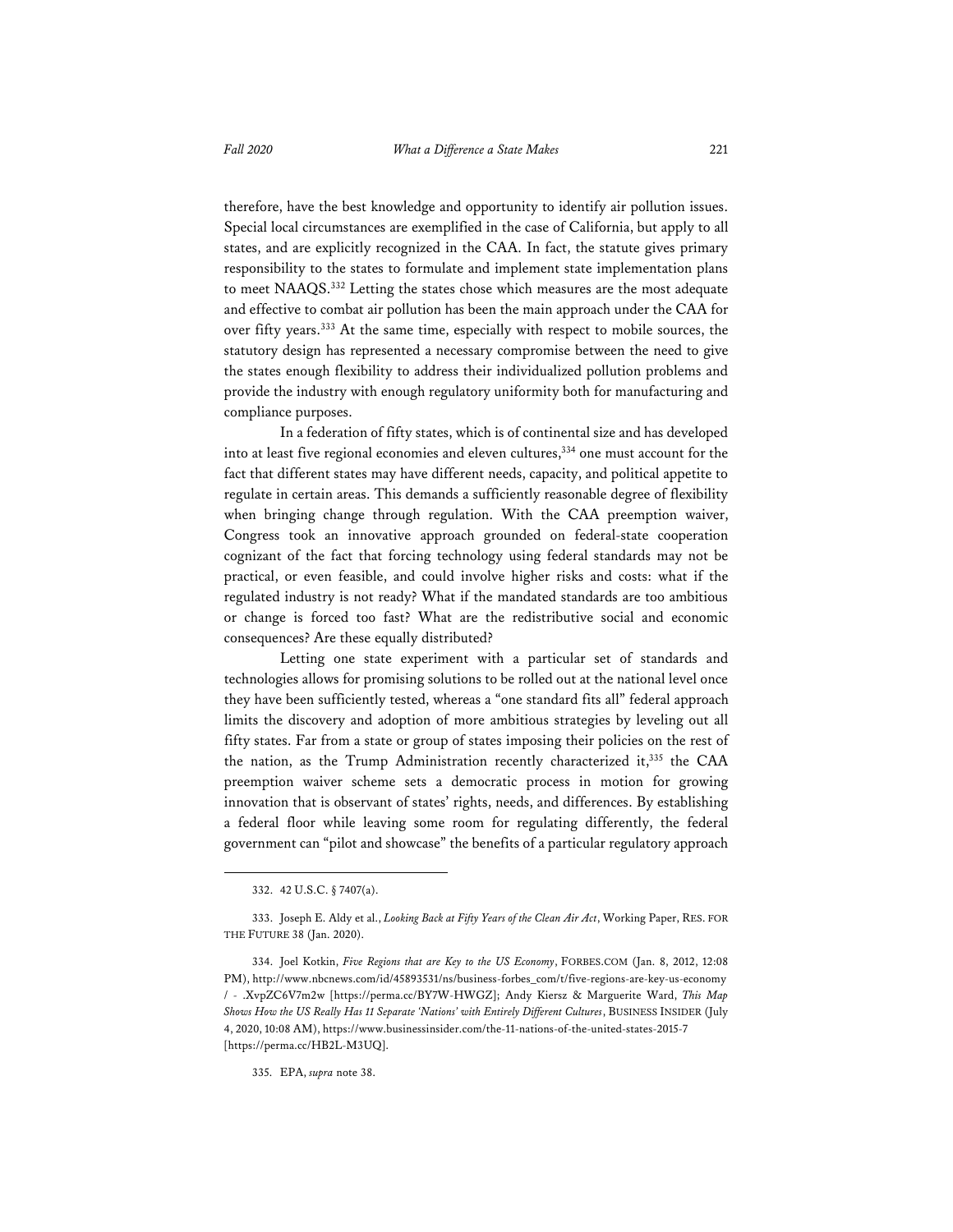therefore, have the best knowledge and opportunity to identify air pollution issues. Special local circumstances are exemplified in the case of California, but apply to all states, and are explicitly recognized in the CAA. In fact, the statute gives primary responsibility to the states to formulate and implement state implementation plans to meet NAAQS.332 Letting the states chose which measures are the most adequate and effective to combat air pollution has been the main approach under the CAA for over fifty years.333 At the same time, especially with respect to mobile sources, the statutory design has represented a necessary compromise between the need to give the states enough flexibility to address their individualized pollution problems and provide the industry with enough regulatory uniformity both for manufacturing and compliance purposes.

In a federation of fifty states, which is of continental size and has developed into at least five regional economies and eleven cultures,334 one must account for the fact that different states may have different needs, capacity, and political appetite to regulate in certain areas. This demands a sufficiently reasonable degree of flexibility when bringing change through regulation. With the CAA preemption waiver, Congress took an innovative approach grounded on federal-state cooperation cognizant of the fact that forcing technology using federal standards may not be practical, or even feasible, and could involve higher risks and costs: what if the regulated industry is not ready? What if the mandated standards are too ambitious or change is forced too fast? What are the redistributive social and economic consequences? Are these equally distributed?

Letting one state experiment with a particular set of standards and technologies allows for promising solutions to be rolled out at the national level once they have been sufficiently tested, whereas a "one standard fits all" federal approach limits the discovery and adoption of more ambitious strategies by leveling out all fifty states. Far from a state or group of states imposing their policies on the rest of the nation, as the Trump Administration recently characterized it,<sup>335</sup> the CAA preemption waiver scheme sets a democratic process in motion for growing innovation that is observant of states' rights, needs, and differences. By establishing a federal floor while leaving some room for regulating differently, the federal government can "pilot and showcase" the benefits of a particular regulatory approach

335. EPA, *supra* note 38.

<sup>332. 42</sup> U.S.C. § 7407(a).

<sup>333.</sup> Joseph E. Aldy et al., *Looking Back at Fifty Years of the Clean Air Act*, Working Paper, RES. FOR THE FUTURE 38 (Jan. 2020).

<sup>334.</sup> Joel Kotkin, *Five Regions that are Key to the US Economy*, FORBES.COM (Jan. 8, 2012, 12:08 PM), http://www.nbcnews.com/id/45893531/ns/business-forbes\_com/t/five-regions-are-key-us-economy / - .XvpZC6V7m2w [https://perma.cc/BY7W-HWGZ]; Andy Kiersz & Marguerite Ward, *This Map Shows How the US Really Has 11 Separate 'Nations' with Entirely Different Cultures*, BUSINESS INSIDER (July 4, 2020, 10:08 AM), https://www.businessinsider.com/the-11-nations-of-the-united-states-2015-7 [https://perma.cc/HB2L-M3UQ].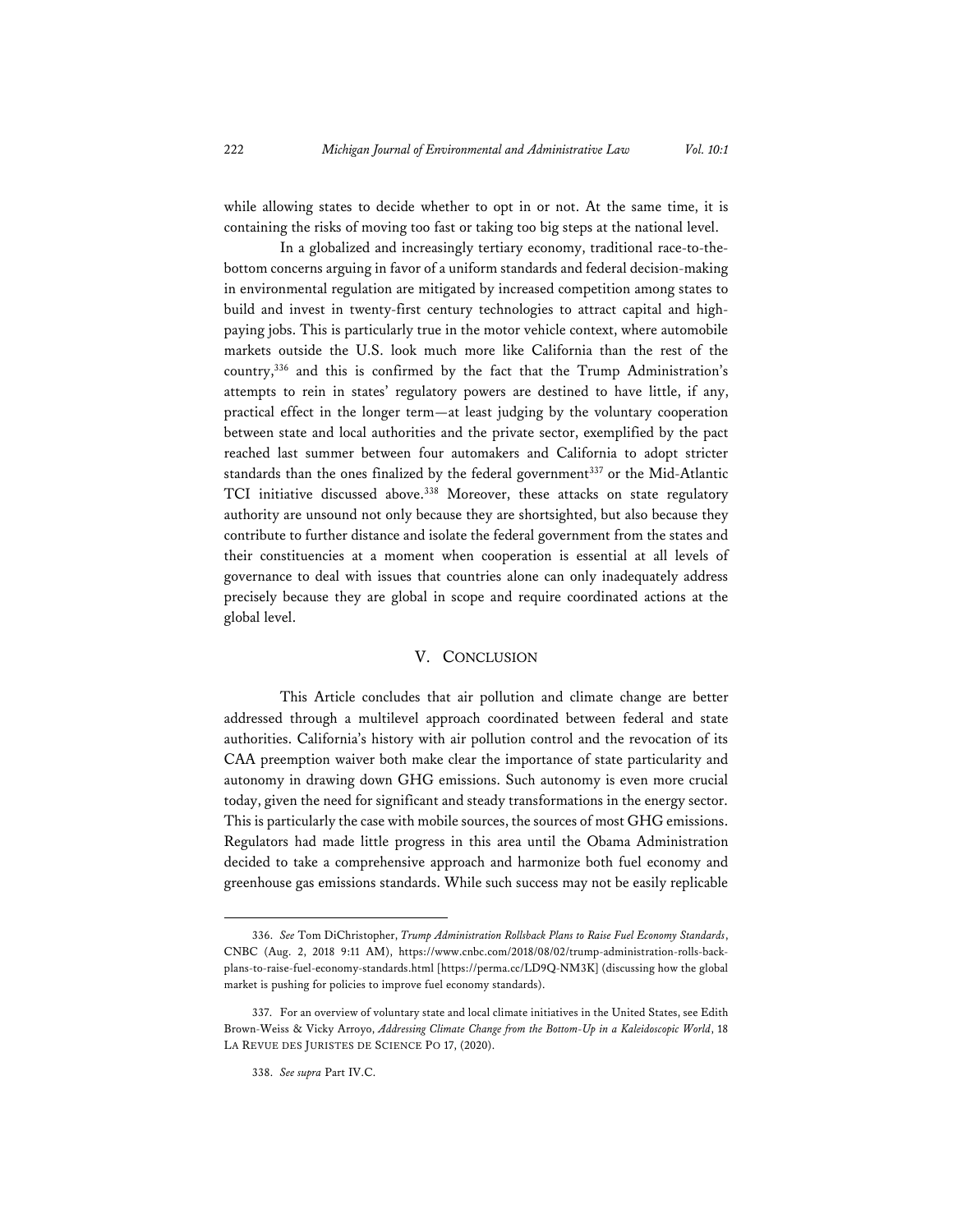while allowing states to decide whether to opt in or not. At the same time, it is containing the risks of moving too fast or taking too big steps at the national level.

In a globalized and increasingly tertiary economy, traditional race-to-thebottom concerns arguing in favor of a uniform standards and federal decision-making in environmental regulation are mitigated by increased competition among states to build and invest in twenty-first century technologies to attract capital and highpaying jobs. This is particularly true in the motor vehicle context, where automobile markets outside the U.S. look much more like California than the rest of the country,336 and this is confirmed by the fact that the Trump Administration's attempts to rein in states' regulatory powers are destined to have little, if any, practical effect in the longer term—at least judging by the voluntary cooperation between state and local authorities and the private sector, exemplified by the pact reached last summer between four automakers and California to adopt stricter standards than the ones finalized by the federal government<sup>337</sup> or the Mid-Atlantic TCI initiative discussed above.<sup>338</sup> Moreover, these attacks on state regulatory authority are unsound not only because they are shortsighted, but also because they contribute to further distance and isolate the federal government from the states and their constituencies at a moment when cooperation is essential at all levels of governance to deal with issues that countries alone can only inadequately address precisely because they are global in scope and require coordinated actions at the global level.

#### V. CONCLUSION

This Article concludes that air pollution and climate change are better addressed through a multilevel approach coordinated between federal and state authorities. California's history with air pollution control and the revocation of its CAA preemption waiver both make clear the importance of state particularity and autonomy in drawing down GHG emissions. Such autonomy is even more crucial today, given the need for significant and steady transformations in the energy sector. This is particularly the case with mobile sources, the sources of most GHG emissions. Regulators had made little progress in this area until the Obama Administration decided to take a comprehensive approach and harmonize both fuel economy and greenhouse gas emissions standards. While such success may not be easily replicable

<sup>336.</sup> *See* Tom DiChristopher, *Trump Administration Rollsback Plans to Raise Fuel Economy Standards*, CNBC (Aug. 2, 2018 9:11 AM), https://www.cnbc.com/2018/08/02/trump-administration-rolls-backplans-to-raise-fuel-economy-standards.html [https://perma.cc/LD9Q-NM3K] (discussing how the global market is pushing for policies to improve fuel economy standards).

<sup>337.</sup> For an overview of voluntary state and local climate initiatives in the United States, see Edith Brown-Weiss & Vicky Arroyo, *Addressing Climate Change from the Bottom-Up in a Kaleidoscopic World*, 18 LA REVUE DES JURISTES DE SCIENCE PO 17, (2020).

<sup>338.</sup> *See supra* Part IV.C.